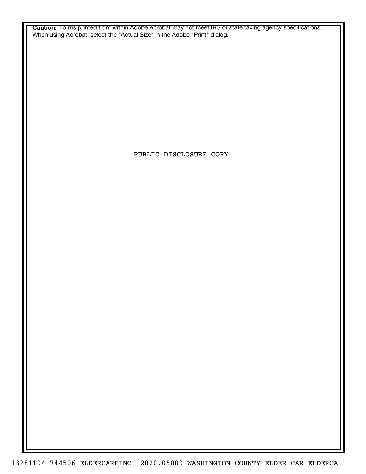**Caution:** Forms printed from within Adobe Acrobat may not meet IRS or state taxing agency specifications. When using Acrobat, select the "Actual Size" in the Adobe "Print" dialog.

PUBLIC DISCLOSURE COPY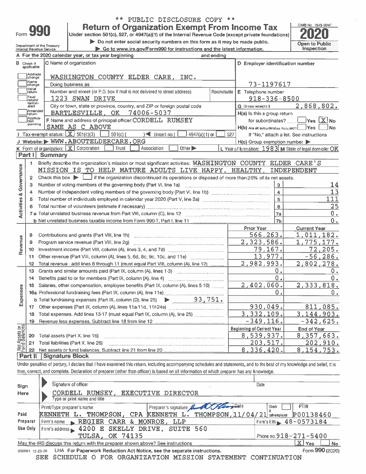| Form |  |
|------|--|
|      |  |

Check if<br>applicable:

Address<br>Change

Name<br>Change

⊐uni⊔ng<br>∏Initial<br>∐return

Final

termin-<br>ated

)<br>Amended<br>Ireturn

Applica-

pending

1.

 $\mathbf{p}$ 

 $\mathbf{4}$ 

 $5 -$ 

 $10<sub>1</sub>$ 

 $11<sub>1</sub>$ 

 $12<sup>2</sup>$ 

 $13<sup>13</sup>$ 

 $14$ 

19

20 Total assets (Part X, line 16) 21 Total liabilities (Part X, line 26)

Signature of officer

Print/Type preparer's name

Type or print name and title

**Part II Signature Block** 

Governance

**Activities &** 

Revenue

Expenses

Assets or

Net 2<br>Sid  $22$ 

Sign

Here

Paid Preparer

Use Only

Part I Summary

### \*\* PUBLIC DISCLOSURE COPY \*\*

 $\leq$  (insert no.)

Number of independent voting members of the governing body (Part VI, line 1b)

Total number of individuals employed in calendar year 2020 (Part V, line 2a) [[[[[[[[[[[[[[[[[[[[[[[[[[[[[[[[

**Return of Organization Exempt From Income Tax** Under section 501(c), 527, or 4947(a)(1) of the Internal Revenue Code (except private foundations)

Do not enter social security numbers on this form as it may be made public.

and ending

4947(a)(1) or

93,751.

Other  $\blacktriangleright$ 

if the organization discontinued its operations or disposed of more than 25% of its net assets.

Briefly describe the organization's mission or most significant activities: WASHINGTON COUNTY ELDER CARE'S

MISSION IS TO HELP MATURE ADULTS LIVE HAPPY, HEALTHY, INDEPENDENT

Under penalties of perjury, I declare that I have examined this return, including accompanying schedules and statements, and to the best of my knowledge and belief, it is

Preparer's signature A

KENNETH L. THOMPSON, CPA KENNETH L. THOMPSON, 11/04/21 set-employed P00138460

Room/suite

527

Go to www.irs.gov/Form990 for instructions and the latest information.

OMB No. 1545-0047 Open to Public Inspection

2,868,802.

 $\vert$ Yes  $\vert$  X  $\vert$  No

14

 $13$ 

25  $0.$ 

0.

 $0.$ 

 $0.1$ 

О.

**Current Year** 

1,011,182.

1,775,177.

2,802,278.

2,333,818.

811,085.

3,144,903.

8,357,663.

8,154,753.

202,910.

End of Year

 $-342,625.$ 

 $72, 205.$ 

 $-56, 286.$ 

111

D Employer identification number

73-1197617

 $918 - 336 - 8500$ 

for subordinates? ......

H(c) Group exemption number

L Year of formation: 1983 M State of legal domicile: OK

 $\overline{3}$ 

 $\overline{4}$ 

 $\overline{5}$ 

 $6\phantom{a}$ 

 $7a$ 

 $7<sub>h</sub>$ 

О.

Ο.

Ω.

Prior Year

566,263.

79,167.

 $13,977$ 

2,323,586.

2,982,993.

2,402,060.

930,049.

 $3,332,109.$ 

8,539,937.

8,336,420.

Date

Check

203,517.

**Beginning of Current Year** 

 $-349, 116.$ 

H(b) Are all subordinates included? Yes No

If "No." attach a list. See instructions

E Telephone number

**G** Gross receipts \$

H(a) Is this a group return

| Department of the incasury<br>Internal Revenue Service |  | ∙ Go to www.ir: |
|--------------------------------------------------------|--|-----------------|
| A For the 2020 calendar year, or tax year beginning    |  |                 |

C Name of organization

Doing business as

1223 SWAN DRIVE

SAME AS C ABOVE

J Website: WWW.ABOUTELDERCARE.ORG

K Form of organization:  $X$  Corporation  $T$  Trust  $X$  Association

1 Tax exempt status:  $X = 501(c)(3)$  501(c) (

Check this box  $\blacktriangleright$   $\lfloor$ 

WASHINGTON COUNTY ELDER CARE. INC.

Number and street (or P.O. box if mail is not delivered to street address)

F Name and address of principal officer: CORDELL RUMSEY

BARTLESVILLE, OK 74006-5037

7 a Total unrelated business revenue from Part VIII, column (C), line 12

**b** Total fundraising expenses (Part IX, column  $(D)$ , line  $25$ )

b Net unrelated business taxable income from Form 990-T, Part I, line 11

Total revenue - add lines 8 through 11 (must equal Part VIII, column (A), line 12) ........

Grants and similar amounts paid (Part IX, column (A), lines 1-3) ...................................

15 Salaries, other compensation, employee benefits (Part IX, column (A), lines 5-10) ........

18 Total expenses. Add lines 13-17 (must equal Part IX, column (A), line 25) ....................... 

CORDELL RUMSEY, EXECUTIVE DIRECTOR

Firm's address 1200 E SKELLY DRIVE, SUITE 560

Firm's name REGIER CARR & MONROE, LLP

TULSA, OK 74135

City or town, state or province, country, and ZIP or foreign postal code

|  |  | May the IRS discuss this return with the preparer shown above? See instructions        |  |  |
|--|--|----------------------------------------------------------------------------------------|--|--|
|  |  | 032001 12-23-20 LHA For Paperwork Reduction Act Notice, see the separate instructions. |  |  |
|  |  | SEE SCHEDULE O FOR ORGANIZATION MISSION STATEMENT CONT                                 |  |  |

true, correct, and complete. Declaration of preparer (other than officer) is based on all information of which preparer has any knowledge.

 $\mathbf{X}$  Yes **No** Form 990 (2020)

**PTIN** 

Firm's EIN  $\geq 48 - 0573184$ 

Phone no.918-271-5400

*INUATION*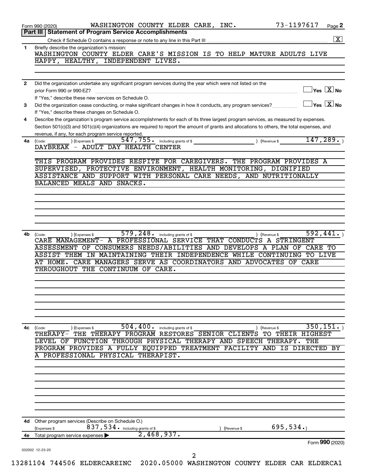| WASHINGTON COUNTY ELDER CARE'S MISSION IS TO HELP MATURE ADULTS LIVE<br>$\gamma$ es $\boxed{\text{X}}$ No<br>$\sqrt{\mathsf{Yes}\ \mathsf{X}}$ No                                                                                 |
|-----------------------------------------------------------------------------------------------------------------------------------------------------------------------------------------------------------------------------------|
|                                                                                                                                                                                                                                   |
|                                                                                                                                                                                                                                   |
|                                                                                                                                                                                                                                   |
|                                                                                                                                                                                                                                   |
|                                                                                                                                                                                                                                   |
|                                                                                                                                                                                                                                   |
| Describe the organization's program service accomplishments for each of its three largest program services, as measured by expenses.                                                                                              |
| Section 501(c)(3) and 501(c)(4) organizations are required to report the amount of grants and allocations to others, the total expenses, and                                                                                      |
| 147,289.                                                                                                                                                                                                                          |
|                                                                                                                                                                                                                                   |
| THIS PROGRAM PROVIDES RESPITE FOR CAREGIVERS. THE PROGRAM PROVIDES A                                                                                                                                                              |
| SUPERVISED, PROTECTIVE ENVIRONMENT, HEALTH MONITORING, DIGNIFIED<br>ASSISTANCE AND SUPPORT WITH PERSONAL CARE NEEDS, AND NUTRITIONALLY                                                                                            |
|                                                                                                                                                                                                                                   |
|                                                                                                                                                                                                                                   |
|                                                                                                                                                                                                                                   |
|                                                                                                                                                                                                                                   |
|                                                                                                                                                                                                                                   |
| 592,441.<br>CARE MANAGEMENT- A PROFESSIONAL SERVICE THAT CONDUCTS A STRINGENT<br>ASSESSMENT OF CONSUMERS NEEDS/ABILITIES AND DEVELOPS A PLAN OF CARE TO<br>ASSIST THEM IN MAINTAINING THEIR INDEPENDENCE WHILE CONTINUING TO LIVE |
| OF CARE                                                                                                                                                                                                                           |
|                                                                                                                                                                                                                                   |
|                                                                                                                                                                                                                                   |
|                                                                                                                                                                                                                                   |
|                                                                                                                                                                                                                                   |
| 350, 151.                                                                                                                                                                                                                         |
| THERAPY- THE THERAPY PROGRAM RESTORES SENIOR CLIENTS TO THEIR HIGHEST                                                                                                                                                             |
| THE<br>IS DIRECTED BY                                                                                                                                                                                                             |
|                                                                                                                                                                                                                                   |
|                                                                                                                                                                                                                                   |
|                                                                                                                                                                                                                                   |
|                                                                                                                                                                                                                                   |
|                                                                                                                                                                                                                                   |
|                                                                                                                                                                                                                                   |
|                                                                                                                                                                                                                                   |
| 695,534.                                                                                                                                                                                                                          |
| Form 990 (2020)                                                                                                                                                                                                                   |
|                                                                                                                                                                                                                                   |
| 13281104 744506 ELDERCAREINC 2020.05000 WASHINGTON COUNTY ELDER CAR ELDERCA1                                                                                                                                                      |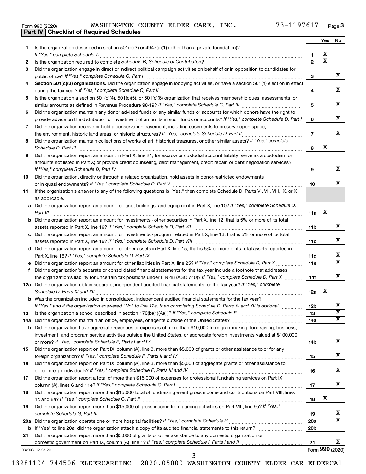|  | Form 990 (2020) |
|--|-----------------|
|  |                 |

**Part IV Checklist of Required Schedules**

Form 990 (2020) Page WASHINGTON COUNTY ELDER CARE, INC. 73-1197617

| Is the organization described in section 501(c)(3) or 4947(a)(1) (other than a private foundation)?<br>1<br>х<br>If "Yes," complete Schedule A<br>1<br>$\overline{\textbf{x}}$<br>$\overline{2}$<br>2<br>Did the organization engage in direct or indirect political campaign activities on behalf of or in opposition to candidates for<br>3<br>x<br>public office? If "Yes," complete Schedule C, Part I<br>3<br>Section 501(c)(3) organizations. Did the organization engage in lobbying activities, or have a section 501(h) election in effect<br>4<br>х<br>4<br>Is the organization a section 501(c)(4), 501(c)(5), or 501(c)(6) organization that receives membership dues, assessments, or<br>5<br>х<br>5<br>Did the organization maintain any donor advised funds or any similar funds or accounts for which donors have the right to<br>6<br>x<br>provide advice on the distribution or investment of amounts in such funds or accounts? If "Yes," complete Schedule D, Part I<br>6<br>Did the organization receive or hold a conservation easement, including easements to preserve open space,<br>7<br>x<br>the environment, historic land areas, or historic structures? If "Yes," complete Schedule D, Part II<br>$\overline{7}$<br>Did the organization maintain collections of works of art, historical treasures, or other similar assets? If "Yes," complete<br>8<br>х<br>Schedule D, Part III<br>8<br>Did the organization report an amount in Part X, line 21, for escrow or custodial account liability, serve as a custodian for<br>9<br>amounts not listed in Part X; or provide credit counseling, debt management, credit repair, or debt negotiation services?<br>x<br>If "Yes," complete Schedule D, Part IV<br>9<br>Did the organization, directly or through a related organization, hold assets in donor-restricted endowments<br>x<br>10<br>If the organization's answer to any of the following questions is "Yes," then complete Schedule D, Parts VI, VII, VIII, IX, or X<br>as applicable.<br>a Did the organization report an amount for land, buildings, and equipment in Part X, line 10? If "Yes," complete Schedule D,<br>х<br>Part VI<br>11a<br><b>b</b> Did the organization report an amount for investments - other securities in Part X, line 12, that is 5% or more of its total<br>x<br>11b<br>c Did the organization report an amount for investments - program related in Part X, line 13, that is 5% or more of its total<br>х<br>11c<br>d Did the organization report an amount for other assets in Part X, line 15, that is 5% or more of its total assets reported in<br>х<br>11d<br>$\overline{\text{X}}$<br>e Did the organization report an amount for other liabilities in Part X, line 25? If "Yes," complete Schedule D, Part X<br>11e<br>Did the organization's separate or consolidated financial statements for the tax year include a footnote that addresses<br>f.<br>x<br>the organization's liability for uncertain tax positions under FIN 48 (ASC 740)? If "Yes," complete Schedule D, Part X<br>11f<br>12a Did the organization obtain separate, independent audited financial statements for the tax year? If "Yes," complete<br>x<br>Schedule D, Parts XI and XII<br>12a<br><b>b</b> Was the organization included in consolidated, independent audited financial statements for the tax year?<br>х<br>If "Yes," and if the organization answered "No" to line 12a, then completing Schedule D, Parts XI and XII is optional<br>12 <sub>b</sub><br>$\overline{\textbf{X}}$<br>13<br>Is the organization a school described in section $170(b)(1)(A)(ii)$ ? If "Yes," complete Schedule E<br>13<br>х<br>14a Did the organization maintain an office, employees, or agents outside of the United States?<br>14a<br><b>b</b> Did the organization have aggregate revenues or expenses of more than \$10,000 from grantmaking, fundraising, business,<br>investment, and program service activities outside the United States, or aggregate foreign investments valued at \$100,000<br>х<br>14b<br>Did the organization report on Part IX, column (A), line 3, more than \$5,000 of grants or other assistance to or for any<br>х<br>foreign organization? If "Yes," complete Schedule F, Parts II and IV<br>15<br>Did the organization report on Part IX, column (A), line 3, more than \$5,000 of aggregate grants or other assistance to<br>16<br>х<br>16<br>Did the organization report a total of more than \$15,000 of expenses for professional fundraising services on Part IX,<br>х<br>17<br>Did the organization report more than \$15,000 total of fundraising event gross income and contributions on Part VIII, lines<br>18<br>х<br>18<br>Did the organization report more than \$15,000 of gross income from gaming activities on Part VIII, line 9a? If "Yes,"<br>19<br>x<br>19<br>X<br>20a<br>20 <sub>b</sub><br>Did the organization report more than \$5,000 of grants or other assistance to any domestic organization or<br>21<br>x<br>21 |    |  | Yes | No |
|----------------------------------------------------------------------------------------------------------------------------------------------------------------------------------------------------------------------------------------------------------------------------------------------------------------------------------------------------------------------------------------------------------------------------------------------------------------------------------------------------------------------------------------------------------------------------------------------------------------------------------------------------------------------------------------------------------------------------------------------------------------------------------------------------------------------------------------------------------------------------------------------------------------------------------------------------------------------------------------------------------------------------------------------------------------------------------------------------------------------------------------------------------------------------------------------------------------------------------------------------------------------------------------------------------------------------------------------------------------------------------------------------------------------------------------------------------------------------------------------------------------------------------------------------------------------------------------------------------------------------------------------------------------------------------------------------------------------------------------------------------------------------------------------------------------------------------------------------------------------------------------------------------------------------------------------------------------------------------------------------------------------------------------------------------------------------------------------------------------------------------------------------------------------------------------------------------------------------------------------------------------------------------------------------------------------------------------------------------------------------------------------------------------------------------------------------------------------------------------------------------------------------------------------------------------------------------------------------------------------------------------------------------------------------------------------------------------------------------------------------------------------------------------------------------------------------------------------------------------------------------------------------------------------------------------------------------------------------------------------------------------------------------------------------------------------------------------------------------------------------------------------------------------------------------------------------------------------------------------------------------------------------------------------------------------------------------------------------------------------------------------------------------------------------------------------------------------------------------------------------------------------------------------------------------------------------------------------------------------------------------------------------------------------------------------------------------------------------------------------------------------------------------------------------------------------------------------------------------------------------------------------------------------------------------------------------------------------------------------------------------------------------------------------------------------------------------------------------------------------------------------------------------------------------------------------------------------------------------------------------------------------------------------------------------------------------------------------------------------------------------------------------------------------------------------------------------------------------------------------------------------------------------------------------------------------------------------------------------------------------------------------------------------------------------------------------------------------------------------------------------------------------------------------------------------------------------------------------------------------------------------------------------------------------------------------------------------------------------------------------------------------------------|----|--|-----|----|
|                                                                                                                                                                                                                                                                                                                                                                                                                                                                                                                                                                                                                                                                                                                                                                                                                                                                                                                                                                                                                                                                                                                                                                                                                                                                                                                                                                                                                                                                                                                                                                                                                                                                                                                                                                                                                                                                                                                                                                                                                                                                                                                                                                                                                                                                                                                                                                                                                                                                                                                                                                                                                                                                                                                                                                                                                                                                                                                                                                                                                                                                                                                                                                                                                                                                                                                                                                                                                                                                                                                                                                                                                                                                                                                                                                                                                                                                                                                                                                                                                                                                                                                                                                                                                                                                                                                                                                                                                                                                                                                                                                                                                                                                                                                                                                                                                                                                                                                                                                                                                                  |    |  |     |    |
|                                                                                                                                                                                                                                                                                                                                                                                                                                                                                                                                                                                                                                                                                                                                                                                                                                                                                                                                                                                                                                                                                                                                                                                                                                                                                                                                                                                                                                                                                                                                                                                                                                                                                                                                                                                                                                                                                                                                                                                                                                                                                                                                                                                                                                                                                                                                                                                                                                                                                                                                                                                                                                                                                                                                                                                                                                                                                                                                                                                                                                                                                                                                                                                                                                                                                                                                                                                                                                                                                                                                                                                                                                                                                                                                                                                                                                                                                                                                                                                                                                                                                                                                                                                                                                                                                                                                                                                                                                                                                                                                                                                                                                                                                                                                                                                                                                                                                                                                                                                                                                  |    |  |     |    |
|                                                                                                                                                                                                                                                                                                                                                                                                                                                                                                                                                                                                                                                                                                                                                                                                                                                                                                                                                                                                                                                                                                                                                                                                                                                                                                                                                                                                                                                                                                                                                                                                                                                                                                                                                                                                                                                                                                                                                                                                                                                                                                                                                                                                                                                                                                                                                                                                                                                                                                                                                                                                                                                                                                                                                                                                                                                                                                                                                                                                                                                                                                                                                                                                                                                                                                                                                                                                                                                                                                                                                                                                                                                                                                                                                                                                                                                                                                                                                                                                                                                                                                                                                                                                                                                                                                                                                                                                                                                                                                                                                                                                                                                                                                                                                                                                                                                                                                                                                                                                                                  |    |  |     |    |
|                                                                                                                                                                                                                                                                                                                                                                                                                                                                                                                                                                                                                                                                                                                                                                                                                                                                                                                                                                                                                                                                                                                                                                                                                                                                                                                                                                                                                                                                                                                                                                                                                                                                                                                                                                                                                                                                                                                                                                                                                                                                                                                                                                                                                                                                                                                                                                                                                                                                                                                                                                                                                                                                                                                                                                                                                                                                                                                                                                                                                                                                                                                                                                                                                                                                                                                                                                                                                                                                                                                                                                                                                                                                                                                                                                                                                                                                                                                                                                                                                                                                                                                                                                                                                                                                                                                                                                                                                                                                                                                                                                                                                                                                                                                                                                                                                                                                                                                                                                                                                                  |    |  |     |    |
|                                                                                                                                                                                                                                                                                                                                                                                                                                                                                                                                                                                                                                                                                                                                                                                                                                                                                                                                                                                                                                                                                                                                                                                                                                                                                                                                                                                                                                                                                                                                                                                                                                                                                                                                                                                                                                                                                                                                                                                                                                                                                                                                                                                                                                                                                                                                                                                                                                                                                                                                                                                                                                                                                                                                                                                                                                                                                                                                                                                                                                                                                                                                                                                                                                                                                                                                                                                                                                                                                                                                                                                                                                                                                                                                                                                                                                                                                                                                                                                                                                                                                                                                                                                                                                                                                                                                                                                                                                                                                                                                                                                                                                                                                                                                                                                                                                                                                                                                                                                                                                  |    |  |     |    |
|                                                                                                                                                                                                                                                                                                                                                                                                                                                                                                                                                                                                                                                                                                                                                                                                                                                                                                                                                                                                                                                                                                                                                                                                                                                                                                                                                                                                                                                                                                                                                                                                                                                                                                                                                                                                                                                                                                                                                                                                                                                                                                                                                                                                                                                                                                                                                                                                                                                                                                                                                                                                                                                                                                                                                                                                                                                                                                                                                                                                                                                                                                                                                                                                                                                                                                                                                                                                                                                                                                                                                                                                                                                                                                                                                                                                                                                                                                                                                                                                                                                                                                                                                                                                                                                                                                                                                                                                                                                                                                                                                                                                                                                                                                                                                                                                                                                                                                                                                                                                                                  |    |  |     |    |
|                                                                                                                                                                                                                                                                                                                                                                                                                                                                                                                                                                                                                                                                                                                                                                                                                                                                                                                                                                                                                                                                                                                                                                                                                                                                                                                                                                                                                                                                                                                                                                                                                                                                                                                                                                                                                                                                                                                                                                                                                                                                                                                                                                                                                                                                                                                                                                                                                                                                                                                                                                                                                                                                                                                                                                                                                                                                                                                                                                                                                                                                                                                                                                                                                                                                                                                                                                                                                                                                                                                                                                                                                                                                                                                                                                                                                                                                                                                                                                                                                                                                                                                                                                                                                                                                                                                                                                                                                                                                                                                                                                                                                                                                                                                                                                                                                                                                                                                                                                                                                                  |    |  |     |    |
|                                                                                                                                                                                                                                                                                                                                                                                                                                                                                                                                                                                                                                                                                                                                                                                                                                                                                                                                                                                                                                                                                                                                                                                                                                                                                                                                                                                                                                                                                                                                                                                                                                                                                                                                                                                                                                                                                                                                                                                                                                                                                                                                                                                                                                                                                                                                                                                                                                                                                                                                                                                                                                                                                                                                                                                                                                                                                                                                                                                                                                                                                                                                                                                                                                                                                                                                                                                                                                                                                                                                                                                                                                                                                                                                                                                                                                                                                                                                                                                                                                                                                                                                                                                                                                                                                                                                                                                                                                                                                                                                                                                                                                                                                                                                                                                                                                                                                                                                                                                                                                  |    |  |     |    |
|                                                                                                                                                                                                                                                                                                                                                                                                                                                                                                                                                                                                                                                                                                                                                                                                                                                                                                                                                                                                                                                                                                                                                                                                                                                                                                                                                                                                                                                                                                                                                                                                                                                                                                                                                                                                                                                                                                                                                                                                                                                                                                                                                                                                                                                                                                                                                                                                                                                                                                                                                                                                                                                                                                                                                                                                                                                                                                                                                                                                                                                                                                                                                                                                                                                                                                                                                                                                                                                                                                                                                                                                                                                                                                                                                                                                                                                                                                                                                                                                                                                                                                                                                                                                                                                                                                                                                                                                                                                                                                                                                                                                                                                                                                                                                                                                                                                                                                                                                                                                                                  |    |  |     |    |
|                                                                                                                                                                                                                                                                                                                                                                                                                                                                                                                                                                                                                                                                                                                                                                                                                                                                                                                                                                                                                                                                                                                                                                                                                                                                                                                                                                                                                                                                                                                                                                                                                                                                                                                                                                                                                                                                                                                                                                                                                                                                                                                                                                                                                                                                                                                                                                                                                                                                                                                                                                                                                                                                                                                                                                                                                                                                                                                                                                                                                                                                                                                                                                                                                                                                                                                                                                                                                                                                                                                                                                                                                                                                                                                                                                                                                                                                                                                                                                                                                                                                                                                                                                                                                                                                                                                                                                                                                                                                                                                                                                                                                                                                                                                                                                                                                                                                                                                                                                                                                                  |    |  |     |    |
|                                                                                                                                                                                                                                                                                                                                                                                                                                                                                                                                                                                                                                                                                                                                                                                                                                                                                                                                                                                                                                                                                                                                                                                                                                                                                                                                                                                                                                                                                                                                                                                                                                                                                                                                                                                                                                                                                                                                                                                                                                                                                                                                                                                                                                                                                                                                                                                                                                                                                                                                                                                                                                                                                                                                                                                                                                                                                                                                                                                                                                                                                                                                                                                                                                                                                                                                                                                                                                                                                                                                                                                                                                                                                                                                                                                                                                                                                                                                                                                                                                                                                                                                                                                                                                                                                                                                                                                                                                                                                                                                                                                                                                                                                                                                                                                                                                                                                                                                                                                                                                  |    |  |     |    |
|                                                                                                                                                                                                                                                                                                                                                                                                                                                                                                                                                                                                                                                                                                                                                                                                                                                                                                                                                                                                                                                                                                                                                                                                                                                                                                                                                                                                                                                                                                                                                                                                                                                                                                                                                                                                                                                                                                                                                                                                                                                                                                                                                                                                                                                                                                                                                                                                                                                                                                                                                                                                                                                                                                                                                                                                                                                                                                                                                                                                                                                                                                                                                                                                                                                                                                                                                                                                                                                                                                                                                                                                                                                                                                                                                                                                                                                                                                                                                                                                                                                                                                                                                                                                                                                                                                                                                                                                                                                                                                                                                                                                                                                                                                                                                                                                                                                                                                                                                                                                                                  |    |  |     |    |
|                                                                                                                                                                                                                                                                                                                                                                                                                                                                                                                                                                                                                                                                                                                                                                                                                                                                                                                                                                                                                                                                                                                                                                                                                                                                                                                                                                                                                                                                                                                                                                                                                                                                                                                                                                                                                                                                                                                                                                                                                                                                                                                                                                                                                                                                                                                                                                                                                                                                                                                                                                                                                                                                                                                                                                                                                                                                                                                                                                                                                                                                                                                                                                                                                                                                                                                                                                                                                                                                                                                                                                                                                                                                                                                                                                                                                                                                                                                                                                                                                                                                                                                                                                                                                                                                                                                                                                                                                                                                                                                                                                                                                                                                                                                                                                                                                                                                                                                                                                                                                                  |    |  |     |    |
|                                                                                                                                                                                                                                                                                                                                                                                                                                                                                                                                                                                                                                                                                                                                                                                                                                                                                                                                                                                                                                                                                                                                                                                                                                                                                                                                                                                                                                                                                                                                                                                                                                                                                                                                                                                                                                                                                                                                                                                                                                                                                                                                                                                                                                                                                                                                                                                                                                                                                                                                                                                                                                                                                                                                                                                                                                                                                                                                                                                                                                                                                                                                                                                                                                                                                                                                                                                                                                                                                                                                                                                                                                                                                                                                                                                                                                                                                                                                                                                                                                                                                                                                                                                                                                                                                                                                                                                                                                                                                                                                                                                                                                                                                                                                                                                                                                                                                                                                                                                                                                  |    |  |     |    |
|                                                                                                                                                                                                                                                                                                                                                                                                                                                                                                                                                                                                                                                                                                                                                                                                                                                                                                                                                                                                                                                                                                                                                                                                                                                                                                                                                                                                                                                                                                                                                                                                                                                                                                                                                                                                                                                                                                                                                                                                                                                                                                                                                                                                                                                                                                                                                                                                                                                                                                                                                                                                                                                                                                                                                                                                                                                                                                                                                                                                                                                                                                                                                                                                                                                                                                                                                                                                                                                                                                                                                                                                                                                                                                                                                                                                                                                                                                                                                                                                                                                                                                                                                                                                                                                                                                                                                                                                                                                                                                                                                                                                                                                                                                                                                                                                                                                                                                                                                                                                                                  |    |  |     |    |
|                                                                                                                                                                                                                                                                                                                                                                                                                                                                                                                                                                                                                                                                                                                                                                                                                                                                                                                                                                                                                                                                                                                                                                                                                                                                                                                                                                                                                                                                                                                                                                                                                                                                                                                                                                                                                                                                                                                                                                                                                                                                                                                                                                                                                                                                                                                                                                                                                                                                                                                                                                                                                                                                                                                                                                                                                                                                                                                                                                                                                                                                                                                                                                                                                                                                                                                                                                                                                                                                                                                                                                                                                                                                                                                                                                                                                                                                                                                                                                                                                                                                                                                                                                                                                                                                                                                                                                                                                                                                                                                                                                                                                                                                                                                                                                                                                                                                                                                                                                                                                                  |    |  |     |    |
|                                                                                                                                                                                                                                                                                                                                                                                                                                                                                                                                                                                                                                                                                                                                                                                                                                                                                                                                                                                                                                                                                                                                                                                                                                                                                                                                                                                                                                                                                                                                                                                                                                                                                                                                                                                                                                                                                                                                                                                                                                                                                                                                                                                                                                                                                                                                                                                                                                                                                                                                                                                                                                                                                                                                                                                                                                                                                                                                                                                                                                                                                                                                                                                                                                                                                                                                                                                                                                                                                                                                                                                                                                                                                                                                                                                                                                                                                                                                                                                                                                                                                                                                                                                                                                                                                                                                                                                                                                                                                                                                                                                                                                                                                                                                                                                                                                                                                                                                                                                                                                  |    |  |     |    |
|                                                                                                                                                                                                                                                                                                                                                                                                                                                                                                                                                                                                                                                                                                                                                                                                                                                                                                                                                                                                                                                                                                                                                                                                                                                                                                                                                                                                                                                                                                                                                                                                                                                                                                                                                                                                                                                                                                                                                                                                                                                                                                                                                                                                                                                                                                                                                                                                                                                                                                                                                                                                                                                                                                                                                                                                                                                                                                                                                                                                                                                                                                                                                                                                                                                                                                                                                                                                                                                                                                                                                                                                                                                                                                                                                                                                                                                                                                                                                                                                                                                                                                                                                                                                                                                                                                                                                                                                                                                                                                                                                                                                                                                                                                                                                                                                                                                                                                                                                                                                                                  | 10 |  |     |    |
|                                                                                                                                                                                                                                                                                                                                                                                                                                                                                                                                                                                                                                                                                                                                                                                                                                                                                                                                                                                                                                                                                                                                                                                                                                                                                                                                                                                                                                                                                                                                                                                                                                                                                                                                                                                                                                                                                                                                                                                                                                                                                                                                                                                                                                                                                                                                                                                                                                                                                                                                                                                                                                                                                                                                                                                                                                                                                                                                                                                                                                                                                                                                                                                                                                                                                                                                                                                                                                                                                                                                                                                                                                                                                                                                                                                                                                                                                                                                                                                                                                                                                                                                                                                                                                                                                                                                                                                                                                                                                                                                                                                                                                                                                                                                                                                                                                                                                                                                                                                                                                  |    |  |     |    |
|                                                                                                                                                                                                                                                                                                                                                                                                                                                                                                                                                                                                                                                                                                                                                                                                                                                                                                                                                                                                                                                                                                                                                                                                                                                                                                                                                                                                                                                                                                                                                                                                                                                                                                                                                                                                                                                                                                                                                                                                                                                                                                                                                                                                                                                                                                                                                                                                                                                                                                                                                                                                                                                                                                                                                                                                                                                                                                                                                                                                                                                                                                                                                                                                                                                                                                                                                                                                                                                                                                                                                                                                                                                                                                                                                                                                                                                                                                                                                                                                                                                                                                                                                                                                                                                                                                                                                                                                                                                                                                                                                                                                                                                                                                                                                                                                                                                                                                                                                                                                                                  | 11 |  |     |    |
|                                                                                                                                                                                                                                                                                                                                                                                                                                                                                                                                                                                                                                                                                                                                                                                                                                                                                                                                                                                                                                                                                                                                                                                                                                                                                                                                                                                                                                                                                                                                                                                                                                                                                                                                                                                                                                                                                                                                                                                                                                                                                                                                                                                                                                                                                                                                                                                                                                                                                                                                                                                                                                                                                                                                                                                                                                                                                                                                                                                                                                                                                                                                                                                                                                                                                                                                                                                                                                                                                                                                                                                                                                                                                                                                                                                                                                                                                                                                                                                                                                                                                                                                                                                                                                                                                                                                                                                                                                                                                                                                                                                                                                                                                                                                                                                                                                                                                                                                                                                                                                  |    |  |     |    |
|                                                                                                                                                                                                                                                                                                                                                                                                                                                                                                                                                                                                                                                                                                                                                                                                                                                                                                                                                                                                                                                                                                                                                                                                                                                                                                                                                                                                                                                                                                                                                                                                                                                                                                                                                                                                                                                                                                                                                                                                                                                                                                                                                                                                                                                                                                                                                                                                                                                                                                                                                                                                                                                                                                                                                                                                                                                                                                                                                                                                                                                                                                                                                                                                                                                                                                                                                                                                                                                                                                                                                                                                                                                                                                                                                                                                                                                                                                                                                                                                                                                                                                                                                                                                                                                                                                                                                                                                                                                                                                                                                                                                                                                                                                                                                                                                                                                                                                                                                                                                                                  |    |  |     |    |
|                                                                                                                                                                                                                                                                                                                                                                                                                                                                                                                                                                                                                                                                                                                                                                                                                                                                                                                                                                                                                                                                                                                                                                                                                                                                                                                                                                                                                                                                                                                                                                                                                                                                                                                                                                                                                                                                                                                                                                                                                                                                                                                                                                                                                                                                                                                                                                                                                                                                                                                                                                                                                                                                                                                                                                                                                                                                                                                                                                                                                                                                                                                                                                                                                                                                                                                                                                                                                                                                                                                                                                                                                                                                                                                                                                                                                                                                                                                                                                                                                                                                                                                                                                                                                                                                                                                                                                                                                                                                                                                                                                                                                                                                                                                                                                                                                                                                                                                                                                                                                                  |    |  |     |    |
|                                                                                                                                                                                                                                                                                                                                                                                                                                                                                                                                                                                                                                                                                                                                                                                                                                                                                                                                                                                                                                                                                                                                                                                                                                                                                                                                                                                                                                                                                                                                                                                                                                                                                                                                                                                                                                                                                                                                                                                                                                                                                                                                                                                                                                                                                                                                                                                                                                                                                                                                                                                                                                                                                                                                                                                                                                                                                                                                                                                                                                                                                                                                                                                                                                                                                                                                                                                                                                                                                                                                                                                                                                                                                                                                                                                                                                                                                                                                                                                                                                                                                                                                                                                                                                                                                                                                                                                                                                                                                                                                                                                                                                                                                                                                                                                                                                                                                                                                                                                                                                  |    |  |     |    |
|                                                                                                                                                                                                                                                                                                                                                                                                                                                                                                                                                                                                                                                                                                                                                                                                                                                                                                                                                                                                                                                                                                                                                                                                                                                                                                                                                                                                                                                                                                                                                                                                                                                                                                                                                                                                                                                                                                                                                                                                                                                                                                                                                                                                                                                                                                                                                                                                                                                                                                                                                                                                                                                                                                                                                                                                                                                                                                                                                                                                                                                                                                                                                                                                                                                                                                                                                                                                                                                                                                                                                                                                                                                                                                                                                                                                                                                                                                                                                                                                                                                                                                                                                                                                                                                                                                                                                                                                                                                                                                                                                                                                                                                                                                                                                                                                                                                                                                                                                                                                                                  |    |  |     |    |
|                                                                                                                                                                                                                                                                                                                                                                                                                                                                                                                                                                                                                                                                                                                                                                                                                                                                                                                                                                                                                                                                                                                                                                                                                                                                                                                                                                                                                                                                                                                                                                                                                                                                                                                                                                                                                                                                                                                                                                                                                                                                                                                                                                                                                                                                                                                                                                                                                                                                                                                                                                                                                                                                                                                                                                                                                                                                                                                                                                                                                                                                                                                                                                                                                                                                                                                                                                                                                                                                                                                                                                                                                                                                                                                                                                                                                                                                                                                                                                                                                                                                                                                                                                                                                                                                                                                                                                                                                                                                                                                                                                                                                                                                                                                                                                                                                                                                                                                                                                                                                                  |    |  |     |    |
|                                                                                                                                                                                                                                                                                                                                                                                                                                                                                                                                                                                                                                                                                                                                                                                                                                                                                                                                                                                                                                                                                                                                                                                                                                                                                                                                                                                                                                                                                                                                                                                                                                                                                                                                                                                                                                                                                                                                                                                                                                                                                                                                                                                                                                                                                                                                                                                                                                                                                                                                                                                                                                                                                                                                                                                                                                                                                                                                                                                                                                                                                                                                                                                                                                                                                                                                                                                                                                                                                                                                                                                                                                                                                                                                                                                                                                                                                                                                                                                                                                                                                                                                                                                                                                                                                                                                                                                                                                                                                                                                                                                                                                                                                                                                                                                                                                                                                                                                                                                                                                  |    |  |     |    |
|                                                                                                                                                                                                                                                                                                                                                                                                                                                                                                                                                                                                                                                                                                                                                                                                                                                                                                                                                                                                                                                                                                                                                                                                                                                                                                                                                                                                                                                                                                                                                                                                                                                                                                                                                                                                                                                                                                                                                                                                                                                                                                                                                                                                                                                                                                                                                                                                                                                                                                                                                                                                                                                                                                                                                                                                                                                                                                                                                                                                                                                                                                                                                                                                                                                                                                                                                                                                                                                                                                                                                                                                                                                                                                                                                                                                                                                                                                                                                                                                                                                                                                                                                                                                                                                                                                                                                                                                                                                                                                                                                                                                                                                                                                                                                                                                                                                                                                                                                                                                                                  |    |  |     |    |
|                                                                                                                                                                                                                                                                                                                                                                                                                                                                                                                                                                                                                                                                                                                                                                                                                                                                                                                                                                                                                                                                                                                                                                                                                                                                                                                                                                                                                                                                                                                                                                                                                                                                                                                                                                                                                                                                                                                                                                                                                                                                                                                                                                                                                                                                                                                                                                                                                                                                                                                                                                                                                                                                                                                                                                                                                                                                                                                                                                                                                                                                                                                                                                                                                                                                                                                                                                                                                                                                                                                                                                                                                                                                                                                                                                                                                                                                                                                                                                                                                                                                                                                                                                                                                                                                                                                                                                                                                                                                                                                                                                                                                                                                                                                                                                                                                                                                                                                                                                                                                                  |    |  |     |    |
|                                                                                                                                                                                                                                                                                                                                                                                                                                                                                                                                                                                                                                                                                                                                                                                                                                                                                                                                                                                                                                                                                                                                                                                                                                                                                                                                                                                                                                                                                                                                                                                                                                                                                                                                                                                                                                                                                                                                                                                                                                                                                                                                                                                                                                                                                                                                                                                                                                                                                                                                                                                                                                                                                                                                                                                                                                                                                                                                                                                                                                                                                                                                                                                                                                                                                                                                                                                                                                                                                                                                                                                                                                                                                                                                                                                                                                                                                                                                                                                                                                                                                                                                                                                                                                                                                                                                                                                                                                                                                                                                                                                                                                                                                                                                                                                                                                                                                                                                                                                                                                  |    |  |     |    |
|                                                                                                                                                                                                                                                                                                                                                                                                                                                                                                                                                                                                                                                                                                                                                                                                                                                                                                                                                                                                                                                                                                                                                                                                                                                                                                                                                                                                                                                                                                                                                                                                                                                                                                                                                                                                                                                                                                                                                                                                                                                                                                                                                                                                                                                                                                                                                                                                                                                                                                                                                                                                                                                                                                                                                                                                                                                                                                                                                                                                                                                                                                                                                                                                                                                                                                                                                                                                                                                                                                                                                                                                                                                                                                                                                                                                                                                                                                                                                                                                                                                                                                                                                                                                                                                                                                                                                                                                                                                                                                                                                                                                                                                                                                                                                                                                                                                                                                                                                                                                                                  |    |  |     |    |
|                                                                                                                                                                                                                                                                                                                                                                                                                                                                                                                                                                                                                                                                                                                                                                                                                                                                                                                                                                                                                                                                                                                                                                                                                                                                                                                                                                                                                                                                                                                                                                                                                                                                                                                                                                                                                                                                                                                                                                                                                                                                                                                                                                                                                                                                                                                                                                                                                                                                                                                                                                                                                                                                                                                                                                                                                                                                                                                                                                                                                                                                                                                                                                                                                                                                                                                                                                                                                                                                                                                                                                                                                                                                                                                                                                                                                                                                                                                                                                                                                                                                                                                                                                                                                                                                                                                                                                                                                                                                                                                                                                                                                                                                                                                                                                                                                                                                                                                                                                                                                                  |    |  |     |    |
|                                                                                                                                                                                                                                                                                                                                                                                                                                                                                                                                                                                                                                                                                                                                                                                                                                                                                                                                                                                                                                                                                                                                                                                                                                                                                                                                                                                                                                                                                                                                                                                                                                                                                                                                                                                                                                                                                                                                                                                                                                                                                                                                                                                                                                                                                                                                                                                                                                                                                                                                                                                                                                                                                                                                                                                                                                                                                                                                                                                                                                                                                                                                                                                                                                                                                                                                                                                                                                                                                                                                                                                                                                                                                                                                                                                                                                                                                                                                                                                                                                                                                                                                                                                                                                                                                                                                                                                                                                                                                                                                                                                                                                                                                                                                                                                                                                                                                                                                                                                                                                  |    |  |     |    |
|                                                                                                                                                                                                                                                                                                                                                                                                                                                                                                                                                                                                                                                                                                                                                                                                                                                                                                                                                                                                                                                                                                                                                                                                                                                                                                                                                                                                                                                                                                                                                                                                                                                                                                                                                                                                                                                                                                                                                                                                                                                                                                                                                                                                                                                                                                                                                                                                                                                                                                                                                                                                                                                                                                                                                                                                                                                                                                                                                                                                                                                                                                                                                                                                                                                                                                                                                                                                                                                                                                                                                                                                                                                                                                                                                                                                                                                                                                                                                                                                                                                                                                                                                                                                                                                                                                                                                                                                                                                                                                                                                                                                                                                                                                                                                                                                                                                                                                                                                                                                                                  |    |  |     |    |
|                                                                                                                                                                                                                                                                                                                                                                                                                                                                                                                                                                                                                                                                                                                                                                                                                                                                                                                                                                                                                                                                                                                                                                                                                                                                                                                                                                                                                                                                                                                                                                                                                                                                                                                                                                                                                                                                                                                                                                                                                                                                                                                                                                                                                                                                                                                                                                                                                                                                                                                                                                                                                                                                                                                                                                                                                                                                                                                                                                                                                                                                                                                                                                                                                                                                                                                                                                                                                                                                                                                                                                                                                                                                                                                                                                                                                                                                                                                                                                                                                                                                                                                                                                                                                                                                                                                                                                                                                                                                                                                                                                                                                                                                                                                                                                                                                                                                                                                                                                                                                                  |    |  |     |    |
|                                                                                                                                                                                                                                                                                                                                                                                                                                                                                                                                                                                                                                                                                                                                                                                                                                                                                                                                                                                                                                                                                                                                                                                                                                                                                                                                                                                                                                                                                                                                                                                                                                                                                                                                                                                                                                                                                                                                                                                                                                                                                                                                                                                                                                                                                                                                                                                                                                                                                                                                                                                                                                                                                                                                                                                                                                                                                                                                                                                                                                                                                                                                                                                                                                                                                                                                                                                                                                                                                                                                                                                                                                                                                                                                                                                                                                                                                                                                                                                                                                                                                                                                                                                                                                                                                                                                                                                                                                                                                                                                                                                                                                                                                                                                                                                                                                                                                                                                                                                                                                  |    |  |     |    |
|                                                                                                                                                                                                                                                                                                                                                                                                                                                                                                                                                                                                                                                                                                                                                                                                                                                                                                                                                                                                                                                                                                                                                                                                                                                                                                                                                                                                                                                                                                                                                                                                                                                                                                                                                                                                                                                                                                                                                                                                                                                                                                                                                                                                                                                                                                                                                                                                                                                                                                                                                                                                                                                                                                                                                                                                                                                                                                                                                                                                                                                                                                                                                                                                                                                                                                                                                                                                                                                                                                                                                                                                                                                                                                                                                                                                                                                                                                                                                                                                                                                                                                                                                                                                                                                                                                                                                                                                                                                                                                                                                                                                                                                                                                                                                                                                                                                                                                                                                                                                                                  |    |  |     |    |
|                                                                                                                                                                                                                                                                                                                                                                                                                                                                                                                                                                                                                                                                                                                                                                                                                                                                                                                                                                                                                                                                                                                                                                                                                                                                                                                                                                                                                                                                                                                                                                                                                                                                                                                                                                                                                                                                                                                                                                                                                                                                                                                                                                                                                                                                                                                                                                                                                                                                                                                                                                                                                                                                                                                                                                                                                                                                                                                                                                                                                                                                                                                                                                                                                                                                                                                                                                                                                                                                                                                                                                                                                                                                                                                                                                                                                                                                                                                                                                                                                                                                                                                                                                                                                                                                                                                                                                                                                                                                                                                                                                                                                                                                                                                                                                                                                                                                                                                                                                                                                                  |    |  |     |    |
|                                                                                                                                                                                                                                                                                                                                                                                                                                                                                                                                                                                                                                                                                                                                                                                                                                                                                                                                                                                                                                                                                                                                                                                                                                                                                                                                                                                                                                                                                                                                                                                                                                                                                                                                                                                                                                                                                                                                                                                                                                                                                                                                                                                                                                                                                                                                                                                                                                                                                                                                                                                                                                                                                                                                                                                                                                                                                                                                                                                                                                                                                                                                                                                                                                                                                                                                                                                                                                                                                                                                                                                                                                                                                                                                                                                                                                                                                                                                                                                                                                                                                                                                                                                                                                                                                                                                                                                                                                                                                                                                                                                                                                                                                                                                                                                                                                                                                                                                                                                                                                  |    |  |     |    |
|                                                                                                                                                                                                                                                                                                                                                                                                                                                                                                                                                                                                                                                                                                                                                                                                                                                                                                                                                                                                                                                                                                                                                                                                                                                                                                                                                                                                                                                                                                                                                                                                                                                                                                                                                                                                                                                                                                                                                                                                                                                                                                                                                                                                                                                                                                                                                                                                                                                                                                                                                                                                                                                                                                                                                                                                                                                                                                                                                                                                                                                                                                                                                                                                                                                                                                                                                                                                                                                                                                                                                                                                                                                                                                                                                                                                                                                                                                                                                                                                                                                                                                                                                                                                                                                                                                                                                                                                                                                                                                                                                                                                                                                                                                                                                                                                                                                                                                                                                                                                                                  |    |  |     |    |
|                                                                                                                                                                                                                                                                                                                                                                                                                                                                                                                                                                                                                                                                                                                                                                                                                                                                                                                                                                                                                                                                                                                                                                                                                                                                                                                                                                                                                                                                                                                                                                                                                                                                                                                                                                                                                                                                                                                                                                                                                                                                                                                                                                                                                                                                                                                                                                                                                                                                                                                                                                                                                                                                                                                                                                                                                                                                                                                                                                                                                                                                                                                                                                                                                                                                                                                                                                                                                                                                                                                                                                                                                                                                                                                                                                                                                                                                                                                                                                                                                                                                                                                                                                                                                                                                                                                                                                                                                                                                                                                                                                                                                                                                                                                                                                                                                                                                                                                                                                                                                                  | 15 |  |     |    |
|                                                                                                                                                                                                                                                                                                                                                                                                                                                                                                                                                                                                                                                                                                                                                                                                                                                                                                                                                                                                                                                                                                                                                                                                                                                                                                                                                                                                                                                                                                                                                                                                                                                                                                                                                                                                                                                                                                                                                                                                                                                                                                                                                                                                                                                                                                                                                                                                                                                                                                                                                                                                                                                                                                                                                                                                                                                                                                                                                                                                                                                                                                                                                                                                                                                                                                                                                                                                                                                                                                                                                                                                                                                                                                                                                                                                                                                                                                                                                                                                                                                                                                                                                                                                                                                                                                                                                                                                                                                                                                                                                                                                                                                                                                                                                                                                                                                                                                                                                                                                                                  |    |  |     |    |
|                                                                                                                                                                                                                                                                                                                                                                                                                                                                                                                                                                                                                                                                                                                                                                                                                                                                                                                                                                                                                                                                                                                                                                                                                                                                                                                                                                                                                                                                                                                                                                                                                                                                                                                                                                                                                                                                                                                                                                                                                                                                                                                                                                                                                                                                                                                                                                                                                                                                                                                                                                                                                                                                                                                                                                                                                                                                                                                                                                                                                                                                                                                                                                                                                                                                                                                                                                                                                                                                                                                                                                                                                                                                                                                                                                                                                                                                                                                                                                                                                                                                                                                                                                                                                                                                                                                                                                                                                                                                                                                                                                                                                                                                                                                                                                                                                                                                                                                                                                                                                                  |    |  |     |    |
|                                                                                                                                                                                                                                                                                                                                                                                                                                                                                                                                                                                                                                                                                                                                                                                                                                                                                                                                                                                                                                                                                                                                                                                                                                                                                                                                                                                                                                                                                                                                                                                                                                                                                                                                                                                                                                                                                                                                                                                                                                                                                                                                                                                                                                                                                                                                                                                                                                                                                                                                                                                                                                                                                                                                                                                                                                                                                                                                                                                                                                                                                                                                                                                                                                                                                                                                                                                                                                                                                                                                                                                                                                                                                                                                                                                                                                                                                                                                                                                                                                                                                                                                                                                                                                                                                                                                                                                                                                                                                                                                                                                                                                                                                                                                                                                                                                                                                                                                                                                                                                  |    |  |     |    |
|                                                                                                                                                                                                                                                                                                                                                                                                                                                                                                                                                                                                                                                                                                                                                                                                                                                                                                                                                                                                                                                                                                                                                                                                                                                                                                                                                                                                                                                                                                                                                                                                                                                                                                                                                                                                                                                                                                                                                                                                                                                                                                                                                                                                                                                                                                                                                                                                                                                                                                                                                                                                                                                                                                                                                                                                                                                                                                                                                                                                                                                                                                                                                                                                                                                                                                                                                                                                                                                                                                                                                                                                                                                                                                                                                                                                                                                                                                                                                                                                                                                                                                                                                                                                                                                                                                                                                                                                                                                                                                                                                                                                                                                                                                                                                                                                                                                                                                                                                                                                                                  | 17 |  |     |    |
|                                                                                                                                                                                                                                                                                                                                                                                                                                                                                                                                                                                                                                                                                                                                                                                                                                                                                                                                                                                                                                                                                                                                                                                                                                                                                                                                                                                                                                                                                                                                                                                                                                                                                                                                                                                                                                                                                                                                                                                                                                                                                                                                                                                                                                                                                                                                                                                                                                                                                                                                                                                                                                                                                                                                                                                                                                                                                                                                                                                                                                                                                                                                                                                                                                                                                                                                                                                                                                                                                                                                                                                                                                                                                                                                                                                                                                                                                                                                                                                                                                                                                                                                                                                                                                                                                                                                                                                                                                                                                                                                                                                                                                                                                                                                                                                                                                                                                                                                                                                                                                  |    |  |     |    |
|                                                                                                                                                                                                                                                                                                                                                                                                                                                                                                                                                                                                                                                                                                                                                                                                                                                                                                                                                                                                                                                                                                                                                                                                                                                                                                                                                                                                                                                                                                                                                                                                                                                                                                                                                                                                                                                                                                                                                                                                                                                                                                                                                                                                                                                                                                                                                                                                                                                                                                                                                                                                                                                                                                                                                                                                                                                                                                                                                                                                                                                                                                                                                                                                                                                                                                                                                                                                                                                                                                                                                                                                                                                                                                                                                                                                                                                                                                                                                                                                                                                                                                                                                                                                                                                                                                                                                                                                                                                                                                                                                                                                                                                                                                                                                                                                                                                                                                                                                                                                                                  |    |  |     |    |
|                                                                                                                                                                                                                                                                                                                                                                                                                                                                                                                                                                                                                                                                                                                                                                                                                                                                                                                                                                                                                                                                                                                                                                                                                                                                                                                                                                                                                                                                                                                                                                                                                                                                                                                                                                                                                                                                                                                                                                                                                                                                                                                                                                                                                                                                                                                                                                                                                                                                                                                                                                                                                                                                                                                                                                                                                                                                                                                                                                                                                                                                                                                                                                                                                                                                                                                                                                                                                                                                                                                                                                                                                                                                                                                                                                                                                                                                                                                                                                                                                                                                                                                                                                                                                                                                                                                                                                                                                                                                                                                                                                                                                                                                                                                                                                                                                                                                                                                                                                                                                                  |    |  |     |    |
|                                                                                                                                                                                                                                                                                                                                                                                                                                                                                                                                                                                                                                                                                                                                                                                                                                                                                                                                                                                                                                                                                                                                                                                                                                                                                                                                                                                                                                                                                                                                                                                                                                                                                                                                                                                                                                                                                                                                                                                                                                                                                                                                                                                                                                                                                                                                                                                                                                                                                                                                                                                                                                                                                                                                                                                                                                                                                                                                                                                                                                                                                                                                                                                                                                                                                                                                                                                                                                                                                                                                                                                                                                                                                                                                                                                                                                                                                                                                                                                                                                                                                                                                                                                                                                                                                                                                                                                                                                                                                                                                                                                                                                                                                                                                                                                                                                                                                                                                                                                                                                  |    |  |     |    |
|                                                                                                                                                                                                                                                                                                                                                                                                                                                                                                                                                                                                                                                                                                                                                                                                                                                                                                                                                                                                                                                                                                                                                                                                                                                                                                                                                                                                                                                                                                                                                                                                                                                                                                                                                                                                                                                                                                                                                                                                                                                                                                                                                                                                                                                                                                                                                                                                                                                                                                                                                                                                                                                                                                                                                                                                                                                                                                                                                                                                                                                                                                                                                                                                                                                                                                                                                                                                                                                                                                                                                                                                                                                                                                                                                                                                                                                                                                                                                                                                                                                                                                                                                                                                                                                                                                                                                                                                                                                                                                                                                                                                                                                                                                                                                                                                                                                                                                                                                                                                                                  |    |  |     |    |
|                                                                                                                                                                                                                                                                                                                                                                                                                                                                                                                                                                                                                                                                                                                                                                                                                                                                                                                                                                                                                                                                                                                                                                                                                                                                                                                                                                                                                                                                                                                                                                                                                                                                                                                                                                                                                                                                                                                                                                                                                                                                                                                                                                                                                                                                                                                                                                                                                                                                                                                                                                                                                                                                                                                                                                                                                                                                                                                                                                                                                                                                                                                                                                                                                                                                                                                                                                                                                                                                                                                                                                                                                                                                                                                                                                                                                                                                                                                                                                                                                                                                                                                                                                                                                                                                                                                                                                                                                                                                                                                                                                                                                                                                                                                                                                                                                                                                                                                                                                                                                                  |    |  |     |    |
|                                                                                                                                                                                                                                                                                                                                                                                                                                                                                                                                                                                                                                                                                                                                                                                                                                                                                                                                                                                                                                                                                                                                                                                                                                                                                                                                                                                                                                                                                                                                                                                                                                                                                                                                                                                                                                                                                                                                                                                                                                                                                                                                                                                                                                                                                                                                                                                                                                                                                                                                                                                                                                                                                                                                                                                                                                                                                                                                                                                                                                                                                                                                                                                                                                                                                                                                                                                                                                                                                                                                                                                                                                                                                                                                                                                                                                                                                                                                                                                                                                                                                                                                                                                                                                                                                                                                                                                                                                                                                                                                                                                                                                                                                                                                                                                                                                                                                                                                                                                                                                  |    |  |     |    |
|                                                                                                                                                                                                                                                                                                                                                                                                                                                                                                                                                                                                                                                                                                                                                                                                                                                                                                                                                                                                                                                                                                                                                                                                                                                                                                                                                                                                                                                                                                                                                                                                                                                                                                                                                                                                                                                                                                                                                                                                                                                                                                                                                                                                                                                                                                                                                                                                                                                                                                                                                                                                                                                                                                                                                                                                                                                                                                                                                                                                                                                                                                                                                                                                                                                                                                                                                                                                                                                                                                                                                                                                                                                                                                                                                                                                                                                                                                                                                                                                                                                                                                                                                                                                                                                                                                                                                                                                                                                                                                                                                                                                                                                                                                                                                                                                                                                                                                                                                                                                                                  |    |  |     |    |

032003 12-23-20

Form (2020) **990**

13281104 744506 ELDERCAREINC 2020.05000 WASHINGTON COUNTY ELDER CAR ELDERCA1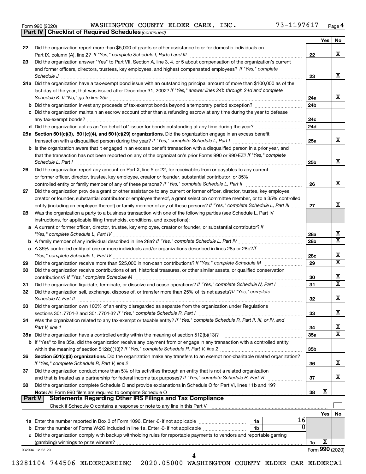|  | Form 990 (2020) |
|--|-----------------|
|  |                 |

*(continued)* **Part IV Checklist of Required Schedules**

|               |                                                                                                                                     |                 | Yes | No                           |
|---------------|-------------------------------------------------------------------------------------------------------------------------------------|-----------------|-----|------------------------------|
| 22            | Did the organization report more than \$5,000 of grants or other assistance to or for domestic individuals on                       |                 |     |                              |
|               |                                                                                                                                     | 22              |     | x                            |
| 23            | Did the organization answer "Yes" to Part VII, Section A, line 3, 4, or 5 about compensation of the organization's current          |                 |     |                              |
|               | and former officers, directors, trustees, key employees, and highest compensated employees? If "Yes," complete                      |                 |     |                              |
|               | Schedule J                                                                                                                          | 23              |     | х                            |
|               | 24a Did the organization have a tax-exempt bond issue with an outstanding principal amount of more than \$100,000 as of the         |                 |     |                              |
|               | last day of the year, that was issued after December 31, 2002? If "Yes," answer lines 24b through 24d and complete                  |                 |     |                              |
|               | Schedule K. If "No," go to line 25a                                                                                                 | 24a             |     | x                            |
|               |                                                                                                                                     | 24b             |     |                              |
|               | c Did the organization maintain an escrow account other than a refunding escrow at any time during the year to defease              |                 |     |                              |
|               |                                                                                                                                     | 24c             |     |                              |
|               | d Did the organization act as an "on behalf of" issuer for bonds outstanding at any time during the year?                           | 24d             |     |                              |
|               | 25a Section 501(c)(3), 501(c)(4), and 501(c)(29) organizations. Did the organization engage in an excess benefit                    |                 |     |                              |
|               |                                                                                                                                     | 25a             |     | x                            |
|               | <b>b</b> Is the organization aware that it engaged in an excess benefit transaction with a disqualified person in a prior year, and |                 |     |                              |
|               | that the transaction has not been reported on any of the organization's prior Forms 990 or 990-EZ? If "Yes," complete               |                 |     |                              |
|               | Schedule L, Part I                                                                                                                  | 25b             |     | х                            |
| 26            | Did the organization report any amount on Part X, line 5 or 22, for receivables from or payables to any current                     |                 |     |                              |
|               | or former officer, director, trustee, key employee, creator or founder, substantial contributor, or 35%                             |                 |     |                              |
|               |                                                                                                                                     | 26              |     | x                            |
| 27            | Did the organization provide a grant or other assistance to any current or former officer, director, trustee, key employee,         |                 |     |                              |
|               | creator or founder, substantial contributor or employee thereof, a grant selection committee member, or to a 35% controlled         |                 |     |                              |
|               | entity (including an employee thereof) or family member of any of these persons? If "Yes," complete Schedule L, Part III            | 27              |     | х                            |
| 28            | Was the organization a party to a business transaction with one of the following parties (see Schedule L, Part IV                   |                 |     |                              |
|               | instructions, for applicable filing thresholds, conditions, and exceptions):                                                        |                 |     |                              |
|               | a A current or former officer, director, trustee, key employee, creator or founder, or substantial contributor? If                  |                 |     |                              |
|               |                                                                                                                                     |                 |     | х                            |
|               |                                                                                                                                     | 28a             |     | $\overline{\texttt{x}}$      |
|               |                                                                                                                                     | 28 <sub>b</sub> |     |                              |
|               | c A 35% controlled entity of one or more individuals and/or organizations described in lines 28a or 28b?If                          |                 |     | х                            |
|               |                                                                                                                                     | 28c             |     | $\overline{\text{x}}$        |
| 29            |                                                                                                                                     | 29              |     |                              |
| 30            | Did the organization receive contributions of art, historical treasures, or other similar assets, or qualified conservation         |                 |     |                              |
|               |                                                                                                                                     | 30              |     | х<br>$\overline{\texttt{x}}$ |
| 31            | Did the organization liquidate, terminate, or dissolve and cease operations? If "Yes," complete Schedule N, Part I                  | 31              |     |                              |
| 32            | Did the organization sell, exchange, dispose of, or transfer more than 25% of its net assets? If "Yes," complete                    |                 |     |                              |
|               | Schedule N, Part II                                                                                                                 | 32              |     | х                            |
| 33            | Did the organization own 100% of an entity disregarded as separate from the organization under Regulations                          |                 |     |                              |
|               |                                                                                                                                     | 33              |     | х                            |
| 34            | Was the organization related to any tax-exempt or taxable entity? If "Yes," complete Schedule R, Part II, III, or IV, and           |                 |     |                              |
|               | Part V, line 1                                                                                                                      | 34              |     | х                            |
|               |                                                                                                                                     | 35a             |     | $\overline{\text{X}}$        |
|               | b If "Yes" to line 35a, did the organization receive any payment from or engage in any transaction with a controlled entity         |                 |     |                              |
|               |                                                                                                                                     | 35 <sub>b</sub> |     |                              |
| 36            | Section 501(c)(3) organizations. Did the organization make any transfers to an exempt non-charitable related organization?          |                 |     |                              |
|               |                                                                                                                                     | 36              |     | x                            |
| 37            | Did the organization conduct more than 5% of its activities through an entity that is not a related organization                    |                 |     |                              |
|               | and that is treated as a partnership for federal income tax purposes? If "Yes," complete Schedule R, Part VI                        | 37              |     | x                            |
| 38            | Did the organization complete Schedule O and provide explanations in Schedule O for Part VI, lines 11b and 19?                      |                 |     |                              |
|               |                                                                                                                                     | 38              | х   |                              |
| <b>Part V</b> | <b>Statements Regarding Other IRS Filings and Tax Compliance</b>                                                                    |                 |     |                              |
|               |                                                                                                                                     |                 |     |                              |
|               |                                                                                                                                     |                 | Yes | No                           |
|               | 16<br>1a                                                                                                                            |                 |     |                              |
|               | 0<br>1b                                                                                                                             |                 |     |                              |
|               | c Did the organization comply with backup withholding rules for reportable payments to vendors and reportable gaming                |                 |     |                              |
|               |                                                                                                                                     | 1c              | х   |                              |
|               | 032004 12-23-20                                                                                                                     |                 |     | Form 990 (2020)              |
|               |                                                                                                                                     |                 |     |                              |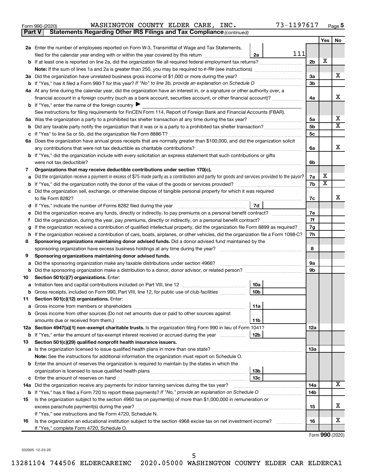| Form 990 (2020) |  | WASHINGTON COUNTY ELDER CARE, |  |  |  | INC. | 73-1197617 | Page |  |
|-----------------|--|-------------------------------|--|--|--|------|------------|------|--|
|-----------------|--|-------------------------------|--|--|--|------|------------|------|--|

| Part V | Statements Regarding Other IRS Filings and Tax Compliance (continued)                                                                           |                |                       |                         |
|--------|-------------------------------------------------------------------------------------------------------------------------------------------------|----------------|-----------------------|-------------------------|
|        |                                                                                                                                                 |                | Yes                   | No                      |
|        | 2a Enter the number of employees reported on Form W-3, Transmittal of Wage and Tax Statements,                                                  |                |                       |                         |
|        | 111<br>filed for the calendar year ending with or within the year covered by this return<br>2a                                                  |                |                       |                         |
|        | b If at least one is reported on line 2a, did the organization file all required federal employment tax returns?                                | 2 <sub>b</sub> | X                     |                         |
|        |                                                                                                                                                 |                |                       |                         |
|        | 3a Did the organization have unrelated business gross income of \$1,000 or more during the year?                                                | За             |                       | х                       |
|        |                                                                                                                                                 | 3b             |                       |                         |
|        | 4a At any time during the calendar year, did the organization have an interest in, or a signature or other authority over, a                    |                |                       |                         |
|        | financial account in a foreign country (such as a bank account, securities account, or other financial account)?                                | 4a             |                       | х                       |
|        | <b>b</b> If "Yes," enter the name of the foreign country $\blacktriangleright$                                                                  |                |                       |                         |
|        | See instructions for filing requirements for FinCEN Form 114, Report of Foreign Bank and Financial Accounts (FBAR).                             |                |                       |                         |
| 5а     |                                                                                                                                                 | 5a             |                       | x                       |
| b      |                                                                                                                                                 | 5b             |                       | $\overline{\textbf{x}}$ |
|        |                                                                                                                                                 | 5с             |                       |                         |
|        | 6a Does the organization have annual gross receipts that are normally greater than \$100,000, and did the organization solicit                  |                |                       |                         |
|        |                                                                                                                                                 | 6a             |                       | х                       |
|        | b If "Yes," did the organization include with every solicitation an express statement that such contributions or gifts                          |                |                       |                         |
|        | were not tax deductible?                                                                                                                        | 6b             |                       |                         |
| 7      | Organizations that may receive deductible contributions under section 170(c).                                                                   |                |                       |                         |
| a      | Did the organization receive a payment in excess of \$75 made partly as a contribution and partly for goods and services provided to the payor? | 7a             | х                     |                         |
| b      |                                                                                                                                                 | 7b             | $\overline{\text{X}}$ |                         |
|        | Did the organization sell, exchange, or otherwise dispose of tangible personal property for which it was required                               |                |                       |                         |
|        | to file Form 8282?                                                                                                                              | 7c             |                       | х                       |
|        | 7d                                                                                                                                              |                |                       |                         |
|        | Did the organization receive any funds, directly or indirectly, to pay premiums on a personal benefit contract?                                 | 7e             |                       |                         |
| f      |                                                                                                                                                 | 7f             |                       |                         |
| g      | If the organization received a contribution of qualified intellectual property, did the organization file Form 8899 as required?                | 7g             |                       |                         |
| h      | If the organization received a contribution of cars, boats, airplanes, or other vehicles, did the organization file a Form 1098-C?              | 7h             |                       |                         |
| 8      | Sponsoring organizations maintaining donor advised funds. Did a donor advised fund maintained by the                                            |                |                       |                         |
|        |                                                                                                                                                 | 8              |                       |                         |
| 9      | Sponsoring organizations maintaining donor advised funds.                                                                                       |                |                       |                         |
| а      | Did the sponsoring organization make any taxable distributions under section 4966?                                                              | 9а             |                       |                         |
| b      |                                                                                                                                                 | 9b             |                       |                         |
| 10     | Section 501(c)(7) organizations. Enter:                                                                                                         |                |                       |                         |
|        | 10a                                                                                                                                             |                |                       |                         |
|        | 10 <sub>b</sub><br>b Gross receipts, included on Form 990, Part VIII, line 12, for public use of club facilities                                |                |                       |                         |
| 11     | Section 501(c)(12) organizations. Enter:                                                                                                        |                |                       |                         |
|        | 11a                                                                                                                                             |                |                       |                         |
|        | b Gross income from other sources (Do not net amounts due or paid to other sources against                                                      |                |                       |                         |
|        | amounts due or received from them.)<br>11b                                                                                                      |                |                       |                         |
|        | 12a Section 4947(a)(1) non-exempt charitable trusts. Is the organization filing Form 990 in lieu of Form 1041?                                  | 12a            |                       |                         |
|        | b If "Yes," enter the amount of tax-exempt interest received or accrued during the year<br>12b                                                  |                |                       |                         |
| 13     | Section 501(c)(29) qualified nonprofit health insurance issuers.                                                                                |                |                       |                         |
|        | a Is the organization licensed to issue qualified health plans in more than one state?                                                          | 1За            |                       |                         |
|        | Note: See the instructions for additional information the organization must report on Schedule O.                                               |                |                       |                         |
|        | <b>b</b> Enter the amount of reserves the organization is required to maintain by the states in which the                                       |                |                       |                         |
|        | 13b                                                                                                                                             |                |                       |                         |
|        | 13c                                                                                                                                             |                |                       |                         |
|        | 14a Did the organization receive any payments for indoor tanning services during the tax year?                                                  | 14a            |                       | x                       |
|        | <b>b</b> If "Yes," has it filed a Form 720 to report these payments? If "No," provide an explanation on Schedule O                              | 14b            |                       |                         |
| 15     | Is the organization subject to the section 4960 tax on payment(s) of more than \$1,000,000 in remuneration or                                   |                |                       |                         |
|        |                                                                                                                                                 | 15             |                       | х                       |
|        | If "Yes," see instructions and file Form 4720, Schedule N.                                                                                      |                |                       |                         |
| 16     | Is the organization an educational institution subject to the section 4968 excise tax on net investment income?                                 | 16             |                       | x                       |
|        | If "Yes," complete Form 4720, Schedule O.                                                                                                       |                |                       |                         |

Form (2020) **990**

032005 12-23-20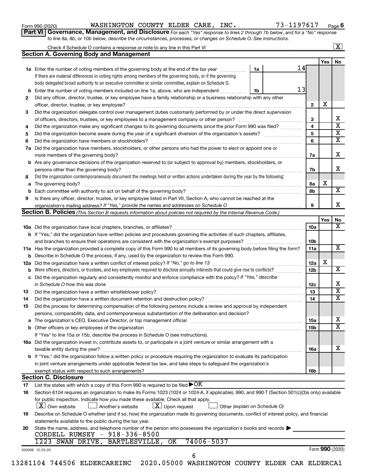| Form 990 (2020) |  |
|-----------------|--|
|-----------------|--|

#### Form 990 (2020) Page WASHINGTON COUNTY ELDER CARE, INC. 73-1197617

**Part VI** Governance, Management, and Disclosure For each "Yes" response to lines 2 through 7b below, and for a "No" response *to line 8a, 8b, or 10b below, describe the circumstances, processes, or changes on Schedule O. See instructions.*

|    |                                                                                                                                                                   |    |                 |                 | $\boxed{\textbf{X}}$    |
|----|-------------------------------------------------------------------------------------------------------------------------------------------------------------------|----|-----------------|-----------------|-------------------------|
|    | <b>Section A. Governing Body and Management</b>                                                                                                                   |    |                 |                 |                         |
|    |                                                                                                                                                                   |    |                 | Yes $ $         | No                      |
|    | 1a<br>1a Enter the number of voting members of the governing body at the end of the tax year                                                                      | 14 |                 |                 |                         |
|    | If there are material differences in voting rights among members of the governing body, or if the governing                                                       |    |                 |                 |                         |
|    | body delegated broad authority to an executive committee or similar committee, explain on Schedule O.                                                             |    |                 |                 |                         |
|    | <b>b</b> Enter the number of voting members included on line 1a, above, who are independent<br>1b                                                                 | 13 |                 |                 |                         |
| 2  | Did any officer, director, trustee, or key employee have a family relationship or a business relationship with any other                                          |    |                 |                 |                         |
|    |                                                                                                                                                                   |    | $\mathbf{2}$    | X               |                         |
| 3  | Did the organization delegate control over management duties customarily performed by or under the direct supervision                                             |    |                 |                 |                         |
|    |                                                                                                                                                                   |    | 3               |                 | х                       |
| 4  | Did the organization make any significant changes to its governing documents since the prior Form 990 was filed?                                                  |    | 4               |                 | $\overline{\mathbf{x}}$ |
| 5  |                                                                                                                                                                   |    | 5               |                 | $\overline{\textbf{x}}$ |
| 6  |                                                                                                                                                                   |    | 6               |                 | $\overline{\texttt{x}}$ |
|    | 7a Did the organization have members, stockholders, or other persons who had the power to elect or appoint one or                                                 |    |                 |                 |                         |
|    |                                                                                                                                                                   |    | 7a              |                 | х                       |
|    | <b>b</b> Are any governance decisions of the organization reserved to (or subject to approval by) members, stockholders, or                                       |    |                 |                 |                         |
|    | persons other than the governing body?                                                                                                                            |    | 7b              |                 | x                       |
| 8  | Did the organization contemporaneously document the meetings held or written actions undertaken during the year by the following:                                 |    |                 |                 |                         |
|    |                                                                                                                                                                   |    | 8a              | х               |                         |
|    |                                                                                                                                                                   |    | 8b              |                 | $\overline{\mathbf{X}}$ |
| 9  | Is there any officer, director, trustee, or key employee listed in Part VII, Section A, who cannot be reached at the                                              |    |                 |                 |                         |
|    |                                                                                                                                                                   |    | 9               |                 | x                       |
|    | Section B. Policies (This Section B requests information about policies not required by the Internal Revenue Code.)                                               |    |                 |                 |                         |
|    |                                                                                                                                                                   |    |                 | Yes             | No                      |
|    |                                                                                                                                                                   |    | 10a             |                 | X                       |
|    | b If "Yes," did the organization have written policies and procedures governing the activities of such chapters, affiliates,                                      |    |                 |                 |                         |
|    |                                                                                                                                                                   |    | 10b             |                 |                         |
|    | 11a Has the organization provided a complete copy of this Form 990 to all members of its governing body before filing the form?                                   |    | 11a             |                 | $\overline{\mathbf{x}}$ |
|    | <b>b</b> Describe in Schedule O the process, if any, used by the organization to review this Form 990.                                                            |    |                 |                 |                         |
|    |                                                                                                                                                                   |    | 12a             | х               |                         |
| b  |                                                                                                                                                                   |    | 12 <sub>b</sub> |                 | $\overline{\mathbf{X}}$ |
|    | c Did the organization regularly and consistently monitor and enforce compliance with the policy? If "Yes," describe                                              |    |                 |                 |                         |
|    | in Schedule O how this was done manufactured and continuum and contact the was done manufactured and contact t                                                    |    | 12c             |                 | х                       |
| 13 |                                                                                                                                                                   |    | 13              |                 | $\overline{\textbf{x}}$ |
| 14 | Did the organization have a written document retention and destruction policy? [11] manufaction manufaction in                                                    |    | 14              |                 | $\overline{\texttt{x}}$ |
| 15 | Did the process for determining compensation of the following persons include a review and approval by independent                                                |    |                 |                 |                         |
|    | persons, comparability data, and contemporaneous substantiation of the deliberation and decision?                                                                 |    |                 |                 |                         |
|    |                                                                                                                                                                   |    | 15a             |                 | x                       |
|    |                                                                                                                                                                   |    |                 |                 | $\overline{\texttt{x}}$ |
|    |                                                                                                                                                                   |    | 15b             |                 |                         |
|    | If "Yes" to line 15a or 15b, describe the process in Schedule O (see instructions).                                                                               |    |                 |                 |                         |
|    | 16a Did the organization invest in, contribute assets to, or participate in a joint venture or similar arrangement with a                                         |    |                 |                 | x                       |
|    | taxable entity during the year?<br>b If "Yes," did the organization follow a written policy or procedure requiring the organization to evaluate its participation |    | 16a             |                 |                         |
|    |                                                                                                                                                                   |    |                 |                 |                         |
|    | in joint venture arrangements under applicable federal tax law, and take steps to safeguard the organization's                                                    |    |                 |                 |                         |
|    | exempt status with respect to such arrangements?                                                                                                                  |    | 16b             |                 |                         |
|    | <b>Section C. Disclosure</b>                                                                                                                                      |    |                 |                 |                         |
| 17 | List the states with which a copy of this Form 990 is required to be filed $\blacktriangleright$ OK                                                               |    |                 |                 |                         |
| 18 | Section 6104 requires an organization to make its Forms 1023 (1024 or 1024-A, if applicable), 990, and 990-T (Section 501(c)(3)s only) available                  |    |                 |                 |                         |
|    | for public inspection. Indicate how you made these available. Check all that apply.                                                                               |    |                 |                 |                         |
|    | $\lfloor x \rfloor$ Upon request<br>  X   Own website<br>Another's website<br>Other (explain on Schedule O)                                                       |    |                 |                 |                         |
| 19 | Describe on Schedule O whether (and if so, how) the organization made its governing documents, conflict of interest policy, and financial                         |    |                 |                 |                         |
|    | statements available to the public during the tax year.                                                                                                           |    |                 |                 |                         |
| 20 | State the name, address, and telephone number of the person who possesses the organization's books and records                                                    |    |                 |                 |                         |
|    | CORDELL RUMSEY - 918-336-8500                                                                                                                                     |    |                 |                 |                         |
|    | 74006-5037<br>1223 SWAN DRIVE, BARTLESVILLE, OK                                                                                                                   |    |                 |                 |                         |
|    | 032006 12-23-20                                                                                                                                                   |    |                 | Form 990 (2020) |                         |
|    | 6                                                                                                                                                                 |    |                 |                 |                         |
|    | 13281104 744506 ELDERCAREINC 2020.05000 WASHINGTON COUNTY ELDER CAR ELDERCA1                                                                                      |    |                 |                 |                         |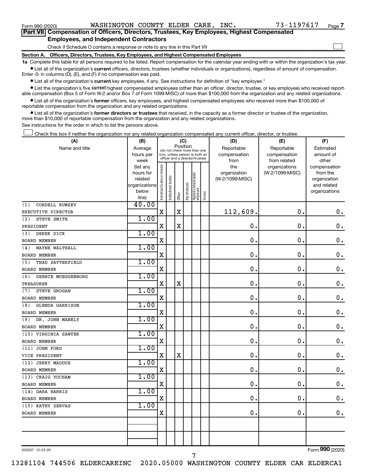$\Box$ 

| Part VII Compensation of Officers, Directors, Trustees, Key Employees, Highest Compensated |  |  |
|--------------------------------------------------------------------------------------------|--|--|
| <b>Employees, and Independent Contractors</b>                                              |  |  |

Check if Schedule O contains a response or note to any line in this Part VII

**Section A. Officers, Directors, Trustees, Key Employees, and Highest Compensated Employees**

**1a**  Complete this table for all persons required to be listed. Report compensation for the calendar year ending with or within the organization's tax year.  $\bullet$  List all of the organization's current officers, directors, trustees (whether individuals or organizations), regardless of amount of compensation.

Enter -0- in columns (D), (E), and (F) if no compensation was paid.

**•** List all of the organization's current key employees, if any. See instructions for definition of "key employee."

• List the organization's five *current* highest compensated employees (other than an officer, director, trustee, or key employee) who received reportable compensation (Box 5 of Form W-2 and/or Box 7 of Form 1099-MISC) of more than \$100,000 from the organization and any related organizations.

 $\bullet$  List all of the organization's former officers, key employees, and highest compensated employees who received more than \$100,000 of reportable compensation from the organization and any related organizations.

**•** List all of the organization's former directors or trustees that received, in the capacity as a former director or trustee of the organization, more than \$10,000 of reportable compensation from the organization and any related organizations.

See instructions for the order in which to list the persons above.

Check this box if neither the organization nor any related organization compensated any current officer, director, or trustee.  $\Box$ 

| (A)                           | (B)               |                                |                                                                  | (C)         |              |                                 |        | (D)             | (E)                           | (F)                   |  |  |
|-------------------------------|-------------------|--------------------------------|------------------------------------------------------------------|-------------|--------------|---------------------------------|--------|-----------------|-------------------------------|-----------------------|--|--|
| Name and title                | Average           |                                | (do not check more than one                                      | Position    |              |                                 |        | Reportable      | Reportable                    | Estimated             |  |  |
|                               | hours per         |                                | box, unless person is both an<br>officer and a director/trustee) |             |              |                                 |        | compensation    | compensation                  | amount of             |  |  |
|                               | week<br>(list any |                                |                                                                  |             |              |                                 |        | from<br>the     | from related<br>organizations | other<br>compensation |  |  |
|                               | hours for         |                                |                                                                  |             |              |                                 |        | organization    | (W-2/1099-MISC)               | from the              |  |  |
|                               | related           |                                |                                                                  |             |              |                                 |        | (W-2/1099-MISC) |                               | organization          |  |  |
|                               | organizations     |                                |                                                                  |             |              |                                 |        |                 |                               | and related           |  |  |
|                               | below             | Individual trustee or director | Institutional trustee                                            | Officer     | Key employee | Highest compensated<br>employee | Former |                 |                               | organizations         |  |  |
|                               | line)             |                                |                                                                  |             |              |                                 |        |                 |                               |                       |  |  |
| CORDELL RUMSEY<br>(1)         | 40.00             |                                |                                                                  |             |              |                                 |        |                 | $\mathbf 0$ .                 |                       |  |  |
| EXECUTIVE DIRECTOR            |                   | X                              |                                                                  | $\mathbf X$ |              |                                 |        | 112,609.        |                               | 0.                    |  |  |
| STEVE SMITH<br>(2)            | 1.00              |                                |                                                                  |             |              |                                 |        |                 |                               |                       |  |  |
| PRESIDENT                     |                   | $\mathbf X$                    |                                                                  | X           |              |                                 |        | $\mathbf 0$ .   | $\mathbf 0$ .                 | $\mathbf 0$ .         |  |  |
| (3)<br>DEREK DICK             | 1.00              |                                |                                                                  |             |              |                                 |        |                 |                               |                       |  |  |
| BOARD MEMBER                  |                   | X                              |                                                                  |             |              |                                 |        | 0.              | $\mathbf 0$                   | $\mathbf 0$ .         |  |  |
| WAYNE WALTHALL<br>(4)         | 1.00              |                                |                                                                  |             |              |                                 |        |                 |                               |                       |  |  |
| BOARD MEMBER                  |                   | $\mathbf X$                    |                                                                  |             |              |                                 |        | $\mathbf 0$ .   | $\mathbf 0$ .                 | $\mathbf 0$ .         |  |  |
| THAD SATTERFIELD<br>(5)       | 1.00              |                                |                                                                  |             |              |                                 |        |                 |                               |                       |  |  |
| BOARD MEMBER                  |                   | $\mathbf X$                    |                                                                  |             |              |                                 |        | 0.              | $\mathbf 0$ .                 | $\mathbf 0$ .         |  |  |
| DEBBIE MUEGGENBORG<br>(6)     | 1.00              |                                |                                                                  |             |              |                                 |        |                 |                               |                       |  |  |
| TREASURER                     |                   | $\mathbf X$                    |                                                                  | X           |              |                                 |        | $\mathbf 0$ .   | $\mathbf 0$ .                 | $\mathbf 0$ .         |  |  |
| STEVE GROGAN<br>(7)           | 1.00              |                                |                                                                  |             |              |                                 |        |                 |                               |                       |  |  |
| <b>BOARD MEMBER</b>           |                   | $\mathbf X$                    |                                                                  |             |              |                                 |        | 0.              | 0.                            | $\mathbf 0$ .         |  |  |
| <b>GLENDA GARRISON</b><br>(8) | 1.00              |                                |                                                                  |             |              |                                 |        |                 |                               |                       |  |  |
| <b>BOARD MEMBER</b>           |                   | $\mathbf X$                    |                                                                  |             |              |                                 |        | $\mathbf 0$ .   | $\mathbf 0$ .                 | $\mathbf 0$ .         |  |  |
| (9) DR. JOHN MANELY           | 1.00              |                                |                                                                  |             |              |                                 |        |                 |                               |                       |  |  |
| BOARD MEMBER                  |                   | $\mathbf X$                    |                                                                  |             |              |                                 |        | $\mathbf 0$ .   | 0.                            | $\mathbf 0$ .         |  |  |
| (10) VIRGINIA SAWYER          | 1.00              |                                |                                                                  |             |              |                                 |        |                 |                               |                       |  |  |
| <b>BOARD MEMBER</b>           |                   | $\mathbf X$                    |                                                                  |             |              |                                 |        | $\mathbf 0$ .   | $\mathbf 0$ .                 | $\mathbf 0$ .         |  |  |
| (11) JOHN FORD                | 1.00              |                                |                                                                  |             |              |                                 |        |                 |                               |                       |  |  |
| VICE PRESIDENT                |                   | $\mathbf X$                    |                                                                  | $\mathbf X$ |              |                                 |        | $\mathbf 0$ .   | 0.                            | $\mathbf 0$ .         |  |  |
| (12) JERRY MADDUX             | 1.00              |                                |                                                                  |             |              |                                 |        |                 |                               |                       |  |  |
| <b>BOARD MEMBER</b>           |                   | $\mathbf X$                    |                                                                  |             |              |                                 |        | $\mathbf 0$ .   | $\mathbf 0$ .                 | $\mathbf 0$ .         |  |  |
| (13) CRAIG YOCHAM             | 1.00              |                                |                                                                  |             |              |                                 |        |                 |                               |                       |  |  |
| BOARD MEMBER                  |                   | $\mathbf X$                    |                                                                  |             |              |                                 |        | $\mathbf 0$ .   | $\mathbf 0$ .                 | $\mathbf 0$ .         |  |  |
| (14) DARA HARRIS              | 1.00              |                                |                                                                  |             |              |                                 |        |                 |                               |                       |  |  |
| BOARD MEMBER                  |                   | $\mathbf X$                    |                                                                  |             |              |                                 |        | $\mathbf 0$ .   | $\mathbf 0$ .                 | $\mathbf 0$ .         |  |  |
| (15) KATHY ZERVAS             | 1.00              |                                |                                                                  |             |              |                                 |        |                 |                               |                       |  |  |
| <b>BOARD MEMBER</b>           |                   | $\mathbf X$                    |                                                                  |             |              |                                 |        | $\mathbf 0$ .   | $\mathbf 0$ .                 | $\mathbf 0$ .         |  |  |
|                               |                   |                                |                                                                  |             |              |                                 |        |                 |                               |                       |  |  |
|                               |                   |                                |                                                                  |             |              |                                 |        |                 |                               |                       |  |  |
|                               |                   |                                |                                                                  |             |              |                                 |        |                 |                               |                       |  |  |
|                               |                   |                                |                                                                  |             |              |                                 |        |                 |                               |                       |  |  |

032007 12-23-20

Form (2020) **990**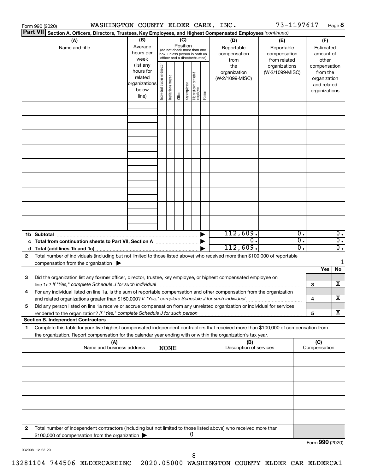|                 | WASHINGTON COUNTY ELDER CARE, INC.<br>Form 990 (2020)                                                                                                                                                                                                                                                                                                         |                                                               |                                |                       |                 |              |                                                                                                 |        |                                                                  | 73-1197617                                                                            |          |                     |                                                                    | Page 8                               |
|-----------------|---------------------------------------------------------------------------------------------------------------------------------------------------------------------------------------------------------------------------------------------------------------------------------------------------------------------------------------------------------------|---------------------------------------------------------------|--------------------------------|-----------------------|-----------------|--------------|-------------------------------------------------------------------------------------------------|--------|------------------------------------------------------------------|---------------------------------------------------------------------------------------|----------|---------------------|--------------------------------------------------------------------|--------------------------------------|
| <b>Part VII</b> | Section A. Officers, Directors, Trustees, Key Employees, and Highest Compensated Employees (continued)                                                                                                                                                                                                                                                        |                                                               |                                |                       |                 |              |                                                                                                 |        |                                                                  |                                                                                       |          |                     |                                                                    |                                      |
|                 | (A)<br>Name and title                                                                                                                                                                                                                                                                                                                                         | (B)<br>Average<br>hours per<br>week<br>(list any<br>hours for |                                |                       | (C)<br>Position |              | (do not check more than one<br>box, unless person is both an<br>officer and a director/trustee) |        | (D)<br>Reportable<br>compensation<br>from<br>the<br>organization | (E)<br>Reportable<br>compensation<br>from related<br>organizations<br>(W-2/1099-MISC) |          |                     | (F)<br>Estimated<br>amount of<br>other<br>compensation<br>from the |                                      |
|                 |                                                                                                                                                                                                                                                                                                                                                               | related<br>organizations<br>below<br>line)                    | Individual trustee or director | Institutional trustee | Officer         | Key employee | Highest compensated<br>  employee                                                               | Former | (W-2/1099-MISC)                                                  |                                                                                       |          |                     | organization<br>and related<br>organizations                       |                                      |
|                 |                                                                                                                                                                                                                                                                                                                                                               |                                                               |                                |                       |                 |              |                                                                                                 |        |                                                                  |                                                                                       |          |                     |                                                                    |                                      |
|                 |                                                                                                                                                                                                                                                                                                                                                               |                                                               |                                |                       |                 |              |                                                                                                 |        |                                                                  |                                                                                       |          |                     |                                                                    |                                      |
|                 |                                                                                                                                                                                                                                                                                                                                                               |                                                               |                                |                       |                 |              |                                                                                                 |        |                                                                  |                                                                                       |          |                     |                                                                    |                                      |
|                 |                                                                                                                                                                                                                                                                                                                                                               |                                                               |                                |                       |                 |              |                                                                                                 |        |                                                                  |                                                                                       |          |                     |                                                                    |                                      |
|                 |                                                                                                                                                                                                                                                                                                                                                               |                                                               |                                |                       |                 |              |                                                                                                 |        |                                                                  |                                                                                       |          |                     |                                                                    |                                      |
|                 |                                                                                                                                                                                                                                                                                                                                                               |                                                               |                                |                       |                 |              |                                                                                                 |        | 112,609.                                                         |                                                                                       | о.       |                     |                                                                    | $\overline{0}$ .                     |
|                 |                                                                                                                                                                                                                                                                                                                                                               |                                                               |                                |                       |                 |              |                                                                                                 |        | $\overline{0}$ .<br>112,609.                                     |                                                                                       | σ.<br>о. |                     |                                                                    | $\overline{0}$ .<br>$\overline{0}$ . |
| 2               | Total number of individuals (including but not limited to those listed above) who received more than \$100,000 of reportable<br>compensation from the organization $\blacktriangleright$                                                                                                                                                                      |                                                               |                                |                       |                 |              |                                                                                                 |        |                                                                  |                                                                                       |          |                     | Yes                                                                | 1<br>No                              |
| 3               | Did the organization list any former officer, director, trustee, key employee, or highest compensated employee on<br>line 1a? If "Yes," complete Schedule J for such individual manufacture content to the set of the set of the schedule J for such individual                                                                                               |                                                               |                                |                       |                 |              |                                                                                                 |        |                                                                  |                                                                                       |          | 3                   |                                                                    | х                                    |
| 5               | For any individual listed on line 1a, is the sum of reportable compensation and other compensation from the organization<br>and related organizations greater than \$150,000? If "Yes," complete Schedule J for such individual<br>Did any person listed on line 1a receive or accrue compensation from any unrelated organization or individual for services |                                                               |                                |                       |                 |              |                                                                                                 |        |                                                                  |                                                                                       |          | 4                   |                                                                    | х                                    |
|                 | <b>Section B. Independent Contractors</b>                                                                                                                                                                                                                                                                                                                     |                                                               |                                |                       |                 |              |                                                                                                 |        |                                                                  |                                                                                       |          | 5                   |                                                                    | х                                    |
| 1               | Complete this table for your five highest compensated independent contractors that received more than \$100,000 of compensation from<br>the organization. Report compensation for the calendar year ending with or within the organization's tax year.                                                                                                        |                                                               |                                |                       |                 |              |                                                                                                 |        |                                                                  |                                                                                       |          |                     |                                                                    |                                      |
|                 | (A)<br>Name and business address                                                                                                                                                                                                                                                                                                                              |                                                               |                                | <b>NONE</b>           |                 |              |                                                                                                 |        | (B)<br>Description of services                                   |                                                                                       |          | (C)<br>Compensation |                                                                    |                                      |
|                 |                                                                                                                                                                                                                                                                                                                                                               |                                                               |                                |                       |                 |              |                                                                                                 |        |                                                                  |                                                                                       |          |                     |                                                                    |                                      |
|                 |                                                                                                                                                                                                                                                                                                                                                               |                                                               |                                |                       |                 |              |                                                                                                 |        |                                                                  |                                                                                       |          |                     |                                                                    |                                      |
|                 |                                                                                                                                                                                                                                                                                                                                                               |                                                               |                                |                       |                 |              |                                                                                                 |        |                                                                  |                                                                                       |          |                     |                                                                    |                                      |
| 2               | Total number of independent contractors (including but not limited to those listed above) who received more than<br>\$100,000 of compensation from the organization                                                                                                                                                                                           |                                                               |                                |                       |                 | 0            |                                                                                                 |        |                                                                  |                                                                                       |          |                     |                                                                    |                                      |
|                 |                                                                                                                                                                                                                                                                                                                                                               |                                                               |                                |                       |                 |              |                                                                                                 |        |                                                                  |                                                                                       |          | Eorm $990(2020)$    |                                                                    |                                      |

032008 12-23-20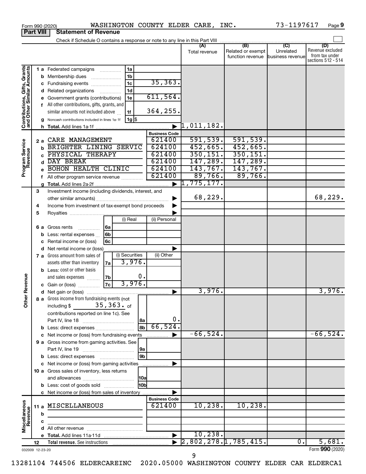|                                                           |    |             | Form 990 (2020)                                                               |    |                    |                      |                       | WASHINGTON COUNTY ELDER CARE, INC. |                                                     | 73-1197617                    | Page 9                                                          |
|-----------------------------------------------------------|----|-------------|-------------------------------------------------------------------------------|----|--------------------|----------------------|-----------------------|------------------------------------|-----------------------------------------------------|-------------------------------|-----------------------------------------------------------------|
| <b>Part VIII</b>                                          |    |             | <b>Statement of Revenue</b>                                                   |    |                    |                      |                       |                                    |                                                     |                               |                                                                 |
|                                                           |    |             | Check if Schedule O contains a response or note to any line in this Part VIII |    |                    |                      |                       |                                    | $\overline{(\mathsf{B})}$ $\overline{(\mathsf{C})}$ |                               |                                                                 |
|                                                           |    |             |                                                                               |    |                    |                      |                       | (A)<br>Total revenue               | Related or exempt<br>function revenue               | Unrelated<br>business revenue | (D)<br>Revenue excluded<br>from tax under<br>sections 512 - 514 |
|                                                           |    |             | 1 a Federated campaigns                                                       |    | 1a                 |                      |                       |                                    |                                                     |                               |                                                                 |
| Contributions, Gifts, Grants<br>and Other Similar Amounts |    | b           | Membership dues                                                               |    | 1 <sub>b</sub>     |                      |                       |                                    |                                                     |                               |                                                                 |
|                                                           |    |             | c Fundraising events                                                          |    | 1 <sub>c</sub>     | 35, 363.             |                       |                                    |                                                     |                               |                                                                 |
|                                                           |    | d           | Related organizations                                                         | .  | 1d                 |                      |                       |                                    |                                                     |                               |                                                                 |
|                                                           |    |             | Government grants (contributions)                                             |    | 1e                 | 611,564.             |                       |                                    |                                                     |                               |                                                                 |
|                                                           |    |             | f All other contributions, gifts, grants, and                                 |    |                    |                      |                       |                                    |                                                     |                               |                                                                 |
|                                                           |    |             | similar amounts not included above                                            |    | 1f                 | 364,255.             |                       |                                    |                                                     |                               |                                                                 |
|                                                           |    |             | Noncash contributions included in lines 1a-1f                                 |    | $1g$ $\frac{1}{3}$ |                      |                       |                                    |                                                     |                               |                                                                 |
|                                                           |    | h.          |                                                                               |    |                    |                      |                       | $\vert 1,011,182$ .                |                                                     |                               |                                                                 |
|                                                           |    |             |                                                                               |    |                    | <b>Business Code</b> |                       |                                    |                                                     |                               |                                                                 |
|                                                           |    | 2a          | CARE MANAGEMENT                                                               |    |                    | 621400               |                       | 591,539.                           | 591,539.                                            |                               |                                                                 |
|                                                           |    | $\mathbf b$ | BRIGHTER LINING SERVIC                                                        |    |                    | 624100               |                       | 452,665.                           | 452,665.                                            |                               |                                                                 |
|                                                           |    | C.          | PHYSICAL THERAPY                                                              |    |                    | 621400               |                       | 350, 151.                          | 350, 151.                                           |                               |                                                                 |
|                                                           |    | d           | DAY BREAK                                                                     |    |                    | 621400               |                       | 147,289.                           | 147,289.                                            |                               |                                                                 |
| Program Service<br>Revenue                                |    |             | <b>BOHON HEALTH CLINIC</b>                                                    |    |                    | 624100               |                       | 143,767.                           | 143,767.                                            |                               |                                                                 |
|                                                           |    |             | f All other program service revenue                                           |    |                    | 621400               |                       | 89,766.                            | 89,766.                                             |                               |                                                                 |
|                                                           |    |             |                                                                               |    |                    |                      | ▶                     | 1,775,177.                         |                                                     |                               |                                                                 |
|                                                           | 3  |             | Investment income (including dividends, interest, and                         |    |                    |                      |                       |                                    |                                                     |                               |                                                                 |
|                                                           |    |             |                                                                               |    |                    |                      |                       | 68,229.                            |                                                     |                               | 68,229.                                                         |
|                                                           | 4  |             | Income from investment of tax-exempt bond proceeds                            |    |                    |                      |                       |                                    |                                                     |                               |                                                                 |
|                                                           | 5  |             |                                                                               |    |                    |                      |                       |                                    |                                                     |                               |                                                                 |
|                                                           |    |             |                                                                               |    | (i) Real           | (ii) Personal        |                       |                                    |                                                     |                               |                                                                 |
|                                                           |    |             | <b>6 a</b> Gross rents<br>.                                                   | 6a |                    |                      |                       |                                    |                                                     |                               |                                                                 |
|                                                           |    | b           | Less: rental expenses                                                         | 6b |                    |                      |                       |                                    |                                                     |                               |                                                                 |
|                                                           |    |             | Rental income or (loss)                                                       | 6с |                    |                      |                       |                                    |                                                     |                               |                                                                 |
|                                                           |    | d           | Net rental income or (loss)                                                   |    |                    |                      |                       |                                    |                                                     |                               |                                                                 |
|                                                           |    |             | 7 a Gross amount from sales of                                                |    | (i) Securities     | (ii) Other           |                       |                                    |                                                     |                               |                                                                 |
|                                                           |    |             | assets other than inventory                                                   | 7a | 3,976.             |                      |                       |                                    |                                                     |                               |                                                                 |
|                                                           |    |             | <b>b</b> Less: cost or other basis                                            |    |                    |                      |                       |                                    |                                                     |                               |                                                                 |
| evenue                                                    |    |             | and sales expenses                                                            | 7b | 0.                 |                      |                       |                                    |                                                     |                               |                                                                 |
|                                                           |    |             | c Gain or (loss)                                                              | 7c | 3,976.             |                      |                       | 3,976.                             |                                                     |                               |                                                                 |
| Œ                                                         |    |             |                                                                               |    |                    |                      |                       |                                    |                                                     |                               | 3,976.                                                          |
| Other                                                     |    |             | 8 a Gross income from fundraising events (not<br>including $$35,363.$ of      |    |                    |                      |                       |                                    |                                                     |                               |                                                                 |
|                                                           |    |             |                                                                               |    |                    |                      |                       |                                    |                                                     |                               |                                                                 |
|                                                           |    |             | contributions reported on line 1c). See                                       |    | 8a                 |                      | 0.                    |                                    |                                                     |                               |                                                                 |
|                                                           |    |             | b Less: direct expenses                                                       |    | l 8b l             | 66,524.              |                       |                                    |                                                     |                               |                                                                 |
|                                                           |    |             | c Net income or (loss) from fundraising events                                |    |                    | .                    |                       | $-66,524.$                         |                                                     |                               | $-66,524.$                                                      |
|                                                           |    |             | 9 a Gross income from gaming activities. See                                  |    |                    |                      |                       |                                    |                                                     |                               |                                                                 |
|                                                           |    |             |                                                                               |    | 9a                 |                      |                       |                                    |                                                     |                               |                                                                 |
|                                                           |    |             |                                                                               |    | 9b                 |                      |                       |                                    |                                                     |                               |                                                                 |
|                                                           |    |             | c Net income or (loss) from gaming activities                                 |    |                    |                      |                       |                                    |                                                     |                               |                                                                 |
|                                                           |    |             | 10 a Gross sales of inventory, less returns                                   |    |                    |                      |                       |                                    |                                                     |                               |                                                                 |
|                                                           |    |             |                                                                               |    | <b>10a</b>         |                      |                       |                                    |                                                     |                               |                                                                 |
|                                                           |    |             | <b>b</b> Less: cost of goods sold                                             |    | H <sub>0b</sub>    |                      |                       |                                    |                                                     |                               |                                                                 |
|                                                           |    |             | c Net income or (loss) from sales of inventory                                |    |                    |                      |                       |                                    |                                                     |                               |                                                                 |
|                                                           |    |             |                                                                               |    |                    | <b>Business Code</b> |                       |                                    |                                                     |                               |                                                                 |
|                                                           |    |             | 11 a MISCELLANEOUS                                                            |    |                    | 621400               |                       | 10, 238.                           | 10, 238.                                            |                               |                                                                 |
|                                                           |    | b           |                                                                               |    |                    |                      |                       |                                    |                                                     |                               |                                                                 |
|                                                           |    | с           |                                                                               |    |                    |                      |                       |                                    |                                                     |                               |                                                                 |
| Miscellaneous<br>Revenue                                  |    |             |                                                                               |    |                    |                      |                       |                                    |                                                     |                               |                                                                 |
|                                                           |    |             |                                                                               |    |                    |                      | $\blacktriangleright$ | 10, 238.                           |                                                     |                               |                                                                 |
|                                                           | 12 |             |                                                                               |    |                    |                      |                       |                                    | [2,802,278.17785,415.                               | $\overline{0}$ .              | 5,681.                                                          |
| 032009 12-23-20                                           |    |             |                                                                               |    |                    |                      |                       |                                    |                                                     |                               | Form 990 (2020)                                                 |

9

032009 12-23-20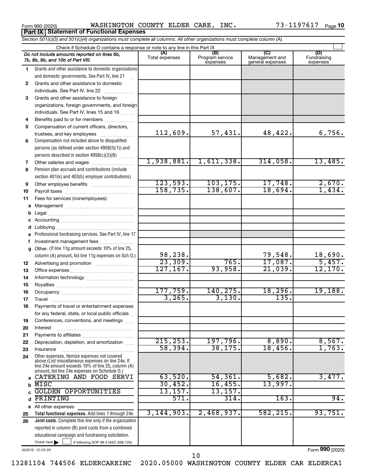|  | Form 990 (2020) |
|--|-----------------|
|  |                 |

Form 990 (2020) Page WASHINGTON COUNTY ELDER CARE, INC. 73-1197617 **Part IX Statement of Functional Expenses**

73-1197617 Page 10

|              | Section 501(c)(3) and 501(c)(4) organizations must complete all columns. All other organizations must complete column (A).                                                                                 |                |                             |                                    |                          |
|--------------|------------------------------------------------------------------------------------------------------------------------------------------------------------------------------------------------------------|----------------|-----------------------------|------------------------------------|--------------------------|
|              | Check if Schedule O contains a response or note to any line in this Part IX<br>Do not include amounts reported on lines 6b,                                                                                | (A)            | (B)                         | (C)                                | (D)                      |
|              | 7b, 8b, 9b, and 10b of Part VIII.                                                                                                                                                                          | Total expenses | Program service<br>expenses | Management and<br>general expenses | Fundraising<br>expenses  |
| 1.           | Grants and other assistance to domestic organizations                                                                                                                                                      |                |                             |                                    |                          |
|              | and domestic governments. See Part IV, line 21                                                                                                                                                             |                |                             |                                    |                          |
| $\mathbf{2}$ | Grants and other assistance to domestic                                                                                                                                                                    |                |                             |                                    |                          |
|              | individuals. See Part IV, line 22                                                                                                                                                                          |                |                             |                                    |                          |
| 3            | Grants and other assistance to foreign                                                                                                                                                                     |                |                             |                                    |                          |
|              | organizations, foreign governments, and foreign                                                                                                                                                            |                |                             |                                    |                          |
|              | individuals. See Part IV, lines 15 and 16                                                                                                                                                                  |                |                             |                                    |                          |
| 4            | Benefits paid to or for members                                                                                                                                                                            |                |                             |                                    |                          |
| 5            | Compensation of current officers, directors,                                                                                                                                                               |                |                             |                                    |                          |
|              | trustees, and key employees                                                                                                                                                                                | 112,609.       | 57,431.                     | 48,422.                            | 6,756.                   |
| 6            | Compensation not included above to disqualified                                                                                                                                                            |                |                             |                                    |                          |
|              | persons (as defined under section 4958(f)(1)) and                                                                                                                                                          |                |                             |                                    |                          |
|              | persons described in section 4958(c)(3)(B)<br>1.1.1.1.1.1.1                                                                                                                                                |                |                             |                                    |                          |
| 7            | Other salaries and wages                                                                                                                                                                                   | 1,938,881.     | 1,611,338.                  | 314,058.                           | 13,485.                  |
| 8            | Pension plan accruals and contributions (include                                                                                                                                                           |                |                             |                                    |                          |
|              | section 401(k) and 403(b) employer contributions)                                                                                                                                                          |                |                             |                                    |                          |
| 9            | Other employee benefits                                                                                                                                                                                    | 123,593.       | 103, 175.                   | 17,748.                            | $\frac{2,670}{1,434}$    |
| 10           |                                                                                                                                                                                                            | 158, 735.      | 138,607.                    | 18,694.                            |                          |
| 11           | Fees for services (nonemployees):                                                                                                                                                                          |                |                             |                                    |                          |
|              |                                                                                                                                                                                                            |                |                             |                                    |                          |
|              |                                                                                                                                                                                                            |                |                             |                                    |                          |
|              |                                                                                                                                                                                                            |                |                             |                                    |                          |
|              |                                                                                                                                                                                                            |                |                             |                                    |                          |
|              | Professional fundraising services. See Part IV, line 17                                                                                                                                                    |                |                             |                                    |                          |
| f            | Investment management fees                                                                                                                                                                                 |                |                             |                                    |                          |
|              | g Other. (If line 11g amount exceeds 10% of line 25,                                                                                                                                                       |                |                             |                                    |                          |
|              | column (A) amount, list line 11g expenses on Sch O.)                                                                                                                                                       | 98,238.        |                             | 79,548.                            | $\frac{18,690}{5,457}$ . |
| 12           |                                                                                                                                                                                                            | 23,309.        | 765.                        | 17,087.                            |                          |
| 13           |                                                                                                                                                                                                            | 127, 167.      | 93,958.                     | 21,039.                            | 12,170.                  |
| 14           |                                                                                                                                                                                                            |                |                             |                                    |                          |
| 15           |                                                                                                                                                                                                            |                |                             |                                    |                          |
| 16           |                                                                                                                                                                                                            | 177,759.       | 140,275.                    | 18,296.                            | 19, 188.                 |
| 17           |                                                                                                                                                                                                            | 3,265.         | 3,130.                      | 135.                               |                          |
|              | Payments of travel or entertainment expenses                                                                                                                                                               |                |                             |                                    |                          |
|              | for any federal, state, or local public officials                                                                                                                                                          |                |                             |                                    |                          |
| 19           | Conferences, conventions, and meetings                                                                                                                                                                     |                |                             |                                    |                          |
| 20           | Interest                                                                                                                                                                                                   |                |                             |                                    |                          |
| 21           |                                                                                                                                                                                                            |                |                             |                                    |                          |
| 22           | Depreciation, depletion, and amortization                                                                                                                                                                  | 215, 253.      | 197,796.                    | 8,890.                             | 8,567.                   |
| 23           | Insurance                                                                                                                                                                                                  | 58,394.        | 38, 175.                    | 18,456.                            | 1,763.                   |
| 24           | Other expenses. Itemize expenses not covered<br>above (List miscellaneous expenses on line 24e. If<br>line 24e amount exceeds 10% of line 25, column (A)<br>amount, list line 24e expenses on Schedule O.) |                |                             |                                    |                          |
|              | a CATERING AND FOOD SERVI                                                                                                                                                                                  | 63,520.        | 54, 361.                    | 5,682.                             | 3,477.                   |
| b            | MISC                                                                                                                                                                                                       | 30,452.        | 16,455.                     | 13,997.                            |                          |
| C            | <b>GOLDEN OPPORTUNITIES</b>                                                                                                                                                                                | 13, 157.       | 13,157.                     |                                    |                          |
| d            | PRINTING                                                                                                                                                                                                   | 571.           | 314.                        | 163.                               | 94.                      |
|              | e All other expenses                                                                                                                                                                                       |                |                             |                                    |                          |
| 25           | Total functional expenses. Add lines 1 through 24e                                                                                                                                                         | 3,144,903.     | 2,468,937.                  | 582,215.                           | 93,751.                  |
| 26           | <b>Joint costs.</b> Complete this line only if the organization                                                                                                                                            |                |                             |                                    |                          |
|              | reported in column (B) joint costs from a combined                                                                                                                                                         |                |                             |                                    |                          |
|              | educational campaign and fundraising solicitation.                                                                                                                                                         |                |                             |                                    |                          |
|              | Check here $\blacktriangleright$<br>if following SOP 98-2 (ASC 958-720)                                                                                                                                    |                |                             |                                    |                          |
|              |                                                                                                                                                                                                            |                |                             |                                    |                          |

032010 12-23-20

Form (2020) **990**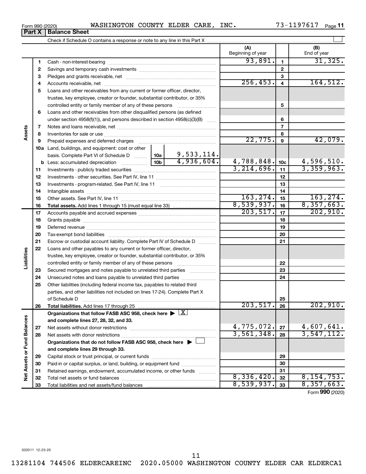| Form 990 (2020) |                               | WASHINGTON | <b>COUNTY ELDER</b> | CARE | INC. | ⊥97617<br>$73 - 11$ | Page |
|-----------------|-------------------------------|------------|---------------------|------|------|---------------------|------|
|                 | <b>Part X   Balance Sheet</b> |            |                     |      |      |                     |      |

Check if Schedule O contains a response or note to any line in this Part X

 $\perp$ 

**(A) (B)**

13281104 744506 ELDERCAREINC 2020.05000 WASHINGTON COUNTY ELDER CAR ELDERCA1

Beginning of year | | End of year  $93,891.$  1 31,325. **1 1** Cash - non-interest-bearing ~~~~~~~~~~~~~~~~~~~~~~~~~ **2 2** Savings and temporary cash investments ~~~~~~~~~~~~~~~~~~ **3 3** Pledges and grants receivable, net ~~~~~~~~~~~~~~~~~~~~~  $256, 453.$   $4$  164,512. **4 4** Accounts receivable, net ~~~~~~~~~~~~~~~~~~~~~~~~~~ **5** Loans and other receivables from any current or former officer, director, trustee, key employee, creator or founder, substantial contributor, or 35% controlled entity or family member of any of these persons ~~~~~~~~~ **5 6** Loans and other receivables from other disqualified persons (as defined under section 4958(f)(1)), and persons described in section  $4958(c)(3)(B)$  ...... **6 7 7** Notes and loans receivable, net ~~~~~~~~~~~~~~~~~~~~~~~ **Assets 8 8** Inventories for sale or use ~~~~~~~~~~~~~~~~~~~~~~~~~~  $22,775$ .  $9$   $42,079$ . **9 9** Prepaid expenses and deferred charges ~~~~~~~~~~~~~~~~~~ **10 a** Land, buildings, and equipment: cost or other 9,533,114. basis. Complete Part VI of Schedule D  $\frac{1}{10}$  10a 4,936,604. 4,788,848. 4,596,510. **10c b** Less: accumulated depreciation  $\ldots$  [10b 3,214,696. 11 3,359,963. **11 11** Investments - publicly traded securities ~~~~~~~~~~~~~~~~~~~ **12 12** Investments - other securities. See Part IV, line 11 ~~~~~~~~~~~~~~ **13 13** Investments - program-related. See Part IV, line 11 ~~~~~~~~~~~~~ **14 14** Intangible assets ~~~~~~~~~~~~~~~~~~~~~~~~~~~~~~ Other assets. See Part IV, line 11 ~~~~~~~~~~~~~~~~~~~~~~ 163,274. 15 **15 15**  $8,539,937.$   $16$  8,357,663. **16 16 Total assets.**  Add lines 1 through 15 (must equal line 33)  $\overline{203,517.}$  17  $\overline{)$  202,910. **17 17** Accounts payable and accrued expenses ~~~~~~~~~~~~~~~~~~ **18 18** Grants payable ~~~~~~~~~~~~~~~~~~~~~~~~~~~~~~~ **19 19** Deferred revenue ~~~~~~~~~~~~~~~~~~~~~~~~~~~~~~ **20 20** Tax-exempt bond liabilities ~~~~~~~~~~~~~~~~~~~~~~~~~ **21 21** Escrow or custodial account liability. Complete Part IV of Schedule D ........... **22** Loans and other payables to any current or former officer, director, **Liabilities** trustee, key employee, creator or founder, substantial contributor, or 35% **22** controlled entity or family member of any of these persons ~~~~~~~~~ **23** Secured mortgages and notes payable to unrelated third parties  $\ldots$ ................. **23 24** Unsecured notes and loans payable to unrelated third parties ~~~~~~~~ **24 25** Other liabilities (including federal income tax, payables to related third parties, and other liabilities not included on lines 17-24). Complete Part X of Schedule D ~~~~~~~~~~~~~~~~~~~~~~~~~~~~~~~ **25 26**  $203,517. |26$  202,910. **26 Total liabilities.**  Add lines 17 through 25 Organizations that follow FASB ASC 958, check here  $\blacktriangleright \boxed{\text{X}}$ Net Assets or Fund Balances **Net Assets or Fund Balances and complete lines 27, 28, 32, and 33.**  $4,775,072$ .  $|z_7|$  4,607,641. **27 27** Net assets without donor restrictions ~~~~~~~~~~~~~~~~~~~~ 3,561,348. 3,547,112. **28 28** Net assets with donor restrictions ~~~~~~~~~~~~~~~~~~~~~~ **Organizations that do not follow FASB ASC 958, check here** | † **and complete lines 29 through 33. 29 29** Capital stock or trust principal, or current funds ~~~~~~~~~~~~~~~ **30 30** Paid-in or capital surplus, or land, building, or equipment fund ....................... **31 31** Retained earnings, endowment, accumulated income, or other funds ............ Total net assets or fund balances ~~~~~~~~~~~~~~~~~~~~~~  $8,336,420.$   $32 \mid 8,154,753.$ **32 32**  $8,539,937.$   $33$  |  $8,357,663.$ **33** Total liabilities and net assets/fund balances **33** Form (2020) **990**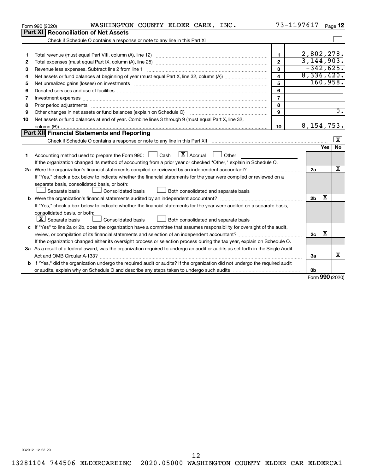|    | WASHINGTON COUNTY ELDER CARE, INC.<br>Form 990 (2020)                                                                                                                                                                          |                         | 73-1197617     |            | Page 12          |
|----|--------------------------------------------------------------------------------------------------------------------------------------------------------------------------------------------------------------------------------|-------------------------|----------------|------------|------------------|
|    | Part XI Reconciliation of Net Assets                                                                                                                                                                                           |                         |                |            |                  |
|    |                                                                                                                                                                                                                                |                         |                |            |                  |
|    |                                                                                                                                                                                                                                |                         |                |            |                  |
| 1  |                                                                                                                                                                                                                                | 1.                      | 2,802,278.     |            |                  |
| 2  |                                                                                                                                                                                                                                | $\overline{2}$          | 3,144,903.     |            |                  |
| з  |                                                                                                                                                                                                                                | 3                       |                |            | $-342,625.$      |
| 4  |                                                                                                                                                                                                                                | $\overline{\mathbf{4}}$ | 8,336,420.     |            |                  |
| 5  |                                                                                                                                                                                                                                | 5                       |                |            | 160,958.         |
| 6  |                                                                                                                                                                                                                                | 6                       |                |            |                  |
| 7  | Investment expenses www.communication.com/www.communication.com/www.communication.com/www.com                                                                                                                                  | $\overline{7}$          |                |            |                  |
| 8  | Prior period adjustments material contents and content and content and content and content and content and content and content and content and content and content and content and content and content and content and content | 8                       |                |            |                  |
| 9  | Other changes in net assets or fund balances (explain on Schedule O)                                                                                                                                                           | 9                       |                |            | $\overline{0}$ . |
| 10 | Net assets or fund balances at end of year. Combine lines 3 through 9 (must equal Part X, line 32,                                                                                                                             |                         |                |            |                  |
|    |                                                                                                                                                                                                                                | 10                      | 8, 154, 753.   |            |                  |
|    | Part XII Financial Statements and Reporting                                                                                                                                                                                    |                         |                |            |                  |
|    |                                                                                                                                                                                                                                |                         |                |            | ΙX.              |
|    |                                                                                                                                                                                                                                |                         |                | <b>Yes</b> | No               |
| 1  | $\lfloor x \rfloor$ Accrual<br>Accounting method used to prepare the Form 990: $\Box$ Cash<br>Other                                                                                                                            |                         |                |            |                  |
|    | If the organization changed its method of accounting from a prior year or checked "Other," explain in Schedule O.                                                                                                              |                         |                |            |                  |
|    |                                                                                                                                                                                                                                |                         | 2a             |            | x                |
|    | If "Yes," check a box below to indicate whether the financial statements for the year were compiled or reviewed on a                                                                                                           |                         |                |            |                  |
|    | separate basis, consolidated basis, or both:                                                                                                                                                                                   |                         |                |            |                  |
|    | Both consolidated and separate basis<br>Separate basis<br>Consolidated basis                                                                                                                                                   |                         |                |            |                  |
|    |                                                                                                                                                                                                                                |                         | 2 <sub>b</sub> | x          |                  |
|    | If "Yes," check a box below to indicate whether the financial statements for the year were audited on a separate basis,                                                                                                        |                         |                |            |                  |
|    | consolidated basis, or both:                                                                                                                                                                                                   |                         |                |            |                  |
|    | $ \mathbf{X} $ Separate basis<br><b>Consolidated basis</b><br>Both consolidated and separate basis                                                                                                                             |                         |                |            |                  |
|    | c If "Yes" to line 2a or 2b, does the organization have a committee that assumes responsibility for oversight of the audit,                                                                                                    |                         |                |            |                  |
|    |                                                                                                                                                                                                                                |                         | 2 <sub>c</sub> | х          |                  |
|    | If the organization changed either its oversight process or selection process during the tax year, explain on Schedule O.                                                                                                      |                         |                |            |                  |
|    | 3a As a result of a federal award, was the organization required to undergo an audit or audits as set forth in the Single Audit                                                                                                |                         |                |            |                  |
|    |                                                                                                                                                                                                                                |                         | 3a             |            | x                |
|    | <b>b</b> If "Yes," did the organization undergo the required audit or audits? If the organization did not undergo the required audit                                                                                           |                         |                |            |                  |
|    |                                                                                                                                                                                                                                |                         | 3b             |            | $000 \times 200$ |
|    |                                                                                                                                                                                                                                |                         |                |            |                  |

Form (2020) **990**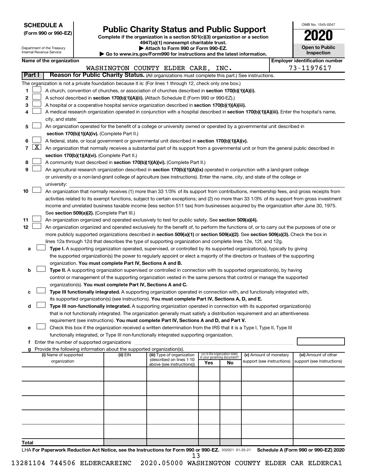**SCHEDULE A**

# **Public Charity Status and Public Support 2020**

**(Form 990 or 990-EZ) Complete if the organization is a section 501(c)(3) organization or a section 4947(a)(1) nonexempt charitable trust.**

| OMB No. 1545-0047                   |
|-------------------------------------|
| 02                                  |
| <b>Open to Public</b><br>Inspection |
|                                     |

 $\Box$ 

|       |            | Department of the Treasury<br>Internal Revenue Service |                                                      |                                                                        | Attach to Form 990 or Form 990-EZ.<br>$\blacktriangleright$ Go to www.irs.gov/Form990 for instructions and the latest information.                                                                              |     |                                   |                            |  | <b>Open to Public</b><br>Inspection   |
|-------|------------|--------------------------------------------------------|------------------------------------------------------|------------------------------------------------------------------------|-----------------------------------------------------------------------------------------------------------------------------------------------------------------------------------------------------------------|-----|-----------------------------------|----------------------------|--|---------------------------------------|
|       |            | Name of the organization                               |                                                      |                                                                        |                                                                                                                                                                                                                 |     |                                   |                            |  | <b>Employer identification number</b> |
|       |            |                                                        |                                                      |                                                                        | WASHINGTON COUNTY ELDER CARE, INC.                                                                                                                                                                              |     |                                   |                            |  | 73-1197617                            |
|       | Part I     |                                                        |                                                      |                                                                        | Reason for Public Charity Status. (All organizations must complete this part.) See instructions.                                                                                                                |     |                                   |                            |  |                                       |
|       |            |                                                        |                                                      |                                                                        |                                                                                                                                                                                                                 |     |                                   |                            |  |                                       |
| 1     |            |                                                        |                                                      |                                                                        | The organization is not a private foundation because it is: (For lines 1 through 12, check only one box.)<br>A church, convention of churches, or association of churches described in section 170(b)(1)(A)(i). |     |                                   |                            |  |                                       |
| 2     |            |                                                        |                                                      |                                                                        |                                                                                                                                                                                                                 |     |                                   |                            |  |                                       |
| 3     |            |                                                        |                                                      |                                                                        | A school described in section 170(b)(1)(A)(ii). (Attach Schedule E (Form 990 or 990-EZ).)<br>A hospital or a cooperative hospital service organization described in section 170(b)(1)(A)(iii).                  |     |                                   |                            |  |                                       |
| 4     |            |                                                        |                                                      |                                                                        | A medical research organization operated in conjunction with a hospital described in section 170(b)(1)(A)(iii). Enter the hospital's name,                                                                      |     |                                   |                            |  |                                       |
|       |            | city, and state:                                       |                                                      |                                                                        |                                                                                                                                                                                                                 |     |                                   |                            |  |                                       |
| 5     |            |                                                        |                                                      |                                                                        | An organization operated for the benefit of a college or university owned or operated by a governmental unit described in                                                                                       |     |                                   |                            |  |                                       |
|       |            |                                                        |                                                      | section 170(b)(1)(A)(iv). (Complete Part II.)                          |                                                                                                                                                                                                                 |     |                                   |                            |  |                                       |
| 6     |            |                                                        |                                                      |                                                                        | A federal, state, or local government or governmental unit described in section 170(b)(1)(A)(v).                                                                                                                |     |                                   |                            |  |                                       |
|       | $7 \times$ |                                                        |                                                      |                                                                        | An organization that normally receives a substantial part of its support from a governmental unit or from the general public described in                                                                       |     |                                   |                            |  |                                       |
|       |            |                                                        |                                                      | section 170(b)(1)(A)(vi). (Complete Part II.)                          |                                                                                                                                                                                                                 |     |                                   |                            |  |                                       |
| 8     |            |                                                        |                                                      |                                                                        | A community trust described in section 170(b)(1)(A)(vi). (Complete Part II.)                                                                                                                                    |     |                                   |                            |  |                                       |
| 9     |            |                                                        |                                                      |                                                                        | An agricultural research organization described in section 170(b)(1)(A)(ix) operated in conjunction with a land-grant college                                                                                   |     |                                   |                            |  |                                       |
|       |            |                                                        |                                                      |                                                                        | or university or a non-land-grant college of agriculture (see instructions). Enter the name, city, and state of the college or                                                                                  |     |                                   |                            |  |                                       |
|       |            | university:                                            |                                                      |                                                                        |                                                                                                                                                                                                                 |     |                                   |                            |  |                                       |
| 10    |            |                                                        |                                                      |                                                                        | An organization that normally receives (1) more than 33 1/3% of its support from contributions, membership fees, and gross receipts from                                                                        |     |                                   |                            |  |                                       |
|       |            |                                                        |                                                      |                                                                        | activities related to its exempt functions, subject to certain exceptions; and (2) no more than 33 1/3% of its support from gross investment                                                                    |     |                                   |                            |  |                                       |
|       |            |                                                        |                                                      |                                                                        | income and unrelated business taxable income (less section 511 tax) from businesses acquired by the organization after June 30, 1975.                                                                           |     |                                   |                            |  |                                       |
|       |            |                                                        |                                                      | See section 509(a)(2). (Complete Part III.)                            |                                                                                                                                                                                                                 |     |                                   |                            |  |                                       |
| 11    |            |                                                        |                                                      |                                                                        | An organization organized and operated exclusively to test for public safety. See section 509(a)(4).                                                                                                            |     |                                   |                            |  |                                       |
| 12    |            |                                                        |                                                      |                                                                        | An organization organized and operated exclusively for the benefit of, to perform the functions of, or to carry out the purposes of one or                                                                      |     |                                   |                            |  |                                       |
|       |            |                                                        |                                                      |                                                                        | more publicly supported organizations described in section 509(a)(1) or section 509(a)(2). See section 509(a)(3). Check the box in                                                                              |     |                                   |                            |  |                                       |
|       |            |                                                        |                                                      |                                                                        | lines 12a through 12d that describes the type of supporting organization and complete lines 12e, 12f, and 12g.                                                                                                  |     |                                   |                            |  |                                       |
| a     |            |                                                        |                                                      |                                                                        | Type I. A supporting organization operated, supervised, or controlled by its supported organization(s), typically by giving                                                                                     |     |                                   |                            |  |                                       |
|       |            |                                                        |                                                      |                                                                        | the supported organization(s) the power to regularly appoint or elect a majority of the directors or trustees of the supporting                                                                                 |     |                                   |                            |  |                                       |
|       |            |                                                        |                                                      | organization. You must complete Part IV, Sections A and B.             |                                                                                                                                                                                                                 |     |                                   |                            |  |                                       |
| b     |            |                                                        |                                                      |                                                                        | Type II. A supporting organization supervised or controlled in connection with its supported organization(s), by having                                                                                         |     |                                   |                            |  |                                       |
|       |            |                                                        |                                                      |                                                                        | control or management of the supporting organization vested in the same persons that control or manage the supported                                                                                            |     |                                   |                            |  |                                       |
|       |            |                                                        |                                                      | organization(s). You must complete Part IV, Sections A and C.          |                                                                                                                                                                                                                 |     |                                   |                            |  |                                       |
| c     |            |                                                        |                                                      |                                                                        | Type III functionally integrated. A supporting organization operated in connection with, and functionally integrated with,                                                                                      |     |                                   |                            |  |                                       |
|       |            |                                                        |                                                      |                                                                        | its supported organization(s) (see instructions). You must complete Part IV, Sections A, D, and E.                                                                                                              |     |                                   |                            |  |                                       |
| d     |            |                                                        |                                                      |                                                                        | Type III non-functionally integrated. A supporting organization operated in connection with its supported organization(s)                                                                                       |     |                                   |                            |  |                                       |
|       |            |                                                        |                                                      |                                                                        | that is not functionally integrated. The organization generally must satisfy a distribution requirement and an attentiveness                                                                                    |     |                                   |                            |  |                                       |
|       |            |                                                        |                                                      |                                                                        | requirement (see instructions). You must complete Part IV, Sections A and D, and Part V.                                                                                                                        |     |                                   |                            |  |                                       |
| е     |            |                                                        |                                                      |                                                                        | Check this box if the organization received a written determination from the IRS that it is a Type I, Type II, Type III                                                                                         |     |                                   |                            |  |                                       |
|       |            |                                                        |                                                      |                                                                        | functionally integrated, or Type III non-functionally integrated supporting organization.                                                                                                                       |     |                                   |                            |  |                                       |
|       |            |                                                        | <b>f</b> Enter the number of supported organizations | Provide the following information about the supported organization(s). |                                                                                                                                                                                                                 |     |                                   |                            |  |                                       |
|       |            | (i) Name of supported                                  |                                                      | (ii) EIN                                                               | (iii) Type of organization                                                                                                                                                                                      |     | (iv) Is the organization listed   | (v) Amount of monetary     |  | (vi) Amount of other                  |
|       |            | organization                                           |                                                      |                                                                        | (described on lines 1-10<br>above (see instructions))                                                                                                                                                           | Yes | in your governing document?<br>No | support (see instructions) |  | support (see instructions)            |
|       |            |                                                        |                                                      |                                                                        |                                                                                                                                                                                                                 |     |                                   |                            |  |                                       |
|       |            |                                                        |                                                      |                                                                        |                                                                                                                                                                                                                 |     |                                   |                            |  |                                       |
|       |            |                                                        |                                                      |                                                                        |                                                                                                                                                                                                                 |     |                                   |                            |  |                                       |
|       |            |                                                        |                                                      |                                                                        |                                                                                                                                                                                                                 |     |                                   |                            |  |                                       |
|       |            |                                                        |                                                      |                                                                        |                                                                                                                                                                                                                 |     |                                   |                            |  |                                       |
|       |            |                                                        |                                                      |                                                                        |                                                                                                                                                                                                                 |     |                                   |                            |  |                                       |
|       |            |                                                        |                                                      |                                                                        |                                                                                                                                                                                                                 |     |                                   |                            |  |                                       |
|       |            |                                                        |                                                      |                                                                        |                                                                                                                                                                                                                 |     |                                   |                            |  |                                       |
|       |            |                                                        |                                                      |                                                                        |                                                                                                                                                                                                                 |     |                                   |                            |  |                                       |
|       |            |                                                        |                                                      |                                                                        |                                                                                                                                                                                                                 |     |                                   |                            |  |                                       |
| Total |            |                                                        |                                                      |                                                                        |                                                                                                                                                                                                                 |     |                                   |                            |  |                                       |
|       |            |                                                        |                                                      |                                                                        |                                                                                                                                                                                                                 |     |                                   |                            |  |                                       |

LHA For Paperwork Reduction Act Notice, see the Instructions for Form 990 or 990-EZ. 032021 01-25-21 Schedule A (Form 990 or 990-EZ) 2020 13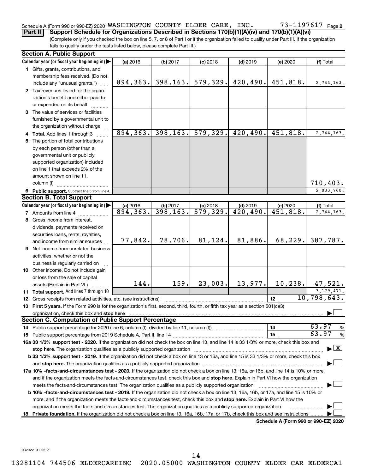#### Schedule A (Form 990 or 990-EZ) 2020 Page WASHINGTON COUNTY ELDER CARE, INC. 73-1197617

**Part II Support Schedule for Organizations Described in Sections 170(b)(1)(A)(iv) and 170(b)(1)(A)(vi)**

(Complete only if you checked the box on line 5, 7, or 8 of Part I or if the organization failed to qualify under Part III. If the organization fails to qualify under the tests listed below, please complete Part III.)

|    | <b>Section A. Public Support</b>                                                                                                               |                       |                      |                                       |                                      |                                      |                                    |
|----|------------------------------------------------------------------------------------------------------------------------------------------------|-----------------------|----------------------|---------------------------------------|--------------------------------------|--------------------------------------|------------------------------------|
|    | Calendar year (or fiscal year beginning in)                                                                                                    | (a) 2016              | (b) 2017             | $(c)$ 2018                            | $(d)$ 2019                           | (e) 2020                             | (f) Total                          |
|    | 1 Gifts, grants, contributions, and                                                                                                            |                       |                      |                                       |                                      |                                      |                                    |
|    | membership fees received. (Do not                                                                                                              |                       |                      |                                       |                                      |                                      |                                    |
|    | include any "unusual grants.")                                                                                                                 | 894, 363.             | 398, 163.            | 579, 329.                             | 420,490.                             | 451,818.                             | 2,744,163.                         |
|    | 2 Tax revenues levied for the organ-                                                                                                           |                       |                      |                                       |                                      |                                      |                                    |
|    | ization's benefit and either paid to                                                                                                           |                       |                      |                                       |                                      |                                      |                                    |
|    | or expended on its behalf                                                                                                                      |                       |                      |                                       |                                      |                                      |                                    |
|    | 3 The value of services or facilities                                                                                                          |                       |                      |                                       |                                      |                                      |                                    |
|    | furnished by a governmental unit to                                                                                                            |                       |                      |                                       |                                      |                                      |                                    |
|    | the organization without charge                                                                                                                |                       |                      |                                       |                                      |                                      |                                    |
|    | 4 Total. Add lines 1 through 3                                                                                                                 | 894, 363.             | 398, 163.            | 579, 329.                             | 420, 490.                            | 451,818.                             | 2,744,163.                         |
|    | 5 The portion of total contributions                                                                                                           |                       |                      |                                       |                                      |                                      |                                    |
|    | by each person (other than a                                                                                                                   |                       |                      |                                       |                                      |                                      |                                    |
|    | governmental unit or publicly                                                                                                                  |                       |                      |                                       |                                      |                                      |                                    |
|    | supported organization) included                                                                                                               |                       |                      |                                       |                                      |                                      |                                    |
|    | on line 1 that exceeds 2% of the                                                                                                               |                       |                      |                                       |                                      |                                      |                                    |
|    | amount shown on line 11,                                                                                                                       |                       |                      |                                       |                                      |                                      |                                    |
|    | column (f)                                                                                                                                     |                       |                      |                                       |                                      |                                      | 710,403.                           |
|    | 6 Public support. Subtract line 5 from line 4.                                                                                                 |                       |                      |                                       |                                      |                                      | 2,033,760.                         |
|    | <b>Section B. Total Support</b>                                                                                                                |                       |                      |                                       |                                      |                                      |                                    |
|    | Calendar year (or fiscal year beginning in)                                                                                                    | (a) 2016<br>894, 363. | (b) 2017<br>398,163. | $(c)$ 2018<br>$\overline{579}$ , 329. | $(d)$ 2019<br>$\overline{420,490}$ . | (e) 2020<br>$\overline{451,818}$ .   | (f) Total                          |
|    | 7 Amounts from line 4                                                                                                                          |                       |                      |                                       |                                      |                                      | 2,744,163.                         |
|    | 8 Gross income from interest,                                                                                                                  |                       |                      |                                       |                                      |                                      |                                    |
|    | dividends, payments received on                                                                                                                |                       |                      |                                       |                                      |                                      |                                    |
|    | securities loans, rents, royalties,                                                                                                            |                       | 78,706.              | 81,124.                               | 81,886.                              | 68,229.                              |                                    |
|    | and income from similar sources                                                                                                                | 77,842.               |                      |                                       |                                      |                                      | 387,787.                           |
|    | <b>9</b> Net income from unrelated business                                                                                                    |                       |                      |                                       |                                      |                                      |                                    |
|    | activities, whether or not the                                                                                                                 |                       |                      |                                       |                                      |                                      |                                    |
|    | business is regularly carried on                                                                                                               |                       |                      |                                       |                                      |                                      |                                    |
|    | 10 Other income. Do not include gain                                                                                                           |                       |                      |                                       |                                      |                                      |                                    |
|    | or loss from the sale of capital                                                                                                               | 144.                  | 159.                 | 23,003.                               | 13,977.                              | 10, 238.                             | 47,521.                            |
|    | assets (Explain in Part VI.)                                                                                                                   |                       |                      |                                       |                                      |                                      |                                    |
|    | 11 Total support. Add lines 7 through 10                                                                                                       |                       |                      |                                       |                                      | 12                                   | 3, 179, 471.<br>10,798,643.        |
|    | <b>12</b> Gross receipts from related activities, etc. (see instructions)                                                                      |                       |                      |                                       |                                      |                                      |                                    |
|    | 13 First 5 years. If the Form 990 is for the organization's first, second, third, fourth, or fifth tax year as a section 501(c)(3)             |                       |                      |                                       |                                      |                                      |                                    |
|    | <b>Section C. Computation of Public Support Percentage</b>                                                                                     |                       |                      |                                       |                                      |                                      |                                    |
|    |                                                                                                                                                |                       |                      |                                       |                                      | 14                                   | 63.97<br>%                         |
|    |                                                                                                                                                |                       |                      |                                       |                                      | 15                                   | 63.97<br>%                         |
|    | 16a 33 1/3% support test - 2020. If the organization did not check the box on line 13, and line 14 is 33 1/3% or more, check this box and      |                       |                      |                                       |                                      |                                      |                                    |
|    | stop here. The organization qualifies as a publicly supported organization manufaction manufacture or the organization                         |                       |                      |                                       |                                      |                                      | $\blacktriangleright$ $\mathbf{X}$ |
|    | b 33 1/3% support test - 2019. If the organization did not check a box on line 13 or 16a, and line 15 is 33 1/3% or more, check this box       |                       |                      |                                       |                                      |                                      |                                    |
|    |                                                                                                                                                |                       |                      |                                       |                                      |                                      |                                    |
|    | 17a 10% -facts-and-circumstances test - 2020. If the organization did not check a box on line 13, 16a, or 16b, and line 14 is 10% or more,     |                       |                      |                                       |                                      |                                      |                                    |
|    | and if the organization meets the facts-and-circumstances test, check this box and stop here. Explain in Part VI how the organization          |                       |                      |                                       |                                      |                                      |                                    |
|    | meets the facts-and-circumstances test. The organization qualifies as a publicly supported organization                                        |                       |                      |                                       |                                      |                                      |                                    |
|    | <b>b 10%</b> -facts-and-circumstances test - 2019. If the organization did not check a box on line 13, 16a, 16b, or 17a, and line 15 is 10% or |                       |                      |                                       |                                      |                                      |                                    |
|    | more, and if the organization meets the facts-and-circumstances test, check this box and <b>stop here.</b> Explain in Part VI how the          |                       |                      |                                       |                                      |                                      |                                    |
|    | organization meets the facts-and-circumstances test. The organization qualifies as a publicly supported organization                           |                       |                      |                                       |                                      |                                      |                                    |
| 18 | Private foundation. If the organization did not check a box on line 13, 16a, 16b, 17a, or 17b, check this box and see instructions.            |                       |                      |                                       |                                      |                                      |                                    |
|    |                                                                                                                                                |                       |                      |                                       |                                      | Schedule A (Form 990 or 990-EZ) 2020 |                                    |

032022 01-25-21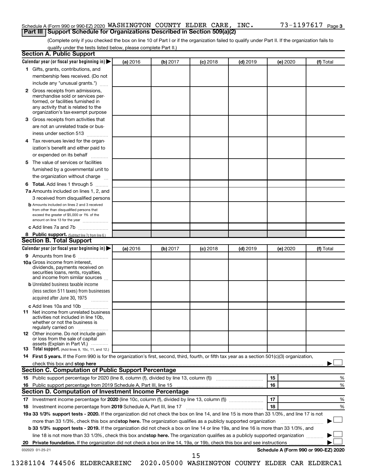#### Schedule A (Form 990 or 990-EZ) 2020 Page WASHINGTON COUNTY ELDER CARE, INC. 73-1197617 **Part III Support Schedule for Organizations Described in Section 509(a)(2)**

(Complete only if you checked the box on line 10 of Part I or if the organization failed to qualify under Part II. If the organization fails to qualify under the tests listed below, please complete Part II.)

| <b>Section A. Public Support</b>                                                                                                                                                                |          |          |            |            |          |                                      |
|-------------------------------------------------------------------------------------------------------------------------------------------------------------------------------------------------|----------|----------|------------|------------|----------|--------------------------------------|
| Calendar year (or fiscal year beginning in)                                                                                                                                                     | (a) 2016 | (b) 2017 | $(c)$ 2018 | $(d)$ 2019 | (e) 2020 | (f) Total                            |
| 1 Gifts, grants, contributions, and                                                                                                                                                             |          |          |            |            |          |                                      |
| membership fees received. (Do not                                                                                                                                                               |          |          |            |            |          |                                      |
| include any "unusual grants.")                                                                                                                                                                  |          |          |            |            |          |                                      |
| <b>2</b> Gross receipts from admissions,<br>merchandise sold or services per-<br>formed, or facilities furnished in<br>any activity that is related to the<br>organization's tax-exempt purpose |          |          |            |            |          |                                      |
| 3 Gross receipts from activities that                                                                                                                                                           |          |          |            |            |          |                                      |
| are not an unrelated trade or bus-                                                                                                                                                              |          |          |            |            |          |                                      |
|                                                                                                                                                                                                 |          |          |            |            |          |                                      |
| iness under section 513                                                                                                                                                                         |          |          |            |            |          |                                      |
| 4 Tax revenues levied for the organ-<br>ization's benefit and either paid to                                                                                                                    |          |          |            |            |          |                                      |
| or expended on its behalf                                                                                                                                                                       |          |          |            |            |          |                                      |
|                                                                                                                                                                                                 |          |          |            |            |          |                                      |
| 5 The value of services or facilities                                                                                                                                                           |          |          |            |            |          |                                      |
| furnished by a governmental unit to                                                                                                                                                             |          |          |            |            |          |                                      |
| the organization without charge                                                                                                                                                                 |          |          |            |            |          |                                      |
| 6 Total. Add lines 1 through 5                                                                                                                                                                  |          |          |            |            |          |                                      |
| 7a Amounts included on lines 1, 2, and                                                                                                                                                          |          |          |            |            |          |                                      |
| 3 received from disqualified persons                                                                                                                                                            |          |          |            |            |          |                                      |
| <b>b</b> Amounts included on lines 2 and 3 received<br>from other than disqualified persons that<br>exceed the greater of \$5,000 or 1% of the<br>amount on line 13 for the year                |          |          |            |            |          |                                      |
| c Add lines 7a and 7b                                                                                                                                                                           |          |          |            |            |          |                                      |
| 8 Public support. (Subtract line 7c from line 6.)                                                                                                                                               |          |          |            |            |          |                                      |
| <b>Section B. Total Support</b>                                                                                                                                                                 |          |          |            |            |          |                                      |
| Calendar year (or fiscal year beginning in)                                                                                                                                                     | (a) 2016 | (b) 2017 | $(c)$ 2018 | $(d)$ 2019 | (e) 2020 | (f) Total                            |
| 9 Amounts from line 6                                                                                                                                                                           |          |          |            |            |          |                                      |
| <b>10a</b> Gross income from interest,<br>dividends, payments received on<br>securities loans, rents, royalties,<br>and income from similar sources                                             |          |          |            |            |          |                                      |
| <b>b</b> Unrelated business taxable income                                                                                                                                                      |          |          |            |            |          |                                      |
| (less section 511 taxes) from businesses<br>acquired after June 30, 1975                                                                                                                        |          |          |            |            |          |                                      |
| c Add lines 10a and 10b                                                                                                                                                                         |          |          |            |            |          |                                      |
| <b>11</b> Net income from unrelated business<br>activities not included in line 10b.<br>whether or not the business is<br>regularly carried on                                                  |          |          |            |            |          |                                      |
| 12 Other income. Do not include gain<br>or loss from the sale of capital<br>assets (Explain in Part VI.)                                                                                        |          |          |            |            |          |                                      |
| <b>13</b> Total support. (Add lines 9, 10c, 11, and 12.)                                                                                                                                        |          |          |            |            |          |                                      |
| 14 First 5 years. If the Form 990 is for the organization's first, second, third, fourth, or fifth tax year as a section 501(c)(3) organization,                                                |          |          |            |            |          |                                      |
| check this box and stop here <b>contained and the contained and starting and stop here</b> check this box and stop here                                                                         |          |          |            |            |          |                                      |
| Section C. Computation of Public Support Percentage                                                                                                                                             |          |          |            |            |          |                                      |
| 15 Public support percentage for 2020 (line 8, column (f), divided by line 13, column (f) <i></i>                                                                                               |          |          |            |            | 15       | ℅                                    |
|                                                                                                                                                                                                 |          |          |            |            | 16       | %                                    |
| Section D. Computation of Investment Income Percentage                                                                                                                                          |          |          |            |            |          |                                      |
|                                                                                                                                                                                                 |          |          |            |            | 17       | %                                    |
| 18 Investment income percentage from 2019 Schedule A, Part III, line 17                                                                                                                         |          |          |            |            | 18       | %                                    |
| 19a 33 1/3% support tests - 2020. If the organization did not check the box on line 14, and line 15 is more than 33 1/3%, and line 17 is not                                                    |          |          |            |            |          |                                      |
| more than 33 1/3%, check this box and stop here. The organization qualifies as a publicly supported organization                                                                                |          |          |            |            |          |                                      |
| b 33 1/3% support tests - 2019. If the organization did not check a box on line 14 or line 19a, and line 16 is more than 33 1/3%, and                                                           |          |          |            |            |          |                                      |
| line 18 is not more than 33 1/3%, check this box and stop here. The organization qualifies as a publicly supported organization                                                                 |          |          |            |            |          |                                      |
|                                                                                                                                                                                                 |          |          |            |            |          |                                      |
|                                                                                                                                                                                                 |          |          |            |            |          | Schedule A (Form 990 or 990-EZ) 2020 |
| 032023 01-25-21                                                                                                                                                                                 |          |          | 15         |            |          |                                      |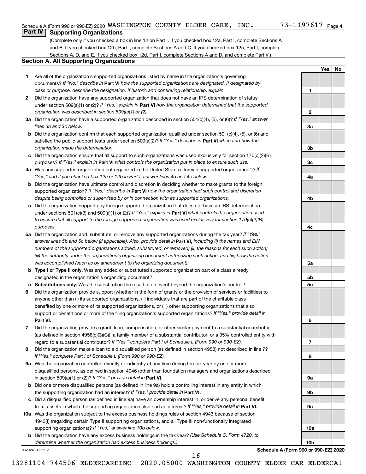**1**

**2**

**3a**

**3b**

**3c**

**4a**

**4b**

**4c**

**5a**

**5b 5c**

**6**

**7**

**8**

**9a**

**9b**

**9c**

**10a**

**10b**

**Yes No**

#### **Part IV Supporting Organizations**

(Complete only if you checked a box in line 12 on Part I. If you checked box 12a, Part I, complete Sections A and B. If you checked box 12b, Part I, complete Sections A and C. If you checked box 12c, Part I, complete Sections A, D, and E. If you checked box 12d, Part I, complete Sections A and D, and complete Part V.)

#### **Section A. All Supporting Organizations**

- **1** Are all of the organization's supported organizations listed by name in the organization's governing documents? If "No," describe in Part VI how the supported organizations are designated. If designated by *class or purpose, describe the designation. If historic and continuing relationship, explain.*
- **2** Did the organization have any supported organization that does not have an IRS determination of status under section 509(a)(1) or (2)? If "Yes," explain in Part **VI** how the organization determined that the supported *organization was described in section 509(a)(1) or (2).*
- **3a** Did the organization have a supported organization described in section 501(c)(4), (5), or (6)? If "Yes," answer *lines 3b and 3c below.*
- **b** Did the organization confirm that each supported organization qualified under section 501(c)(4), (5), or (6) and satisfied the public support tests under section 509(a)(2)? If "Yes," describe in Part VI when and how the *organization made the determination.*
- **c** Did the organization ensure that all support to such organizations was used exclusively for section 170(c)(2)(B) purposes? If "Yes," explain in Part VI what controls the organization put in place to ensure such use.
- **4 a** *If* Was any supported organization not organized in the United States ("foreign supported organization")? *"Yes," and if you checked box 12a or 12b in Part I, answer lines 4b and 4c below.*
- **b** Did the organization have ultimate control and discretion in deciding whether to make grants to the foreign supported organization? If "Yes," describe in Part VI how the organization had such control and discretion *despite being controlled or supervised by or in connection with its supported organizations.*
- **c** Did the organization support any foreign supported organization that does not have an IRS determination under sections 501(c)(3) and 509(a)(1) or (2)? If "Yes," explain in Part VI what controls the organization used *to ensure that all support to the foreign supported organization was used exclusively for section 170(c)(2)(B) purposes.*
- **5a** Did the organization add, substitute, or remove any supported organizations during the tax year? If "Yes," answer lines 5b and 5c below (if applicable). Also, provide detail in **Part VI,** including (i) the names and EIN *numbers of the supported organizations added, substituted, or removed; (ii) the reasons for each such action; (iii) the authority under the organization's organizing document authorizing such action; and (iv) how the action was accomplished (such as by amendment to the organizing document).*
- **b Type I or Type II only.** Was any added or substituted supported organization part of a class already designated in the organization's organizing document?
- **c Substitutions only.**  Was the substitution the result of an event beyond the organization's control?
- **6** Did the organization provide support (whether in the form of grants or the provision of services or facilities) to **Part VI.** support or benefit one or more of the filing organization's supported organizations? If "Yes," provide detail in anyone other than (i) its supported organizations, (ii) individuals that are part of the charitable class benefited by one or more of its supported organizations, or (iii) other supporting organizations that also
- **7** Did the organization provide a grant, loan, compensation, or other similar payment to a substantial contributor regard to a substantial contributor? If "Yes," complete Part I of Schedule L (Form 990 or 990-EZ). (as defined in section 4958(c)(3)(C)), a family member of a substantial contributor, or a 35% controlled entity with
- **8** Did the organization make a loan to a disqualified person (as defined in section 4958) not described in line 7? *If "Yes," complete Part I of Schedule L (Form 990 or 990-EZ).*
- **9 a** Was the organization controlled directly or indirectly at any time during the tax year by one or more in section 509(a)(1) or (2))? If "Yes," provide detail in **Part VI.** disqualified persons, as defined in section 4946 (other than foundation managers and organizations described
- **b** Did one or more disqualified persons (as defined in line 9a) hold a controlling interest in any entity in which the supporting organization had an interest? If "Yes," provide detail in Part VI.
- **c** Did a disqualified person (as defined in line 9a) have an ownership interest in, or derive any personal benefit from, assets in which the supporting organization also had an interest? If "Yes," provide detail in Part VI.
- **10 a** Was the organization subject to the excess business holdings rules of section 4943 because of section supporting organizations)? If "Yes," answer line 10b below. 4943(f) (regarding certain Type II supporting organizations, and all Type III non-functionally integrated
	- **b** Did the organization have any excess business holdings in the tax year? (Use Schedule C, Form 4720, to *determine whether the organization had excess business holdings.)*

032024 01-25-21

**Schedule A (Form 990 or 990-EZ) 2020**

13281104 744506 ELDERCAREINC 2020.05000 WASHINGTON COUNTY ELDER CAR ELDERCA1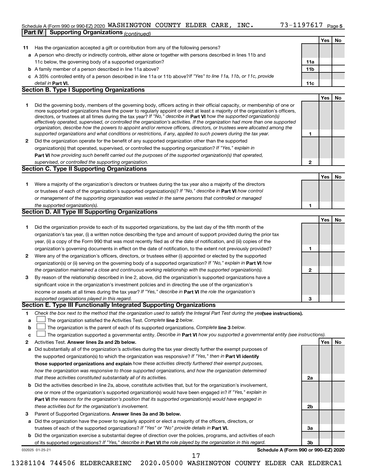#### Schedule A (Form 990 or 990-EZ) 2020 Page WASHINGTON COUNTY ELDER CARE, INC. 73-1197617 **Part IV Supporting Organizations** *(continued)*

|    |                                                                                                                                                                                                                                                           |     | Yes        | No        |
|----|-----------------------------------------------------------------------------------------------------------------------------------------------------------------------------------------------------------------------------------------------------------|-----|------------|-----------|
| 11 | Has the organization accepted a gift or contribution from any of the following persons?                                                                                                                                                                   |     |            |           |
|    | a A person who directly or indirectly controls, either alone or together with persons described in lines 11b and                                                                                                                                          |     |            |           |
|    | 11c below, the governing body of a supported organization?                                                                                                                                                                                                | 11a |            |           |
|    | <b>b</b> A family member of a person described in line 11a above?                                                                                                                                                                                         | 11b |            |           |
|    | c A 35% controlled entity of a person described in line 11a or 11b above?If "Yes" to line 11a, 11b, or 11c, provide                                                                                                                                       |     |            |           |
|    | detail in Part VI.                                                                                                                                                                                                                                        | 11c |            |           |
|    | <b>Section B. Type I Supporting Organizations</b>                                                                                                                                                                                                         |     |            |           |
|    |                                                                                                                                                                                                                                                           |     | <b>Yes</b> | No        |
| 1  | Did the governing body, members of the governing body, officers acting in their official capacity, or membership of one or                                                                                                                                |     |            |           |
|    | more supported organizations have the power to regularly appoint or elect at least a majority of the organization's officers,                                                                                                                             |     |            |           |
|    | directors, or trustees at all times during the tax year? If "No," describe in Part VI how the supported organization(s)<br>effectively operated, supervised, or controlled the organization's activities. If the organization had more than one supported |     |            |           |
|    | organization, describe how the powers to appoint and/or remove officers, directors, or trustees were allocated among the                                                                                                                                  |     |            |           |
|    | supported organizations and what conditions or restrictions, if any, applied to such powers during the tax year.                                                                                                                                          | 1   |            |           |
| 2  | Did the organization operate for the benefit of any supported organization other than the supported                                                                                                                                                       |     |            |           |
|    | organization(s) that operated, supervised, or controlled the supporting organization? If "Yes," explain in                                                                                                                                                |     |            |           |
|    | Part VI how providing such benefit carried out the purposes of the supported organization(s) that operated,                                                                                                                                               |     |            |           |
|    | supervised, or controlled the supporting organization.                                                                                                                                                                                                    | 2   |            |           |
|    | <b>Section C. Type II Supporting Organizations</b>                                                                                                                                                                                                        |     |            |           |
|    |                                                                                                                                                                                                                                                           |     | Yes        | No        |
| 1  | Were a majority of the organization's directors or trustees during the tax year also a majority of the directors                                                                                                                                          |     |            |           |
|    | or trustees of each of the organization's supported organization(s)? If "No," describe in Part VI how control                                                                                                                                             |     |            |           |
|    | or management of the supporting organization was vested in the same persons that controlled or managed                                                                                                                                                    |     |            |           |
|    | the supported organization(s).<br><b>Section D. All Type III Supporting Organizations</b>                                                                                                                                                                 | 1   |            |           |
|    |                                                                                                                                                                                                                                                           |     |            |           |
|    |                                                                                                                                                                                                                                                           |     | <b>Yes</b> | <b>No</b> |
| 1  | Did the organization provide to each of its supported organizations, by the last day of the fifth month of the                                                                                                                                            |     |            |           |
|    | organization's tax year, (i) a written notice describing the type and amount of support provided during the prior tax                                                                                                                                     |     |            |           |
|    | year, (ii) a copy of the Form 990 that was most recently filed as of the date of notification, and (iii) copies of the<br>organization's governing documents in effect on the date of notification, to the extent not previously provided?                | 1   |            |           |
| 2  | Were any of the organization's officers, directors, or trustees either (i) appointed or elected by the supported                                                                                                                                          |     |            |           |
|    | organization(s) or (ii) serving on the governing body of a supported organization? If "No," explain in Part VI how                                                                                                                                        |     |            |           |
|    | the organization maintained a close and continuous working relationship with the supported organization(s).                                                                                                                                               | 2   |            |           |
| 3  | By reason of the relationship described in line 2, above, did the organization's supported organizations have a                                                                                                                                           |     |            |           |
|    | significant voice in the organization's investment policies and in directing the use of the organization's                                                                                                                                                |     |            |           |
|    | income or assets at all times during the tax year? If "Yes," describe in Part VI the role the organization's                                                                                                                                              |     |            |           |
|    | supported organizations played in this regard.                                                                                                                                                                                                            | З   |            |           |
|    | Section E. Type III Functionally Integrated Supporting Organizations                                                                                                                                                                                      |     |            |           |
| 1  | Check the box next to the method that the organization used to satisfy the Integral Part Test during the yealsee instructions).                                                                                                                           |     |            |           |
| a  | The organization satisfied the Activities Test. Complete line 2 below.                                                                                                                                                                                    |     |            |           |
| b  | The organization is the parent of each of its supported organizations. Complete line 3 below.                                                                                                                                                             |     |            |           |
| с  | The organization supported a governmental entity. Describe in Part VI how you supported a governmental entity (see instructions).                                                                                                                         |     |            |           |
| 2  | Activities Test. Answer lines 2a and 2b below.                                                                                                                                                                                                            |     | Yes        | No        |
| а  | Did substantially all of the organization's activities during the tax year directly further the exempt purposes of                                                                                                                                        |     |            |           |
|    | the supported organization(s) to which the organization was responsive? If "Yes," then in Part VI identify                                                                                                                                                |     |            |           |
|    | those supported organizations and explain how these activities directly furthered their exempt purposes,                                                                                                                                                  |     |            |           |
|    | how the organization was responsive to those supported organizations, and how the organization determined                                                                                                                                                 |     |            |           |
|    | that these activities constituted substantially all of its activities.                                                                                                                                                                                    | 2a  |            |           |
|    | <b>b</b> Did the activities described in line 2a, above, constitute activities that, but for the organization's involvement,                                                                                                                              |     |            |           |
|    | one or more of the organization's supported organization(s) would have been engaged in? If "Yes," explain in                                                                                                                                              |     |            |           |
|    | Part VI the reasons for the organization's position that its supported organization(s) would have engaged in                                                                                                                                              |     |            |           |
|    | these activities but for the organization's involvement.                                                                                                                                                                                                  | 2b  |            |           |
| з  | Parent of Supported Organizations. Answer lines 3a and 3b below.                                                                                                                                                                                          |     |            |           |
| а  | Did the organization have the power to regularly appoint or elect a majority of the officers, directors, or                                                                                                                                               |     |            |           |
|    | trustees of each of the supported organizations? If "Yes" or "No" provide details in Part VI.                                                                                                                                                             | За  |            |           |
|    | <b>b</b> Did the organization exercise a substantial degree of direction over the policies, programs, and activities of each                                                                                                                              |     |            |           |
|    | of its supported organizations? If "Yes," describe in Part VI the role played by the organization in this regard.<br>Schedule A (Form 990 or 990-EZ) 2020<br>032025 01-25-21                                                                              | 3b  |            |           |
|    | 17                                                                                                                                                                                                                                                        |     |            |           |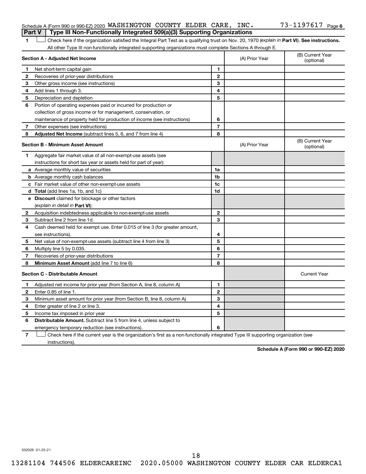#### Schedule A (Form 990 or 990-EZ) 2020 Page WASHINGTON COUNTY ELDER CARE, INC. 73-1197617 **Part V Type III Non-Functionally Integrated 509(a)(3) Supporting Organizations**

1 **Letter See instructions.** Check here if the organization satisfied the Integral Part Test as a qualifying trust on Nov. 20, 1970 (*explain in* Part **VI**). See instructions. All other Type III non-functionally integrated supporting organizations must complete Sections A through E.

|              | Section A - Adjusted Net Income                                                                                                   |                          | (A) Prior Year | (B) Current Year<br>(optional) |
|--------------|-----------------------------------------------------------------------------------------------------------------------------------|--------------------------|----------------|--------------------------------|
| 1            | Net short-term capital gain                                                                                                       | 1                        |                |                                |
| 2            | Recoveries of prior-year distributions                                                                                            | $\mathbf{2}$             |                |                                |
| 3            | Other gross income (see instructions)                                                                                             | 3                        |                |                                |
| 4            | Add lines 1 through 3.                                                                                                            | 4                        |                |                                |
| 5            | Depreciation and depletion                                                                                                        | 5                        |                |                                |
| 6            | Portion of operating expenses paid or incurred for production or                                                                  |                          |                |                                |
|              | collection of gross income or for management, conservation, or                                                                    |                          |                |                                |
|              | maintenance of property held for production of income (see instructions)                                                          | 6                        |                |                                |
| 7            | Other expenses (see instructions)                                                                                                 | $\overline{\phantom{a}}$ |                |                                |
| 8            | Adjusted Net Income (subtract lines 5, 6, and 7 from line 4)                                                                      | 8                        |                |                                |
|              | <b>Section B - Minimum Asset Amount</b>                                                                                           |                          | (A) Prior Year | (B) Current Year<br>(optional) |
| 1.           | Aggregate fair market value of all non-exempt-use assets (see                                                                     |                          |                |                                |
|              | instructions for short tax year or assets held for part of year):                                                                 |                          |                |                                |
|              | <b>a</b> Average monthly value of securities                                                                                      | 1a                       |                |                                |
|              | <b>b</b> Average monthly cash balances                                                                                            | 1 <sub>b</sub>           |                |                                |
|              | c Fair market value of other non-exempt-use assets                                                                                | 1c                       |                |                                |
|              | d Total (add lines 1a, 1b, and 1c)                                                                                                | 1d                       |                |                                |
|              | e Discount claimed for blockage or other factors                                                                                  |                          |                |                                |
|              | (explain in detail in Part VI):                                                                                                   |                          |                |                                |
| 2            | Acquisition indebtedness applicable to non-exempt-use assets                                                                      | $\mathbf{2}$             |                |                                |
| 3            | Subtract line 2 from line 1d.                                                                                                     | 3                        |                |                                |
| 4            | Cash deemed held for exempt use. Enter 0.015 of line 3 (for greater amount,                                                       |                          |                |                                |
|              | see instructions).                                                                                                                | 4                        |                |                                |
| 5            | Net value of non-exempt-use assets (subtract line 4 from line 3)                                                                  | 5                        |                |                                |
| 6            | Multiply line 5 by 0.035.                                                                                                         | 6                        |                |                                |
| 7            | Recoveries of prior-year distributions                                                                                            | 7                        |                |                                |
| 8            | Minimum Asset Amount (add line 7 to line 6)                                                                                       | 8                        |                |                                |
|              | <b>Section C - Distributable Amount</b>                                                                                           |                          |                | <b>Current Year</b>            |
| 1.           | Adjusted net income for prior year (from Section A, line 8, column A)                                                             | $\mathbf{1}$             |                |                                |
| $\mathbf{2}$ | Enter 0.85 of line 1.                                                                                                             | $\mathbf{2}$             |                |                                |
| 3            | Minimum asset amount for prior year (from Section B, line 8, column A)                                                            | 3                        |                |                                |
| 4            | Enter greater of line 2 or line 3.                                                                                                | 4                        |                |                                |
| 5            | Income tax imposed in prior year                                                                                                  | 5                        |                |                                |
| 6            | <b>Distributable Amount.</b> Subtract line 5 from line 4, unless subject to                                                       |                          |                |                                |
|              | emergency temporary reduction (see instructions).                                                                                 | 6                        |                |                                |
| 7            | Check here if the current year is the organization's first as a non-functionally integrated Type III supporting organization (see |                          |                |                                |

instructions).

**Schedule A (Form 990 or 990-EZ) 2020**

032026 01-25-21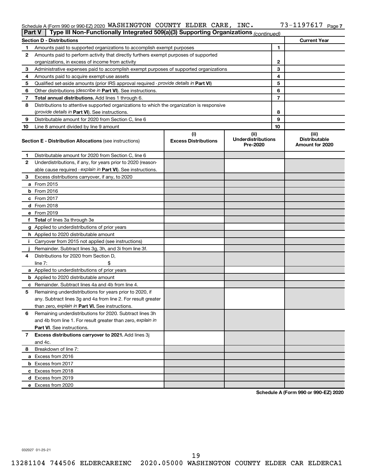#### Schedule A (Form 990 or 990-EZ) 2020 WASHINGTON COUNTY ELDER CARE, INC.  $15-119/61/$  Page WASHINGTON COUNTY ELDER CARE, INC. 73-1197617

| <b>Part V</b> | Type III Non-Functionally Integrated 509(a)(3) Supporting Organizations (continued)        |                             |                                       |    |                                         |
|---------------|--------------------------------------------------------------------------------------------|-----------------------------|---------------------------------------|----|-----------------------------------------|
|               | <b>Section D - Distributions</b>                                                           |                             |                                       |    | <b>Current Year</b>                     |
| 1             | Amounts paid to supported organizations to accomplish exempt purposes                      |                             |                                       | 1  |                                         |
| 2             | Amounts paid to perform activity that directly furthers exempt purposes of supported       |                             |                                       |    |                                         |
|               | organizations, in excess of income from activity                                           |                             | 2                                     |    |                                         |
| 3             | Administrative expenses paid to accomplish exempt purposes of supported organizations      |                             | 3                                     |    |                                         |
| 4             | Amounts paid to acquire exempt-use assets                                                  |                             |                                       | 4  |                                         |
| 5             | Qualified set-aside amounts (prior IRS approval required - provide details in Part VI)     |                             |                                       | 5  |                                         |
| 6             | Other distributions ( <i>describe in Part VI</i> ). See instructions.                      |                             |                                       | 6  |                                         |
| 7             | Total annual distributions. Add lines 1 through 6.                                         |                             |                                       | 7  |                                         |
| 8             | Distributions to attentive supported organizations to which the organization is responsive |                             |                                       |    |                                         |
|               | (provide details in Part VI). See instructions.                                            |                             |                                       | 8  |                                         |
| 9             | Distributable amount for 2020 from Section C, line 6                                       |                             |                                       | 9  |                                         |
| 10            | Line 8 amount divided by line 9 amount                                                     |                             |                                       | 10 |                                         |
|               |                                                                                            | (i)                         | (ii)                                  |    | (iii)                                   |
|               | <b>Section E - Distribution Allocations (see instructions)</b>                             | <b>Excess Distributions</b> | <b>Underdistributions</b><br>Pre-2020 |    | <b>Distributable</b><br>Amount for 2020 |
| 1             | Distributable amount for 2020 from Section C, line 6                                       |                             |                                       |    |                                         |
| 2             | Underdistributions, if any, for years prior to 2020 (reason-                               |                             |                                       |    |                                         |
|               | able cause required - explain in Part VI). See instructions.                               |                             |                                       |    |                                         |
| 3             | Excess distributions carryover, if any, to 2020                                            |                             |                                       |    |                                         |
|               | a From 2015                                                                                |                             |                                       |    |                                         |
|               | $b$ From 2016                                                                              |                             |                                       |    |                                         |
|               | c From 2017                                                                                |                             |                                       |    |                                         |
|               | <b>d</b> From 2018                                                                         |                             |                                       |    |                                         |
|               | e From 2019                                                                                |                             |                                       |    |                                         |
|               | f Total of lines 3a through 3e                                                             |                             |                                       |    |                                         |
|               | g Applied to underdistributions of prior years                                             |                             |                                       |    |                                         |
|               | <b>h</b> Applied to 2020 distributable amount                                              |                             |                                       |    |                                         |
| Ť.            | Carryover from 2015 not applied (see instructions)                                         |                             |                                       |    |                                         |
|               | Remainder. Subtract lines 3g, 3h, and 3i from line 3f.                                     |                             |                                       |    |                                         |
| 4             | Distributions for 2020 from Section D,                                                     |                             |                                       |    |                                         |
|               | line 7:                                                                                    |                             |                                       |    |                                         |
|               | a Applied to underdistributions of prior years                                             |                             |                                       |    |                                         |
|               | <b>b</b> Applied to 2020 distributable amount                                              |                             |                                       |    |                                         |
|               | c Remainder. Subtract lines 4a and 4b from line 4.                                         |                             |                                       |    |                                         |
| 5             | Remaining underdistributions for years prior to 2020, if                                   |                             |                                       |    |                                         |
|               | any. Subtract lines 3g and 4a from line 2. For result greater                              |                             |                                       |    |                                         |
|               | than zero, explain in Part VI. See instructions.                                           |                             |                                       |    |                                         |
| 6             | Remaining underdistributions for 2020. Subtract lines 3h                                   |                             |                                       |    |                                         |
|               | and 4b from line 1. For result greater than zero, explain in                               |                             |                                       |    |                                         |
|               | <b>Part VI.</b> See instructions.                                                          |                             |                                       |    |                                         |
| 7             | Excess distributions carryover to 2021. Add lines 3j                                       |                             |                                       |    |                                         |
|               | and 4c.                                                                                    |                             |                                       |    |                                         |
| 8             | Breakdown of line 7:                                                                       |                             |                                       |    |                                         |
|               | a Excess from 2016                                                                         |                             |                                       |    |                                         |
|               | <b>b</b> Excess from 2017                                                                  |                             |                                       |    |                                         |
|               | c Excess from 2018                                                                         |                             |                                       |    |                                         |
|               |                                                                                            |                             |                                       |    |                                         |
|               | d Excess from 2019<br>e Excess from 2020                                                   |                             |                                       |    |                                         |
|               |                                                                                            |                             |                                       |    |                                         |

**Schedule A (Form 990 or 990-EZ) 2020**

032027 01-25-21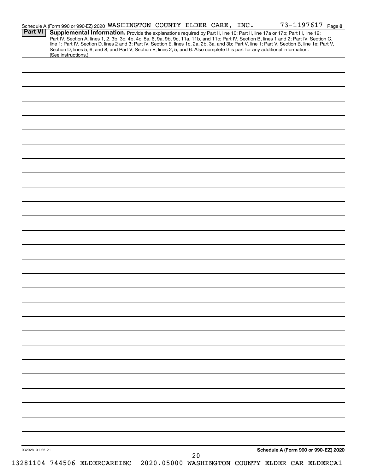|                 | Schedule A (Form 990 or 990-EZ) 2020 WASHINGTON COUNTY ELDER CARE, INC.                                                                                                                                                                                                       |  |    |  | 73-1197617 Page 8                    |  |
|-----------------|-------------------------------------------------------------------------------------------------------------------------------------------------------------------------------------------------------------------------------------------------------------------------------|--|----|--|--------------------------------------|--|
| <b>Part VI</b>  | Supplemental Information. Provide the explanations required by Part II, line 10; Part II, line 17a or 17b; Part III, line 12;<br>Part IV, Section A, lines 1, 2, 3b, 3c, 4b, 4c, 5a, 6, 9a, 9b, 9c, 11a, 11b, and 11c; Part IV, Section B, lines 1 and 2; Part IV, Section C, |  |    |  |                                      |  |
|                 | line 1; Part IV, Section D, lines 2 and 3; Part IV, Section E, lines 1c, 2a, 2b, 3a, and 3b; Part V, line 1; Part V, Section B, line 1e; Part V,                                                                                                                              |  |    |  |                                      |  |
|                 | Section D, lines 5, 6, and 8; and Part V, Section E, lines 2, 5, and 6. Also complete this part for any additional information.                                                                                                                                               |  |    |  |                                      |  |
|                 | (See instructions.)                                                                                                                                                                                                                                                           |  |    |  |                                      |  |
|                 |                                                                                                                                                                                                                                                                               |  |    |  |                                      |  |
|                 |                                                                                                                                                                                                                                                                               |  |    |  |                                      |  |
|                 |                                                                                                                                                                                                                                                                               |  |    |  |                                      |  |
|                 |                                                                                                                                                                                                                                                                               |  |    |  |                                      |  |
|                 |                                                                                                                                                                                                                                                                               |  |    |  |                                      |  |
|                 |                                                                                                                                                                                                                                                                               |  |    |  |                                      |  |
|                 |                                                                                                                                                                                                                                                                               |  |    |  |                                      |  |
|                 |                                                                                                                                                                                                                                                                               |  |    |  |                                      |  |
|                 |                                                                                                                                                                                                                                                                               |  |    |  |                                      |  |
|                 |                                                                                                                                                                                                                                                                               |  |    |  |                                      |  |
|                 |                                                                                                                                                                                                                                                                               |  |    |  |                                      |  |
|                 |                                                                                                                                                                                                                                                                               |  |    |  |                                      |  |
|                 |                                                                                                                                                                                                                                                                               |  |    |  |                                      |  |
|                 |                                                                                                                                                                                                                                                                               |  |    |  |                                      |  |
|                 |                                                                                                                                                                                                                                                                               |  |    |  |                                      |  |
|                 |                                                                                                                                                                                                                                                                               |  |    |  |                                      |  |
|                 |                                                                                                                                                                                                                                                                               |  |    |  |                                      |  |
|                 |                                                                                                                                                                                                                                                                               |  |    |  |                                      |  |
|                 |                                                                                                                                                                                                                                                                               |  |    |  |                                      |  |
|                 |                                                                                                                                                                                                                                                                               |  |    |  |                                      |  |
|                 |                                                                                                                                                                                                                                                                               |  |    |  |                                      |  |
|                 |                                                                                                                                                                                                                                                                               |  |    |  |                                      |  |
|                 |                                                                                                                                                                                                                                                                               |  |    |  |                                      |  |
|                 |                                                                                                                                                                                                                                                                               |  |    |  |                                      |  |
|                 |                                                                                                                                                                                                                                                                               |  |    |  |                                      |  |
|                 |                                                                                                                                                                                                                                                                               |  |    |  |                                      |  |
|                 |                                                                                                                                                                                                                                                                               |  |    |  |                                      |  |
|                 |                                                                                                                                                                                                                                                                               |  |    |  |                                      |  |
|                 |                                                                                                                                                                                                                                                                               |  |    |  |                                      |  |
|                 |                                                                                                                                                                                                                                                                               |  |    |  |                                      |  |
|                 |                                                                                                                                                                                                                                                                               |  |    |  |                                      |  |
|                 |                                                                                                                                                                                                                                                                               |  |    |  |                                      |  |
|                 |                                                                                                                                                                                                                                                                               |  |    |  |                                      |  |
|                 |                                                                                                                                                                                                                                                                               |  |    |  |                                      |  |
|                 |                                                                                                                                                                                                                                                                               |  |    |  |                                      |  |
|                 |                                                                                                                                                                                                                                                                               |  |    |  |                                      |  |
|                 |                                                                                                                                                                                                                                                                               |  |    |  |                                      |  |
|                 |                                                                                                                                                                                                                                                                               |  |    |  |                                      |  |
|                 |                                                                                                                                                                                                                                                                               |  |    |  |                                      |  |
|                 |                                                                                                                                                                                                                                                                               |  |    |  |                                      |  |
|                 |                                                                                                                                                                                                                                                                               |  |    |  |                                      |  |
|                 |                                                                                                                                                                                                                                                                               |  |    |  |                                      |  |
|                 |                                                                                                                                                                                                                                                                               |  |    |  |                                      |  |
|                 |                                                                                                                                                                                                                                                                               |  |    |  |                                      |  |
|                 |                                                                                                                                                                                                                                                                               |  |    |  |                                      |  |
|                 |                                                                                                                                                                                                                                                                               |  |    |  |                                      |  |
|                 |                                                                                                                                                                                                                                                                               |  |    |  |                                      |  |
|                 |                                                                                                                                                                                                                                                                               |  |    |  |                                      |  |
|                 |                                                                                                                                                                                                                                                                               |  |    |  |                                      |  |
|                 |                                                                                                                                                                                                                                                                               |  |    |  |                                      |  |
|                 |                                                                                                                                                                                                                                                                               |  |    |  |                                      |  |
|                 |                                                                                                                                                                                                                                                                               |  |    |  |                                      |  |
|                 |                                                                                                                                                                                                                                                                               |  |    |  |                                      |  |
|                 |                                                                                                                                                                                                                                                                               |  |    |  |                                      |  |
|                 |                                                                                                                                                                                                                                                                               |  |    |  |                                      |  |
|                 |                                                                                                                                                                                                                                                                               |  |    |  | Schedule A (Form 990 or 990-EZ) 2020 |  |
|                 |                                                                                                                                                                                                                                                                               |  |    |  |                                      |  |
| 032028 01-25-21 | 13281104 744506 ELDERCAREINC 2020.05000 WASHINGTON COUNTY ELDER CAR ELDERCA1                                                                                                                                                                                                  |  | 20 |  |                                      |  |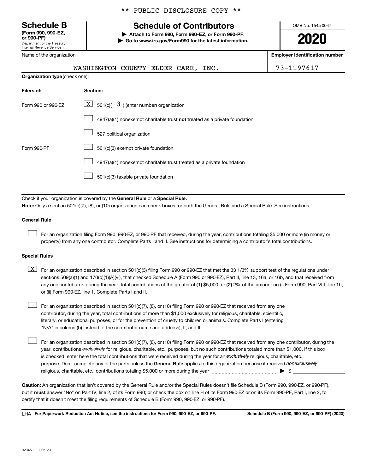**(Form 990, 990-EZ,**

Department of the Treasury Internal Revenue Service

Name of the organization

#### \*\* PUBLIC DISCLOSURE COPY \*\*

## **Schedule B Schedule of Contributors**

**or 990-PF) | Attach to Form 990, Form 990-EZ, or Form 990-PF. | Go to www.irs.gov/Form990 for the latest information.** OMB No. 1545-0047

**2020**

**n** number

| iname of the organization      |                                                                                                                                                                                                                                                                                  | <b>Employer identification nu</b> |
|--------------------------------|----------------------------------------------------------------------------------------------------------------------------------------------------------------------------------------------------------------------------------------------------------------------------------|-----------------------------------|
|                                | WASHINGTON COUNTY ELDER CARE, INC.                                                                                                                                                                                                                                               | 73-1197617                        |
| Organization type (check one): |                                                                                                                                                                                                                                                                                  |                                   |
| Filers of:                     | Section:                                                                                                                                                                                                                                                                         |                                   |
| Form 990 or 990-EZ             | $\lfloor x \rfloor$ 501(c)( 3) (enter number) organization                                                                                                                                                                                                                       |                                   |
|                                | 4947(a)(1) nonexempt charitable trust not treated as a private foundation                                                                                                                                                                                                        |                                   |
|                                | 527 political organization                                                                                                                                                                                                                                                       |                                   |
| Form 990-PF                    | 501(c)(3) exempt private foundation                                                                                                                                                                                                                                              |                                   |
|                                | 4947(a)(1) nonexempt charitable trust treated as a private foundation                                                                                                                                                                                                            |                                   |
|                                | 501(c)(3) taxable private foundation                                                                                                                                                                                                                                             |                                   |
|                                |                                                                                                                                                                                                                                                                                  |                                   |
|                                | Check if your organization is covered by the General Rule or a Special Rule.<br>Note: Only a section 501(c)(7), (8), or (10) organization can check boxes for both the General Rule and a Special Rule. See instructions.                                                        |                                   |
| <b>General Rule</b>            |                                                                                                                                                                                                                                                                                  |                                   |
|                                | For an organization filing Form 990, 990-EZ, or 990-PF that received, during the year, contributions totaling \$5,000 or more (in money or<br>property) from any one contributor. Complete Parts I and II. See instructions for determining a contributor's total contributions. |                                   |

#### **Special Rules**

- any one contributor, during the year, total contributions of the greater of (1) \$5,000; or (2) 2% of the amount on (i) Form 990, Part VIII, line 1h;  $\boxed{\text{X}}$  For an organization described in section 501(c)(3) filing Form 990 or 990-EZ that met the 33 1/3% support test of the regulations under sections 509(a)(1) and 170(b)(1)(A)(vi), that checked Schedule A (Form 990 or 990-EZ), Part II, line 13, 16a, or 16b, and that received from or (ii) Form 990-EZ, line 1. Complete Parts I and II.
- For an organization described in section 501(c)(7), (8), or (10) filing Form 990 or 990-EZ that received from any one contributor, during the year, total contributions of more than \$1,000 exclusively for religious, charitable, scientific, literary, or educational purposes, or for the prevention of cruelty to children or animals. Complete Parts I (entering "N/A" in column (b) instead of the contributor name and address), II, and III.  $\Box$

purpose. Don't complete any of the parts unless the General Rule applies to this organization because it received nonexclusively year, contributions exclusively for religious, charitable, etc., purposes, but no such contributions totaled more than \$1,000. If this box is checked, enter here the total contributions that were received during the year for an exclusively religious, charitable, etc., For an organization described in section 501(c)(7), (8), or (10) filing Form 990 or 990-EZ that received from any one contributor, during the religious, charitable, etc., contributions totaling \$5,000 or more during the year  $~\ldots\ldots\ldots\ldots\ldots\ldots\ldots\ldots\blacktriangleright~$ \$  $\Box$ 

**Caution:**  An organization that isn't covered by the General Rule and/or the Special Rules doesn't file Schedule B (Form 990, 990-EZ, or 990-PF),  **must** but it answer "No" on Part IV, line 2, of its Form 990; or check the box on line H of its Form 990-EZ or on its Form 990-PF, Part I, line 2, to certify that it doesn't meet the filing requirements of Schedule B (Form 990, 990-EZ, or 990-PF).

**For Paperwork Reduction Act Notice, see the instructions for Form 990, 990-EZ, or 990-PF. Schedule B (Form 990, 990-EZ, or 990-PF) (2020)** LHA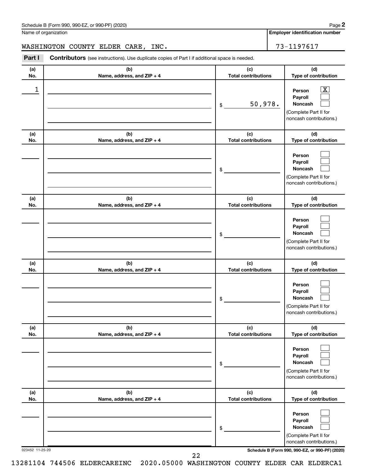| Schedule B (Form 990, 990-EZ, or 990-PF) (2020) | Page |
|-------------------------------------------------|------|
|-------------------------------------------------|------|

Name of organization

**Employer identification number**

WASHINGTON COUNTY ELDER CARE, INC. 73-1197617

**Part I** Contributors (see instructions). Use duplicate copies of Part I if additional space is needed.

| (a)<br>No.      | (b)<br>Name, address, and ZIP + 4 | (c)<br><b>Total contributions</b> | (d)<br>Type of contribution                                                                                                         |
|-----------------|-----------------------------------|-----------------------------------|-------------------------------------------------------------------------------------------------------------------------------------|
| 1               |                                   | 50,978.<br>\$                     | $\overline{\mathbf{X}}$<br>Person<br>Payroll<br>Noncash<br>(Complete Part II for<br>noncash contributions.)                         |
| (a)<br>No.      | (b)<br>Name, address, and ZIP + 4 | (c)<br><b>Total contributions</b> | (d)<br>Type of contribution                                                                                                         |
|                 |                                   | \$                                | Person<br>Payroll<br><b>Noncash</b><br>(Complete Part II for<br>noncash contributions.)                                             |
| (a)<br>No.      | (b)<br>Name, address, and ZIP + 4 | (c)<br><b>Total contributions</b> | (d)<br>Type of contribution                                                                                                         |
|                 |                                   | \$                                | Person<br>Payroll<br><b>Noncash</b><br>(Complete Part II for<br>noncash contributions.)                                             |
| (a)<br>No.      | (b)<br>Name, address, and ZIP + 4 | (c)<br><b>Total contributions</b> | (d)<br>Type of contribution                                                                                                         |
|                 |                                   | \$                                | Person<br>Payroll<br><b>Noncash</b><br>(Complete Part II for<br>noncash contributions.)                                             |
| (a)<br>No.      | (b)<br>Name, address, and ZIP + 4 | (c)<br><b>Total contributions</b> | (d)<br>Type of contribution                                                                                                         |
|                 |                                   | \$                                | Person<br>Payroll<br><b>Noncash</b><br>(Complete Part II for<br>noncash contributions.)                                             |
| (a)<br>No.      | (b)<br>Name, address, and ZIP + 4 | (c)<br><b>Total contributions</b> | (d)<br>Type of contribution                                                                                                         |
| 023452 11-25-20 |                                   | \$                                | Person<br>Payroll<br>Noncash<br>(Complete Part II for<br>noncash contributions.)<br>Schedule B (Form 990, 990-EZ, or 990-PF) (2020) |

13281104 744506 ELDERCAREINC 2020.05000 WASHINGTON COUNTY ELDER CAR ELDERCA1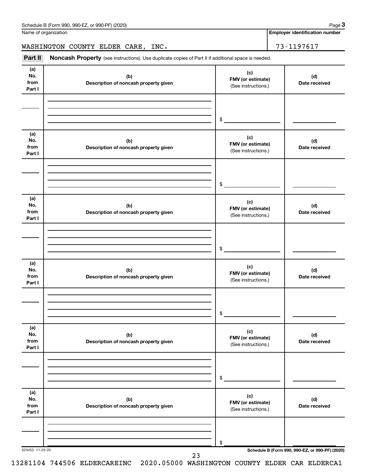Name of organization

**Employer identification number**

WASHINGTON COUNTY ELDER CARE, INC. 73-1197617

Part II Noncash Property (see instructions). Use duplicate copies of Part II if additional space is needed.

| (a)<br>No.<br>from<br>Part I | (b)<br>Description of noncash property given | (c)<br>FMV (or estimate)<br>(See instructions.) | (d)<br>Date received                            |
|------------------------------|----------------------------------------------|-------------------------------------------------|-------------------------------------------------|
|                              |                                              | \$                                              |                                                 |
| (a)<br>No.<br>from<br>Part I | (b)<br>Description of noncash property given | (c)<br>FMV (or estimate)<br>(See instructions.) | (d)<br>Date received                            |
|                              |                                              | \$                                              |                                                 |
| (a)<br>No.<br>from<br>Part I | (b)<br>Description of noncash property given | (c)<br>FMV (or estimate)<br>(See instructions.) | (d)<br>Date received                            |
|                              |                                              | \$                                              |                                                 |
| (a)<br>No.<br>from<br>Part I | (b)<br>Description of noncash property given | (c)<br>FMV (or estimate)<br>(See instructions.) | (d)<br>Date received                            |
|                              |                                              | \$                                              |                                                 |
| (a)<br>No.<br>from<br>Part I | (b)<br>Description of noncash property given | (c)<br>FMV (or estimate)<br>(See instructions.) | (d)<br>Date received                            |
|                              |                                              | \$                                              |                                                 |
| (a)<br>No.<br>from<br>Part I | (b)<br>Description of noncash property given | (c)<br>FMV (or estimate)<br>(See instructions.) | (d)<br>Date received                            |
| 023453 11-25-20              |                                              | \$                                              | Schedule B (Form 990, 990-EZ, or 990-PF) (2020) |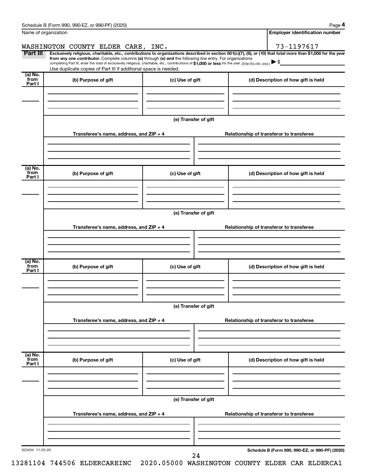|                           | Schedule B (Form 990, 990-EZ, or 990-PF) (2020)                                                                                                                                                                                                                              |                      |  | Page 4                                          |  |  |  |
|---------------------------|------------------------------------------------------------------------------------------------------------------------------------------------------------------------------------------------------------------------------------------------------------------------------|----------------------|--|-------------------------------------------------|--|--|--|
|                           | Name of organization                                                                                                                                                                                                                                                         |                      |  | <b>Employer identification number</b>           |  |  |  |
|                           | WASHINGTON COUNTY ELDER CARE, INC.                                                                                                                                                                                                                                           |                      |  | 73-1197617                                      |  |  |  |
| Part III                  | Exclusively religious, charitable, etc., contributions to organizations described in section 501(c)(7), (8), or (10) that total more than \$1,000 for the year<br>from any one contributor. Complete columns (a) through (e) and the following line entry. For organizations |                      |  |                                                 |  |  |  |
|                           | completing Part III, enter the total of exclusively religious, charitable, etc., contributions of \$1,000 or less for the year. (Enter this info. once.)<br>Use duplicate copies of Part III if additional space is needed.                                                  |                      |  |                                                 |  |  |  |
| (a) No.                   |                                                                                                                                                                                                                                                                              |                      |  |                                                 |  |  |  |
| from<br>Part I            | (b) Purpose of gift                                                                                                                                                                                                                                                          | (c) Use of gift      |  | (d) Description of how gift is held             |  |  |  |
|                           |                                                                                                                                                                                                                                                                              |                      |  |                                                 |  |  |  |
|                           |                                                                                                                                                                                                                                                                              |                      |  |                                                 |  |  |  |
|                           |                                                                                                                                                                                                                                                                              |                      |  |                                                 |  |  |  |
|                           |                                                                                                                                                                                                                                                                              | (e) Transfer of gift |  |                                                 |  |  |  |
|                           | Transferee's name, address, and ZIP + 4                                                                                                                                                                                                                                      |                      |  | Relationship of transferor to transferee        |  |  |  |
|                           |                                                                                                                                                                                                                                                                              |                      |  |                                                 |  |  |  |
|                           |                                                                                                                                                                                                                                                                              |                      |  |                                                 |  |  |  |
|                           |                                                                                                                                                                                                                                                                              |                      |  |                                                 |  |  |  |
| (a) No.<br>from           | (b) Purpose of gift                                                                                                                                                                                                                                                          | (c) Use of gift      |  | (d) Description of how gift is held             |  |  |  |
| Part I                    |                                                                                                                                                                                                                                                                              |                      |  |                                                 |  |  |  |
|                           |                                                                                                                                                                                                                                                                              |                      |  |                                                 |  |  |  |
|                           |                                                                                                                                                                                                                                                                              |                      |  |                                                 |  |  |  |
|                           |                                                                                                                                                                                                                                                                              | (e) Transfer of gift |  |                                                 |  |  |  |
|                           |                                                                                                                                                                                                                                                                              |                      |  |                                                 |  |  |  |
|                           | Transferee's name, address, and ZIP + 4                                                                                                                                                                                                                                      |                      |  | Relationship of transferor to transferee        |  |  |  |
|                           |                                                                                                                                                                                                                                                                              |                      |  |                                                 |  |  |  |
|                           |                                                                                                                                                                                                                                                                              |                      |  |                                                 |  |  |  |
| (a) No.                   |                                                                                                                                                                                                                                                                              |                      |  |                                                 |  |  |  |
| from<br>Part I            | (b) Purpose of gift                                                                                                                                                                                                                                                          | (c) Use of gift      |  | (d) Description of how gift is held             |  |  |  |
|                           |                                                                                                                                                                                                                                                                              |                      |  |                                                 |  |  |  |
|                           |                                                                                                                                                                                                                                                                              |                      |  |                                                 |  |  |  |
|                           |                                                                                                                                                                                                                                                                              |                      |  |                                                 |  |  |  |
|                           | (e) Transfer of gift                                                                                                                                                                                                                                                         |                      |  |                                                 |  |  |  |
|                           | Transferee's name, address, and ZIP + 4                                                                                                                                                                                                                                      |                      |  | Relationship of transferor to transferee        |  |  |  |
|                           |                                                                                                                                                                                                                                                                              |                      |  |                                                 |  |  |  |
|                           |                                                                                                                                                                                                                                                                              |                      |  |                                                 |  |  |  |
|                           |                                                                                                                                                                                                                                                                              |                      |  |                                                 |  |  |  |
| (a) No.<br>from<br>Part I | (b) Purpose of gift                                                                                                                                                                                                                                                          | (c) Use of gift      |  | (d) Description of how gift is held             |  |  |  |
|                           |                                                                                                                                                                                                                                                                              |                      |  |                                                 |  |  |  |
|                           |                                                                                                                                                                                                                                                                              |                      |  |                                                 |  |  |  |
|                           |                                                                                                                                                                                                                                                                              |                      |  |                                                 |  |  |  |
|                           | (e) Transfer of gift                                                                                                                                                                                                                                                         |                      |  |                                                 |  |  |  |
|                           |                                                                                                                                                                                                                                                                              |                      |  |                                                 |  |  |  |
|                           | Transferee's name, address, and ZIP + 4                                                                                                                                                                                                                                      |                      |  | Relationship of transferor to transferee        |  |  |  |
|                           |                                                                                                                                                                                                                                                                              |                      |  |                                                 |  |  |  |
|                           |                                                                                                                                                                                                                                                                              |                      |  |                                                 |  |  |  |
| 023454 11-25-20           |                                                                                                                                                                                                                                                                              |                      |  | Schedule B (Form 990, 990-EZ, or 990-PF) (2020) |  |  |  |
|                           |                                                                                                                                                                                                                                                                              | 24                   |  |                                                 |  |  |  |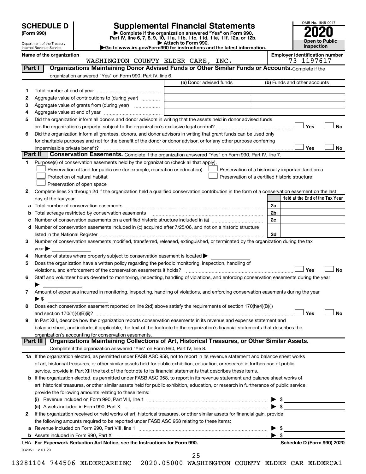| (Form 990) |  |
|------------|--|
|------------|--|

# **SCHEDULE D Supplemental Financial Statements**<br> **Form 990 2020**<br> **Part IV** line 6.7.8.9.10, 11a, 11b, 11d, 11d, 11d, 11d, 11d, 12a, 0r, 12b

**(Form 990) | Complete if the organization answered "Yes" on Form 990, Part IV, line 6, 7, 8, 9, 10, 11a, 11b, 11c, 11d, 11e, 11f, 12a, or 12b.**

WASHINGTON COUNTY ELDER CARE, INC.



Department of the Treasury Internal Revenue Service

**| Attach to Form 990. |Go to www.irs.gov/Form990 for instructions and the latest information.** Name of the organization<br>
WASHINGTON COUNTY ELDER CARE, INC. 73-1197617

| Part I  | Organizations Maintaining Donor Advised Funds or Other Similar Funds or Accounts. Complete if the                                                                 |                         |                                                    |
|---------|-------------------------------------------------------------------------------------------------------------------------------------------------------------------|-------------------------|----------------------------------------------------|
|         | organization answered "Yes" on Form 990, Part IV, line 6.                                                                                                         |                         |                                                    |
|         |                                                                                                                                                                   | (a) Donor advised funds | (b) Funds and other accounts                       |
| 1       |                                                                                                                                                                   |                         |                                                    |
| 2       | Aggregate value of contributions to (during year)                                                                                                                 |                         |                                                    |
| з       | Aggregate value of grants from (during year)                                                                                                                      |                         |                                                    |
| 4       |                                                                                                                                                                   |                         |                                                    |
| 5       | Did the organization inform all donors and donor advisors in writing that the assets held in donor advised funds                                                  |                         |                                                    |
|         |                                                                                                                                                                   |                         | Yes<br>No                                          |
| 6       | Did the organization inform all grantees, donors, and donor advisors in writing that grant funds can be used only                                                 |                         |                                                    |
|         | for charitable purposes and not for the benefit of the donor or donor advisor, or for any other purpose conferring                                                |                         |                                                    |
|         | impermissible private benefit?                                                                                                                                    |                         | Yes<br>No                                          |
| Part II | Conservation Easements. Complete if the organization answered "Yes" on Form 990, Part IV, line 7.                                                                 |                         |                                                    |
| 1       | Purpose(s) of conservation easements held by the organization (check all that apply).                                                                             |                         |                                                    |
|         | Preservation of land for public use (for example, recreation or education)                                                                                        |                         | Preservation of a historically important land area |
|         | Protection of natural habitat                                                                                                                                     |                         | Preservation of a certified historic structure     |
|         | Preservation of open space                                                                                                                                        |                         |                                                    |
| 2       | Complete lines 2a through 2d if the organization held a qualified conservation contribution in the form of a conservation easement on the last                    |                         |                                                    |
|         | day of the tax year.                                                                                                                                              |                         | Held at the End of the Tax Year                    |
|         |                                                                                                                                                                   |                         | 2a                                                 |
|         | Total acreage restricted by conservation easements                                                                                                                |                         | 2b                                                 |
|         | Number of conservation easements on a certified historic structure included in (a) manufacture included in (a)                                                    |                         | 2c                                                 |
| d       | Number of conservation easements included in (c) acquired after 7/25/06, and not on a historic structure                                                          |                         |                                                    |
|         | listed in the National Register [11, 2003] March 2014 The National Property of the National Register [11, 2014                                                    |                         | 2d                                                 |
| 3       | Number of conservation easements modified, transferred, released, extinguished, or terminated by the organization during the tax                                  |                         |                                                    |
|         | year                                                                                                                                                              |                         |                                                    |
| 4       | Number of states where property subject to conservation easement is located >                                                                                     |                         |                                                    |
| 5       | Does the organization have a written policy regarding the periodic monitoring, inspection, handling of                                                            |                         |                                                    |
|         | violations, and enforcement of the conservation easements it holds?                                                                                               |                         | Yes<br>No                                          |
| 6       | Staff and volunteer hours devoted to monitoring, inspecting, handling of violations, and enforcing conservation easements during the year                         |                         |                                                    |
|         |                                                                                                                                                                   |                         |                                                    |
| 7       | Amount of expenses incurred in monitoring, inspecting, handling of violations, and enforcing conservation easements during the year                               |                         |                                                    |
|         | ► \$                                                                                                                                                              |                         |                                                    |
| 8       | Does each conservation easement reported on line 2(d) above satisfy the requirements of section 170(h)(4)(B)(i)                                                   |                         |                                                    |
|         |                                                                                                                                                                   |                         | Yes<br>No                                          |
| 9       | In Part XIII, describe how the organization reports conservation easements in its revenue and expense statement and                                               |                         |                                                    |
|         | balance sheet, and include, if applicable, the text of the footnote to the organization's financial statements that describes the                                 |                         |                                                    |
|         | organization's accounting for conservation easements.<br>Organizations Maintaining Collections of Art, Historical Treasures, or Other Similar Assets.<br>Part III |                         |                                                    |
|         | Complete if the organization answered "Yes" on Form 990, Part IV, line 8.                                                                                         |                         |                                                    |
|         | 1a If the organization elected, as permitted under FASB ASC 958, not to report in its revenue statement and balance sheet works                                   |                         |                                                    |
|         | of art, historical treasures, or other similar assets held for public exhibition, education, or research in furtherance of public                                 |                         |                                                    |
|         | service, provide in Part XIII the text of the footnote to its financial statements that describes these items.                                                    |                         |                                                    |
|         | <b>b</b> If the organization elected, as permitted under FASB ASC 958, to report in its revenue statement and balance sheet works of                              |                         |                                                    |
|         | art, historical treasures, or other similar assets held for public exhibition, education, or research in furtherance of public service,                           |                         |                                                    |
|         | provide the following amounts relating to these items:                                                                                                            |                         |                                                    |
|         |                                                                                                                                                                   |                         | \$                                                 |
|         | (ii) Assets included in Form 990, Part X                                                                                                                          |                         | $\blacktriangleright$ s                            |
| 2       | If the organization received or held works of art, historical treasures, or other similar assets for financial gain, provide                                      |                         |                                                    |
|         | the following amounts required to be reported under FASB ASC 958 relating to these items:                                                                         |                         |                                                    |
| а       |                                                                                                                                                                   |                         | \$                                                 |
|         |                                                                                                                                                                   |                         | $\blacktriangleright$ s                            |
|         | LHA For Paperwork Reduction Act Notice, see the Instructions for Form 990.                                                                                        |                         | Schedule D (Form 990) 2020                         |
|         | 032051 12-01-20                                                                                                                                                   |                         |                                                    |
|         |                                                                                                                                                                   |                         |                                                    |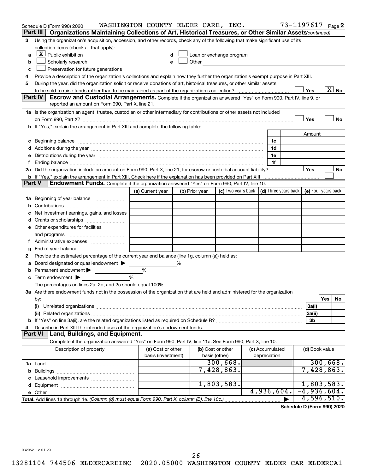|   | Schedule D (Form 990) 2020                                                                                                                                                                                                     | WASHINGTON COUNTY ELDER CARE, INC. |                |                   |                                                     |  |                 | 73-1197617 Page 2                            |                |          |    |
|---|--------------------------------------------------------------------------------------------------------------------------------------------------------------------------------------------------------------------------------|------------------------------------|----------------|-------------------|-----------------------------------------------------|--|-----------------|----------------------------------------------|----------------|----------|----|
|   | Part III  <br>Organizations Maintaining Collections of Art, Historical Treasures, or Other Similar Assets (continued)                                                                                                          |                                    |                |                   |                                                     |  |                 |                                              |                |          |    |
| З | Using the organization's acquisition, accession, and other records, check any of the following that make significant use of its                                                                                                |                                    |                |                   |                                                     |  |                 |                                              |                |          |    |
|   | collection items (check all that apply):                                                                                                                                                                                       |                                    |                |                   |                                                     |  |                 |                                              |                |          |    |
| a | $X$ Public exhibition                                                                                                                                                                                                          |                                    |                |                   | Loan or exchange program                            |  |                 |                                              |                |          |    |
| b | Scholarly research                                                                                                                                                                                                             | e                                  |                | Other             | <u> 1980 - Jan James James Barbara, president e</u> |  |                 |                                              |                |          |    |
| с | Preservation for future generations                                                                                                                                                                                            |                                    |                |                   |                                                     |  |                 |                                              |                |          |    |
| 4 | Provide a description of the organization's collections and explain how they further the organization's exempt purpose in Part XIII.                                                                                           |                                    |                |                   |                                                     |  |                 |                                              |                |          |    |
| 5 | During the year, did the organization solicit or receive donations of art, historical treasures, or other similar assets                                                                                                       |                                    |                |                   |                                                     |  |                 |                                              |                |          |    |
|   | $\boxed{\text{X}}$ No<br>Yes                                                                                                                                                                                                   |                                    |                |                   |                                                     |  |                 |                                              |                |          |    |
|   | Part IV<br>Escrow and Custodial Arrangements. Complete if the organization answered "Yes" on Form 990, Part IV, line 9, or                                                                                                     |                                    |                |                   |                                                     |  |                 |                                              |                |          |    |
|   | reported an amount on Form 990, Part X, line 21.                                                                                                                                                                               |                                    |                |                   |                                                     |  |                 |                                              |                |          |    |
|   | 1a Is the organization an agent, trustee, custodian or other intermediary for contributions or other assets not included                                                                                                       |                                    |                |                   |                                                     |  |                 |                                              |                |          |    |
|   |                                                                                                                                                                                                                                |                                    |                |                   |                                                     |  |                 |                                              | Yes            |          | No |
|   | b If "Yes," explain the arrangement in Part XIII and complete the following table:                                                                                                                                             |                                    |                |                   |                                                     |  |                 |                                              |                |          |    |
|   |                                                                                                                                                                                                                                |                                    |                |                   |                                                     |  |                 |                                              | Amount         |          |    |
| с |                                                                                                                                                                                                                                |                                    |                |                   |                                                     |  | 1c              |                                              |                |          |    |
|   |                                                                                                                                                                                                                                |                                    |                |                   |                                                     |  | 1d              |                                              |                |          |    |
|   | e Distributions during the year manufactured and contain an account of the year manufactured and the year manufactured and the year manufactured and the year manufactured and the year manufactured and the year manufactured |                                    |                |                   |                                                     |  | 1е              |                                              |                |          |    |
| f |                                                                                                                                                                                                                                |                                    |                |                   |                                                     |  | 1f              |                                              |                |          |    |
|   | 2a Did the organization include an amount on Form 990, Part X, line 21, for escrow or custodial account liability?                                                                                                             |                                    |                |                   |                                                     |  |                 |                                              | Yes            |          | No |
|   | <b>b</b> If "Yes," explain the arrangement in Part XIII. Check here if the explanation has been provided on Part XIII<br><b>Part V</b>                                                                                         |                                    |                |                   |                                                     |  |                 |                                              |                |          |    |
|   | Endowment Funds. Complete if the organization answered "Yes" on Form 990, Part IV, line 10.                                                                                                                                    |                                    |                |                   |                                                     |  |                 |                                              |                |          |    |
|   |                                                                                                                                                                                                                                | (a) Current year                   | (b) Prior year |                   | (c) Two years back                                  |  |                 | (d) Three years back $ $ (e) Four years back |                |          |    |
|   | 1a Beginning of year balance                                                                                                                                                                                                   |                                    |                |                   |                                                     |  |                 |                                              |                |          |    |
| b |                                                                                                                                                                                                                                |                                    |                |                   |                                                     |  |                 |                                              |                |          |    |
| с | Net investment earnings, gains, and losses                                                                                                                                                                                     |                                    |                |                   |                                                     |  |                 |                                              |                |          |    |
| d |                                                                                                                                                                                                                                |                                    |                |                   |                                                     |  |                 |                                              |                |          |    |
|   | e Other expenditures for facilities                                                                                                                                                                                            |                                    |                |                   |                                                     |  |                 |                                              |                |          |    |
|   | and programs                                                                                                                                                                                                                   |                                    |                |                   |                                                     |  |                 |                                              |                |          |    |
|   |                                                                                                                                                                                                                                |                                    |                |                   |                                                     |  |                 |                                              |                |          |    |
| g |                                                                                                                                                                                                                                |                                    |                |                   |                                                     |  |                 |                                              |                |          |    |
| 2 | Provide the estimated percentage of the current year end balance (line 1g, column (a)) held as:                                                                                                                                |                                    |                |                   |                                                     |  |                 |                                              |                |          |    |
| a | Board designated or quasi-endowment                                                                                                                                                                                            |                                    | %              |                   |                                                     |  |                 |                                              |                |          |    |
| b | Permanent endowment                                                                                                                                                                                                            | %                                  |                |                   |                                                     |  |                 |                                              |                |          |    |
| с | Term endowment $\blacktriangleright$                                                                                                                                                                                           | $\frac{0}{0}$                      |                |                   |                                                     |  |                 |                                              |                |          |    |
|   | The percentages on lines 2a, 2b, and 2c should equal 100%.                                                                                                                                                                     |                                    |                |                   |                                                     |  |                 |                                              |                |          |    |
|   | 3a Are there endowment funds not in the possession of the organization that are held and administered for the organization                                                                                                     |                                    |                |                   |                                                     |  |                 |                                              |                |          |    |
|   | by:                                                                                                                                                                                                                            |                                    |                |                   |                                                     |  |                 |                                              |                | Yes      | No |
|   | (i)                                                                                                                                                                                                                            |                                    |                |                   |                                                     |  |                 |                                              | 3a(i)          |          |    |
|   |                                                                                                                                                                                                                                |                                    |                |                   |                                                     |  |                 |                                              | 3a(ii)         |          |    |
|   |                                                                                                                                                                                                                                |                                    |                |                   |                                                     |  |                 |                                              | 3b             |          |    |
| 4 | Describe in Part XIII the intended uses of the organization's endowment funds.<br>Part VI   Land, Buildings, and Equipment.                                                                                                    |                                    |                |                   |                                                     |  |                 |                                              |                |          |    |
|   | Complete if the organization answered "Yes" on Form 990, Part IV, line 11a. See Form 990, Part X, line 10.                                                                                                                     |                                    |                |                   |                                                     |  |                 |                                              |                |          |    |
|   | Description of property                                                                                                                                                                                                        | (a) Cost or other                  |                | (b) Cost or other |                                                     |  | (c) Accumulated |                                              | (d) Book value |          |    |
|   |                                                                                                                                                                                                                                | basis (investment)                 |                | basis (other)     |                                                     |  | depreciation    |                                              |                |          |    |
|   |                                                                                                                                                                                                                                |                                    |                |                   | 300,668.                                            |  |                 |                                              |                | 300,668. |    |
| b |                                                                                                                                                                                                                                |                                    |                |                   | 7,428,863.                                          |  |                 |                                              | 7,428,863.     |          |    |
|   | c Leasehold improvements                                                                                                                                                                                                       |                                    |                |                   |                                                     |  |                 |                                              |                |          |    |
|   |                                                                                                                                                                                                                                |                                    |                |                   | 1,803,583.                                          |  |                 |                                              | 1,803,583.     |          |    |
|   |                                                                                                                                                                                                                                |                                    |                |                   |                                                     |  | 4,936,604.      |                                              | $-4,936,604.$  |          |    |
|   | Total. Add lines 1a through 1e. (Column (d) must equal Form 990, Part X, column (B), line 10c.)                                                                                                                                |                                    |                |                   |                                                     |  |                 |                                              | 4,596,510.     |          |    |
|   |                                                                                                                                                                                                                                |                                    |                |                   |                                                     |  |                 | Schedule D (Form 990) 2020                   |                |          |    |

**Schedule D (Form 990) 2020**

032052 12-01-20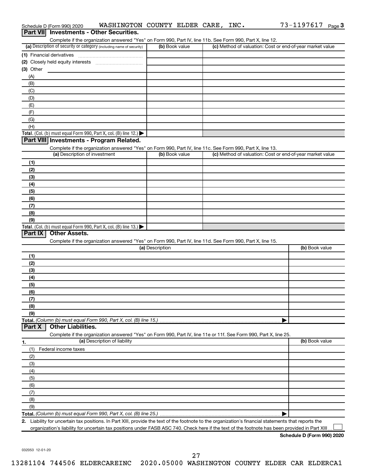|            | Part VII Investments - Other Securities.                                                                                                             |                 |                                                           |                |
|------------|------------------------------------------------------------------------------------------------------------------------------------------------------|-----------------|-----------------------------------------------------------|----------------|
|            | Complete if the organization answered "Yes" on Form 990, Part IV, line 11b. See Form 990, Part X, line 12.                                           |                 |                                                           |                |
|            | (a) Description of security or category (including name of security)                                                                                 | (b) Book value  | (c) Method of valuation: Cost or end-of-year market value |                |
|            |                                                                                                                                                      |                 |                                                           |                |
|            |                                                                                                                                                      |                 |                                                           |                |
| (3) Other  |                                                                                                                                                      |                 |                                                           |                |
| (A)<br>(B) |                                                                                                                                                      |                 |                                                           |                |
| (C)        |                                                                                                                                                      |                 |                                                           |                |
| (D)        |                                                                                                                                                      |                 |                                                           |                |
| (E)        |                                                                                                                                                      |                 |                                                           |                |
| (F)        |                                                                                                                                                      |                 |                                                           |                |
| (G)        |                                                                                                                                                      |                 |                                                           |                |
| (H)        |                                                                                                                                                      |                 |                                                           |                |
|            | Total. (Col. (b) must equal Form 990, Part X, col. (B) line 12.)                                                                                     |                 |                                                           |                |
|            | Part VIII Investments - Program Related.                                                                                                             |                 |                                                           |                |
|            | Complete if the organization answered "Yes" on Form 990, Part IV, line 11c. See Form 990, Part X, line 13.                                           |                 |                                                           |                |
|            | (a) Description of investment                                                                                                                        | (b) Book value  | (c) Method of valuation: Cost or end-of-year market value |                |
| (1)        |                                                                                                                                                      |                 |                                                           |                |
| (2)        |                                                                                                                                                      |                 |                                                           |                |
| (3)        |                                                                                                                                                      |                 |                                                           |                |
| (4)        |                                                                                                                                                      |                 |                                                           |                |
| (5)        |                                                                                                                                                      |                 |                                                           |                |
| (6)        |                                                                                                                                                      |                 |                                                           |                |
| (7)        |                                                                                                                                                      |                 |                                                           |                |
| (8)        |                                                                                                                                                      |                 |                                                           |                |
| (9)        |                                                                                                                                                      |                 |                                                           |                |
|            | Total. (Col. (b) must equal Form 990, Part X, col. (B) line 13.) $\blacktriangleright$                                                               |                 |                                                           |                |
| Part IX    | <b>Other Assets.</b>                                                                                                                                 |                 |                                                           |                |
|            | Complete if the organization answered "Yes" on Form 990, Part IV, line 11d. See Form 990, Part X, line 15.                                           |                 |                                                           |                |
|            |                                                                                                                                                      | (a) Description |                                                           | (b) Book value |
| (1)        |                                                                                                                                                      |                 |                                                           |                |
| (2)        |                                                                                                                                                      |                 |                                                           |                |
| (3)        |                                                                                                                                                      |                 |                                                           |                |
| (4)        |                                                                                                                                                      |                 |                                                           |                |
| (5)        |                                                                                                                                                      |                 |                                                           |                |
| (6)        |                                                                                                                                                      |                 |                                                           |                |
| (7)        |                                                                                                                                                      |                 |                                                           |                |
| (8)        |                                                                                                                                                      |                 |                                                           |                |
| (9)        |                                                                                                                                                      |                 |                                                           |                |
| Part X     | Total. (Column (b) must equal Form 990, Part X, col. (B) line 15.)<br><b>Other Liabilities.</b>                                                      |                 |                                                           |                |
|            | Complete if the organization answered "Yes" on Form 990, Part IV, line 11e or 11f. See Form 990, Part X, line 25.                                    |                 |                                                           |                |
| 1.         | (a) Description of liability                                                                                                                         |                 |                                                           | (b) Book value |
| (1)        | Federal income taxes                                                                                                                                 |                 |                                                           |                |
| (2)        |                                                                                                                                                      |                 |                                                           |                |
| (3)        |                                                                                                                                                      |                 |                                                           |                |
| (4)        |                                                                                                                                                      |                 |                                                           |                |
| (5)        |                                                                                                                                                      |                 |                                                           |                |
| (6)        |                                                                                                                                                      |                 |                                                           |                |
| (7)        |                                                                                                                                                      |                 |                                                           |                |
| (8)        |                                                                                                                                                      |                 |                                                           |                |
| (9)        |                                                                                                                                                      |                 |                                                           |                |
|            |                                                                                                                                                      |                 |                                                           |                |
|            | 2. Liability for uncertain tax positions. In Part XIII, provide the text of the footnote to the organization's financial statements that reports the |                 |                                                           |                |
|            | organization's liability for uncertain tax positions under FASB ASC 740. Check here if the text of the footnote has been provided in Part XIII       |                 |                                                           |                |

Schedule D (Form 990) 2020 Page WASHINGTON COUNTY ELDER CARE, INC. 73-1197617

**Schedule D (Form 990) 2020**

73-1197617 Page 3

032053 12-01-20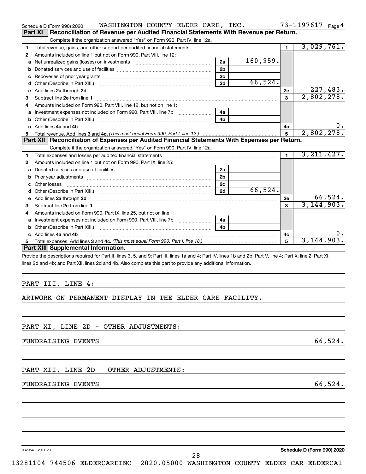|    | WASHINGTON COUNTY ELDER CARE, INC.<br>Schedule D (Form 990) 2020                                                                                                                                                                     |                |          |                | 73-1197617 Page 4 |
|----|--------------------------------------------------------------------------------------------------------------------------------------------------------------------------------------------------------------------------------------|----------------|----------|----------------|-------------------|
|    | Reconciliation of Revenue per Audited Financial Statements With Revenue per Return.<br>Part XI                                                                                                                                       |                |          |                |                   |
|    | Complete if the organization answered "Yes" on Form 990, Part IV, line 12a.                                                                                                                                                          |                |          |                |                   |
| 1  | Total revenue, gains, and other support per audited financial statements [111] [11] Total revenue, gains, and other support per audited financial statements                                                                         |                |          | $\blacksquare$ | 3,029,761.        |
| 2  | Amounts included on line 1 but not on Form 990, Part VIII, line 12:                                                                                                                                                                  |                |          |                |                   |
| a  | Net unrealized gains (losses) on investments [111] Net unrealized mains (losses) on investments [11] Metamanian                                                                                                                      | 2a             | 160,959. |                |                   |
|    |                                                                                                                                                                                                                                      | 2 <sub>b</sub> |          |                |                   |
| с  |                                                                                                                                                                                                                                      | 2 <sub>c</sub> |          |                |                   |
| d  |                                                                                                                                                                                                                                      | 2d             | 66,524.  |                |                   |
| e  | Add lines 2a through 2d                                                                                                                                                                                                              |                |          | 2е             | 227,483.          |
| 3  |                                                                                                                                                                                                                                      |                |          | 3              | 2,802,278.        |
| 4  | Amounts included on Form 990. Part VIII. line 12, but not on line 1:                                                                                                                                                                 |                |          |                |                   |
| a  |                                                                                                                                                                                                                                      | 4a             |          |                |                   |
|    |                                                                                                                                                                                                                                      | 4b             |          |                |                   |
|    | c Add lines 4a and 4b                                                                                                                                                                                                                |                |          | 4c             | 0.                |
| 5  |                                                                                                                                                                                                                                      |                |          |                | 2,802,278.        |
|    | Part XII   Reconciliation of Expenses per Audited Financial Statements With Expenses per Return.                                                                                                                                     |                |          |                |                   |
|    |                                                                                                                                                                                                                                      |                |          |                |                   |
|    | Complete if the organization answered "Yes" on Form 990, Part IV, line 12a.                                                                                                                                                          |                |          |                |                   |
| 1  |                                                                                                                                                                                                                                      |                |          | $\mathbf 1$    | 3, 211, 427.      |
| 2  | Amounts included on line 1 but not on Form 990, Part IX, line 25:                                                                                                                                                                    |                |          |                |                   |
|    |                                                                                                                                                                                                                                      | 2a             |          |                |                   |
| b  |                                                                                                                                                                                                                                      | 2 <sub>b</sub> |          |                |                   |
| с  |                                                                                                                                                                                                                                      | 2 <sub>c</sub> |          |                |                   |
| d  |                                                                                                                                                                                                                                      | 2d             | 66,524.  |                |                   |
| е  | Add lines 2a through 2d <b>contract and the contract of the contract of the contract of the contract of the contract of the contract of the contract of the contract of the contract of the contract of the contract of the cont</b> |                |          | 2e             | 66,524.           |
| З  |                                                                                                                                                                                                                                      |                |          | 3              | 3, 144, 903.      |
| 4  | Amounts included on Form 990, Part IX, line 25, but not on line 1:                                                                                                                                                                   |                |          |                |                   |
|    |                                                                                                                                                                                                                                      | 4a             |          |                |                   |
| b  |                                                                                                                                                                                                                                      | 4 <sub>h</sub> |          |                |                   |
|    | c Add lines 4a and 4b                                                                                                                                                                                                                |                |          | 4c             | $0$ .             |
| 5. |                                                                                                                                                                                                                                      |                |          | 5              | 3,144,903.        |
|    | Part XIII Supplemental Information.                                                                                                                                                                                                  |                |          |                |                   |

pvide the descriptions required for Part II, lines 3, 5, and 9; Part III, lines 1a and 4; Part IV, lines 1b and 2b; Part V, line 4; Part X, line 2; Part XI, lines 2d and 4b; and Part XII, lines 2d and 4b. Also complete this part to provide any additional information.

#### PART III, LINE 4:

#### ARTWORK ON PERMANENT DISPLAY IN THE ELDER CARE FACILITY.

#### PART XI, LINE 2D - OTHER ADJUSTMENTS:

FUNDRAISING EVENTS 66,524.

#### PART XII, LINE 2D - OTHER ADJUSTMENTS:

#### FUNDRAISING EVENTS 66,524.

032054 12-01-20

**Schedule D (Form 990) 2020**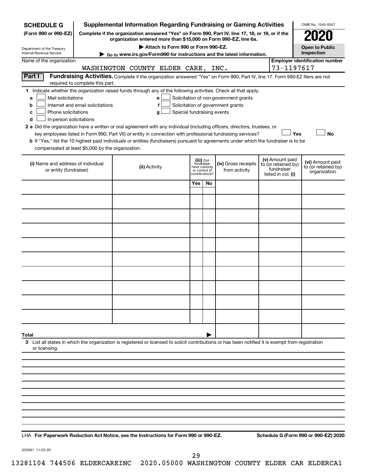| <b>SCHEDULE G</b>                                                                                                                                                                                                                                                                                                                                                                                                                                                                                                                                                                                                                                                                                                                                                                    |                                                                                                 | <b>Supplemental Information Regarding Fundraising or Gaming Activities</b>                                                                         |                                                                            |    |                                      |  |                                                                            | OMB No. 1545-0047                                       |  |  |
|--------------------------------------------------------------------------------------------------------------------------------------------------------------------------------------------------------------------------------------------------------------------------------------------------------------------------------------------------------------------------------------------------------------------------------------------------------------------------------------------------------------------------------------------------------------------------------------------------------------------------------------------------------------------------------------------------------------------------------------------------------------------------------------|-------------------------------------------------------------------------------------------------|----------------------------------------------------------------------------------------------------------------------------------------------------|----------------------------------------------------------------------------|----|--------------------------------------|--|----------------------------------------------------------------------------|---------------------------------------------------------|--|--|
| (Form 990 or 990-EZ)                                                                                                                                                                                                                                                                                                                                                                                                                                                                                                                                                                                                                                                                                                                                                                 | Complete if the organization answered "Yes" on Form 990, Part IV, line 17, 18, or 19, or if the |                                                                                                                                                    |                                                                            |    |                                      |  |                                                                            |                                                         |  |  |
| Department of the Treasury                                                                                                                                                                                                                                                                                                                                                                                                                                                                                                                                                                                                                                                                                                                                                           |                                                                                                 | organization entered more than \$15,000 on Form 990-EZ, line 6a.<br>Attach to Form 990 or Form 990-EZ.                                             |                                                                            |    |                                      |  |                                                                            | <b>Open to Public</b>                                   |  |  |
| Internal Revenue Service                                                                                                                                                                                                                                                                                                                                                                                                                                                                                                                                                                                                                                                                                                                                                             | ► Go to www.irs.gov/Form990 for instructions and the latest information.                        |                                                                                                                                                    |                                                                            |    |                                      |  |                                                                            |                                                         |  |  |
| Name of the organization                                                                                                                                                                                                                                                                                                                                                                                                                                                                                                                                                                                                                                                                                                                                                             | 73-1197617                                                                                      | <b>Employer identification number</b>                                                                                                              |                                                                            |    |                                      |  |                                                                            |                                                         |  |  |
| Part I<br>Fundraising Activities. Complete if the organization answered "Yes" on Form 990, Part IV, line 17. Form 990-EZ filers are not<br>required to complete this part.                                                                                                                                                                                                                                                                                                                                                                                                                                                                                                                                                                                                           |                                                                                                 |                                                                                                                                                    |                                                                            |    |                                      |  |                                                                            |                                                         |  |  |
| 1 Indicate whether the organization raised funds through any of the following activities. Check all that apply.<br>Mail solicitations<br>Solicitation of non-government grants<br>a<br>е<br>Internet and email solicitations<br>Solicitation of government grants<br>b<br>f<br>Phone solicitations<br>Special fundraising events<br>c<br>g<br>In-person solicitations<br>d<br>2 a Did the organization have a written or oral agreement with any individual (including officers, directors, trustees, or<br>Yes<br><b>No</b><br>key employees listed in Form 990, Part VII) or entity in connection with professional fundraising services?<br>b If "Yes," list the 10 highest paid individuals or entities (fundraisers) pursuant to agreements under which the fundraiser is to be |                                                                                                 |                                                                                                                                                    |                                                                            |    |                                      |  |                                                                            |                                                         |  |  |
| compensated at least \$5,000 by the organization.                                                                                                                                                                                                                                                                                                                                                                                                                                                                                                                                                                                                                                                                                                                                    |                                                                                                 |                                                                                                                                                    |                                                                            |    |                                      |  |                                                                            |                                                         |  |  |
| (i) Name and address of individual<br>or entity (fundraiser)                                                                                                                                                                                                                                                                                                                                                                                                                                                                                                                                                                                                                                                                                                                         |                                                                                                 | (ii) Activity                                                                                                                                      | (iii) Did<br>fundraiser<br>have custody<br>or control of<br>contributions? |    | (iv) Gross receipts<br>from activity |  | (v) Amount paid<br>to (or retained by)<br>fundraiser<br>listed in col. (i) | (vi) Amount paid<br>to (or retained by)<br>organization |  |  |
|                                                                                                                                                                                                                                                                                                                                                                                                                                                                                                                                                                                                                                                                                                                                                                                      |                                                                                                 |                                                                                                                                                    | Yes                                                                        | No |                                      |  |                                                                            |                                                         |  |  |
|                                                                                                                                                                                                                                                                                                                                                                                                                                                                                                                                                                                                                                                                                                                                                                                      |                                                                                                 |                                                                                                                                                    |                                                                            |    |                                      |  |                                                                            |                                                         |  |  |
|                                                                                                                                                                                                                                                                                                                                                                                                                                                                                                                                                                                                                                                                                                                                                                                      |                                                                                                 |                                                                                                                                                    |                                                                            |    |                                      |  |                                                                            |                                                         |  |  |
|                                                                                                                                                                                                                                                                                                                                                                                                                                                                                                                                                                                                                                                                                                                                                                                      |                                                                                                 |                                                                                                                                                    |                                                                            |    |                                      |  |                                                                            |                                                         |  |  |
|                                                                                                                                                                                                                                                                                                                                                                                                                                                                                                                                                                                                                                                                                                                                                                                      |                                                                                                 |                                                                                                                                                    |                                                                            |    |                                      |  |                                                                            |                                                         |  |  |
|                                                                                                                                                                                                                                                                                                                                                                                                                                                                                                                                                                                                                                                                                                                                                                                      |                                                                                                 |                                                                                                                                                    |                                                                            |    |                                      |  |                                                                            |                                                         |  |  |
|                                                                                                                                                                                                                                                                                                                                                                                                                                                                                                                                                                                                                                                                                                                                                                                      |                                                                                                 |                                                                                                                                                    |                                                                            |    |                                      |  |                                                                            |                                                         |  |  |
|                                                                                                                                                                                                                                                                                                                                                                                                                                                                                                                                                                                                                                                                                                                                                                                      |                                                                                                 |                                                                                                                                                    |                                                                            |    |                                      |  |                                                                            |                                                         |  |  |
|                                                                                                                                                                                                                                                                                                                                                                                                                                                                                                                                                                                                                                                                                                                                                                                      |                                                                                                 |                                                                                                                                                    |                                                                            |    |                                      |  |                                                                            |                                                         |  |  |
|                                                                                                                                                                                                                                                                                                                                                                                                                                                                                                                                                                                                                                                                                                                                                                                      |                                                                                                 |                                                                                                                                                    |                                                                            |    |                                      |  |                                                                            |                                                         |  |  |
|                                                                                                                                                                                                                                                                                                                                                                                                                                                                                                                                                                                                                                                                                                                                                                                      |                                                                                                 |                                                                                                                                                    |                                                                            |    |                                      |  |                                                                            |                                                         |  |  |
| Total                                                                                                                                                                                                                                                                                                                                                                                                                                                                                                                                                                                                                                                                                                                                                                                |                                                                                                 |                                                                                                                                                    |                                                                            |    |                                      |  |                                                                            |                                                         |  |  |
| or licensing.                                                                                                                                                                                                                                                                                                                                                                                                                                                                                                                                                                                                                                                                                                                                                                        |                                                                                                 | 3 List all states in which the organization is registered or licensed to solicit contributions or has been notified it is exempt from registration |                                                                            |    |                                      |  |                                                                            |                                                         |  |  |
|                                                                                                                                                                                                                                                                                                                                                                                                                                                                                                                                                                                                                                                                                                                                                                                      |                                                                                                 |                                                                                                                                                    |                                                                            |    |                                      |  |                                                                            |                                                         |  |  |
|                                                                                                                                                                                                                                                                                                                                                                                                                                                                                                                                                                                                                                                                                                                                                                                      |                                                                                                 |                                                                                                                                                    |                                                                            |    |                                      |  |                                                                            |                                                         |  |  |
|                                                                                                                                                                                                                                                                                                                                                                                                                                                                                                                                                                                                                                                                                                                                                                                      |                                                                                                 |                                                                                                                                                    |                                                                            |    |                                      |  |                                                                            |                                                         |  |  |
|                                                                                                                                                                                                                                                                                                                                                                                                                                                                                                                                                                                                                                                                                                                                                                                      |                                                                                                 |                                                                                                                                                    |                                                                            |    |                                      |  |                                                                            |                                                         |  |  |
|                                                                                                                                                                                                                                                                                                                                                                                                                                                                                                                                                                                                                                                                                                                                                                                      |                                                                                                 |                                                                                                                                                    |                                                                            |    |                                      |  |                                                                            |                                                         |  |  |
|                                                                                                                                                                                                                                                                                                                                                                                                                                                                                                                                                                                                                                                                                                                                                                                      |                                                                                                 |                                                                                                                                                    |                                                                            |    |                                      |  |                                                                            |                                                         |  |  |
|                                                                                                                                                                                                                                                                                                                                                                                                                                                                                                                                                                                                                                                                                                                                                                                      |                                                                                                 |                                                                                                                                                    |                                                                            |    |                                      |  |                                                                            |                                                         |  |  |
|                                                                                                                                                                                                                                                                                                                                                                                                                                                                                                                                                                                                                                                                                                                                                                                      |                                                                                                 |                                                                                                                                                    |                                                                            |    |                                      |  |                                                                            |                                                         |  |  |

**For Paperwork Reduction Act Notice, see the Instructions for Form 990 or 990-EZ. Schedule G (Form 990 or 990-EZ) 2020** LHA

032081 11-25-20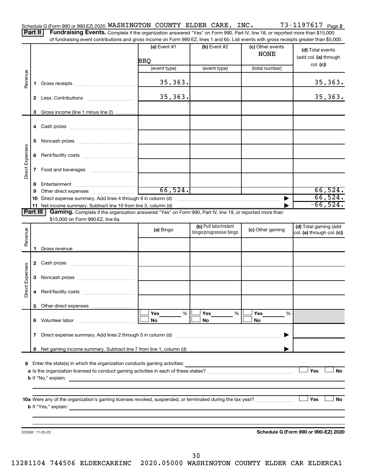|     |  |  | Schedule G (Form 990 or 990-EZ) 2020 WASHINGTON COUNTY ELDER CARE, |  | INC. | Page 2 |
|-----|--|--|--------------------------------------------------------------------|--|------|--------|
| $-$ |  |  |                                                                    |  |      |        |

Part II | Fundraising Events. Complete if the organization answered "Yes" on Form 990, Part IV, line 18, or reported more than \$15,000 of fundraising event contributions and gross income on Form 990-EZ, lines 1 and 6b. List events with gross receipts greater than \$5,000.

|                 |              |                                                                                                                                                                                                                                                              | (a) Event #1<br>BBQ<br>(event type) | (b) Event #2<br>(event type) | (c) Other events<br><b>NONE</b><br>(total number) | (d) Total events<br>(add col. (a) through<br>col. (c) |
|-----------------|--------------|--------------------------------------------------------------------------------------------------------------------------------------------------------------------------------------------------------------------------------------------------------------|-------------------------------------|------------------------------|---------------------------------------------------|-------------------------------------------------------|
|                 |              |                                                                                                                                                                                                                                                              |                                     |                              |                                                   |                                                       |
| Revenue         | 1.           |                                                                                                                                                                                                                                                              | 35, 363.                            |                              |                                                   | 35,363.                                               |
|                 | $\mathbf{2}$ |                                                                                                                                                                                                                                                              | 35, 363.                            |                              |                                                   | 35, 363.                                              |
|                 | 3            | Gross income (line 1 minus line 2)                                                                                                                                                                                                                           |                                     |                              |                                                   |                                                       |
|                 |              |                                                                                                                                                                                                                                                              |                                     |                              |                                                   |                                                       |
|                 | 5.           |                                                                                                                                                                                                                                                              |                                     |                              |                                                   |                                                       |
| Direct Expenses |              |                                                                                                                                                                                                                                                              |                                     |                              |                                                   |                                                       |
|                 |              |                                                                                                                                                                                                                                                              |                                     |                              |                                                   |                                                       |
|                 | 8            |                                                                                                                                                                                                                                                              |                                     |                              |                                                   |                                                       |
|                 | 9            |                                                                                                                                                                                                                                                              | 66,524.                             |                              |                                                   | 66,524.                                               |
|                 | 10           | Direct expense summary. Add lines 4 through 9 in column (d)                                                                                                                                                                                                  |                                     |                              | ▶                                                 | 66,524.<br>$-66,524.$                                 |
| <b>Part III</b> |              | 11 Net income summary. Subtract line 10 from line 3, column (d)<br>Gaming. Complete if the organization answered "Yes" on Form 990, Part IV, line 19, or reported more than                                                                                  |                                     |                              |                                                   |                                                       |
|                 |              | \$15,000 on Form 990-EZ, line 6a.                                                                                                                                                                                                                            |                                     |                              |                                                   |                                                       |
|                 |              |                                                                                                                                                                                                                                                              |                                     | (b) Pull tabs/instant        |                                                   | (d) Total gaming (add                                 |
| Revenue         |              |                                                                                                                                                                                                                                                              | (a) Bingo                           | bingo/progressive bingo      | (c) Other gaming                                  | col. (a) through col. (c))                            |
|                 |              |                                                                                                                                                                                                                                                              |                                     |                              |                                                   |                                                       |
|                 |              |                                                                                                                                                                                                                                                              |                                     |                              |                                                   |                                                       |
|                 |              |                                                                                                                                                                                                                                                              |                                     |                              |                                                   |                                                       |
|                 |              |                                                                                                                                                                                                                                                              |                                     |                              |                                                   |                                                       |
| Direct Expenses |              |                                                                                                                                                                                                                                                              |                                     |                              |                                                   |                                                       |
|                 | 4            |                                                                                                                                                                                                                                                              |                                     |                              |                                                   |                                                       |
|                 |              |                                                                                                                                                                                                                                                              |                                     |                              |                                                   |                                                       |
|                 |              |                                                                                                                                                                                                                                                              | %<br>Yes                            | Yes<br>%                     | Yes<br>%                                          |                                                       |
|                 |              | 6 Volunteer labor                                                                                                                                                                                                                                            | No                                  | No                           | No                                                |                                                       |
|                 | 7            | Direct expense summary. Add lines 2 through 5 in column (d)                                                                                                                                                                                                  |                                     |                              |                                                   |                                                       |
|                 | 8            |                                                                                                                                                                                                                                                              |                                     |                              |                                                   |                                                       |
|                 |              |                                                                                                                                                                                                                                                              |                                     |                              |                                                   |                                                       |
| 9               |              | Enter the state(s) in which the organization conducts gaming activities:                                                                                                                                                                                     |                                     |                              |                                                   |                                                       |
|                 |              |                                                                                                                                                                                                                                                              |                                     |                              |                                                   | Yes<br><b>No</b>                                      |
|                 |              | <b>b</b> If "No," explain:                                                                                                                                                                                                                                   |                                     |                              |                                                   |                                                       |
|                 |              |                                                                                                                                                                                                                                                              |                                     |                              |                                                   |                                                       |
|                 |              |                                                                                                                                                                                                                                                              |                                     |                              |                                                   | Yes<br>No                                             |
|                 |              | <b>b</b> If "Yes," explain:<br>the control of the control of the control of the control of the control of the control of the control of the control of the control of the control of the control of the control of the control of the control of the control |                                     |                              |                                                   |                                                       |
|                 |              |                                                                                                                                                                                                                                                              |                                     |                              |                                                   |                                                       |
|                 |              |                                                                                                                                                                                                                                                              |                                     |                              |                                                   |                                                       |
|                 |              | 032082 11-25-20                                                                                                                                                                                                                                              |                                     |                              |                                                   | Schedule G (Form 990 or 990-EZ) 2020                  |
|                 |              |                                                                                                                                                                                                                                                              |                                     |                              |                                                   |                                                       |
|                 |              |                                                                                                                                                                                                                                                              |                                     |                              |                                                   |                                                       |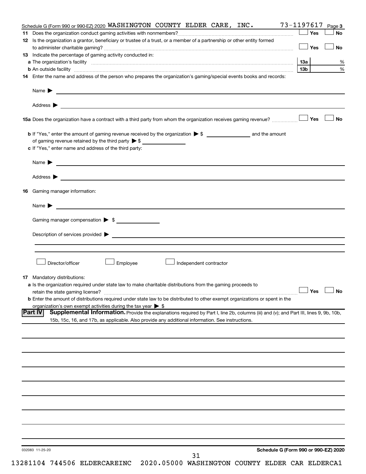|     | Schedule G (Form 990 or 990-EZ) 2020 WASHINGTON COUNTY ELDER CARE, INC.                                                                                                                                                        | 73-1197617           | Page 3    |
|-----|--------------------------------------------------------------------------------------------------------------------------------------------------------------------------------------------------------------------------------|----------------------|-----------|
| 11. |                                                                                                                                                                                                                                | Yes                  | <b>No</b> |
|     | 12 Is the organization a grantor, beneficiary or trustee of a trust, or a member of a partnership or other entity formed                                                                                                       |                      |           |
|     |                                                                                                                                                                                                                                | ⊥ Yes                | <b>No</b> |
|     | 13 Indicate the percentage of gaming activity conducted in:                                                                                                                                                                    |                      |           |
|     |                                                                                                                                                                                                                                | 13a                  | %         |
|     |                                                                                                                                                                                                                                | 13b l                | $\%$      |
|     | 14 Enter the name and address of the person who prepares the organization's gaming/special events books and records:                                                                                                           |                      |           |
|     |                                                                                                                                                                                                                                |                      |           |
|     | Name $\blacktriangleright$<br><u>and the contract of the contract of the contract of the contract of the contract of the contract of the contract of</u>                                                                       |                      |           |
|     |                                                                                                                                                                                                                                |                      |           |
|     | Address $\blacktriangleright$<br>and the control of the control of the control of the control of the control of the control of the control of the                                                                              |                      |           |
|     |                                                                                                                                                                                                                                |                      | <b>No</b> |
|     |                                                                                                                                                                                                                                |                      |           |
|     |                                                                                                                                                                                                                                |                      |           |
|     | of gaming revenue retained by the third party $\triangleright$ \$                                                                                                                                                              |                      |           |
|     | c If "Yes," enter name and address of the third party:                                                                                                                                                                         |                      |           |
|     |                                                                                                                                                                                                                                |                      |           |
|     |                                                                                                                                                                                                                                |                      |           |
|     | Address ><br><u>and the contract of the contract of the contract of the contract of the contract of the contract of the contract of</u>                                                                                        |                      |           |
|     | <b>16</b> Gaming manager information:                                                                                                                                                                                          |                      |           |
|     |                                                                                                                                                                                                                                |                      |           |
|     | <u> 1989 - Johann Barbara, martin amerikan basal dan bahasa dan bahasa dalam basal dan bahasa dan bahasa da</u><br>Name $\blacktriangleright$                                                                                  |                      |           |
|     |                                                                                                                                                                                                                                |                      |           |
|     | Gaming manager compensation > \$                                                                                                                                                                                               |                      |           |
|     |                                                                                                                                                                                                                                |                      |           |
|     | Description of services provided states and the contract of the contract of the contract of the contract of the contract of the contract of the contract of the contract of the contract of the contract of the contract of th |                      |           |
|     |                                                                                                                                                                                                                                |                      |           |
|     |                                                                                                                                                                                                                                |                      |           |
|     | Director/officer<br>Employee<br>Independent contractor                                                                                                                                                                         |                      |           |
|     |                                                                                                                                                                                                                                |                      |           |
|     | <b>17</b> Mandatory distributions:                                                                                                                                                                                             |                      |           |
|     | a Is the organization required under state law to make charitable distributions from the gaming proceeds to                                                                                                                    |                      |           |
|     |                                                                                                                                                                                                                                | $\Box$ Yes $\Box$ No |           |
|     | <b>b</b> Enter the amount of distributions required under state law to be distributed to other exempt organizations or spent in the                                                                                            |                      |           |
|     | organization's own exempt activities during the tax year $\triangleright$ \$<br>Supplemental Information. Provide the explanations required by Part I, line 2b, columns (iii) and (v); and Part III, lines 9, 9b, 10b,         |                      |           |
|     | <b>Part IV</b><br>15b, 15c, 16, and 17b, as applicable. Also provide any additional information. See instructions.                                                                                                             |                      |           |
|     |                                                                                                                                                                                                                                |                      |           |
|     |                                                                                                                                                                                                                                |                      |           |
|     |                                                                                                                                                                                                                                |                      |           |
|     |                                                                                                                                                                                                                                |                      |           |
|     |                                                                                                                                                                                                                                |                      |           |
|     |                                                                                                                                                                                                                                |                      |           |
|     |                                                                                                                                                                                                                                |                      |           |
|     |                                                                                                                                                                                                                                |                      |           |
|     |                                                                                                                                                                                                                                |                      |           |
|     |                                                                                                                                                                                                                                |                      |           |
|     |                                                                                                                                                                                                                                |                      |           |
|     |                                                                                                                                                                                                                                |                      |           |
|     |                                                                                                                                                                                                                                |                      |           |
|     |                                                                                                                                                                                                                                |                      |           |
|     |                                                                                                                                                                                                                                |                      |           |
|     | Schedule G (Form 990 or 990-EZ) 2020<br>032083 11-25-20                                                                                                                                                                        |                      |           |
|     | 31                                                                                                                                                                                                                             |                      |           |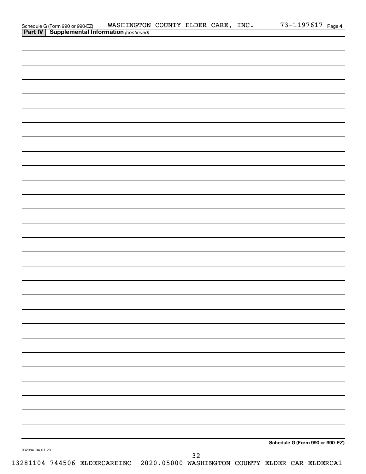| Schedule G (Form 990 or 990-EZ) WASHINGTON<br><b>Part IV   Supplemental Information</b> (continued) | WASHINGTON COUNTY ELDER CARE, INC. |    |  | 73-1197617 Page 4               |  |
|-----------------------------------------------------------------------------------------------------|------------------------------------|----|--|---------------------------------|--|
|                                                                                                     |                                    |    |  |                                 |  |
|                                                                                                     |                                    |    |  |                                 |  |
|                                                                                                     |                                    |    |  |                                 |  |
|                                                                                                     |                                    |    |  |                                 |  |
|                                                                                                     |                                    |    |  |                                 |  |
|                                                                                                     |                                    |    |  |                                 |  |
|                                                                                                     |                                    |    |  |                                 |  |
|                                                                                                     |                                    |    |  |                                 |  |
|                                                                                                     |                                    |    |  |                                 |  |
|                                                                                                     |                                    |    |  |                                 |  |
|                                                                                                     |                                    |    |  |                                 |  |
|                                                                                                     |                                    |    |  |                                 |  |
|                                                                                                     |                                    |    |  |                                 |  |
|                                                                                                     |                                    |    |  |                                 |  |
|                                                                                                     |                                    |    |  |                                 |  |
|                                                                                                     |                                    |    |  |                                 |  |
|                                                                                                     |                                    |    |  |                                 |  |
|                                                                                                     |                                    |    |  |                                 |  |
|                                                                                                     |                                    |    |  |                                 |  |
|                                                                                                     |                                    |    |  |                                 |  |
|                                                                                                     |                                    |    |  |                                 |  |
|                                                                                                     |                                    |    |  |                                 |  |
|                                                                                                     |                                    |    |  |                                 |  |
|                                                                                                     |                                    |    |  |                                 |  |
|                                                                                                     |                                    |    |  |                                 |  |
|                                                                                                     |                                    |    |  |                                 |  |
|                                                                                                     |                                    |    |  |                                 |  |
|                                                                                                     |                                    |    |  |                                 |  |
|                                                                                                     |                                    |    |  |                                 |  |
|                                                                                                     |                                    |    |  |                                 |  |
|                                                                                                     |                                    |    |  |                                 |  |
|                                                                                                     |                                    |    |  |                                 |  |
|                                                                                                     |                                    |    |  |                                 |  |
|                                                                                                     |                                    |    |  |                                 |  |
|                                                                                                     |                                    |    |  |                                 |  |
|                                                                                                     |                                    |    |  |                                 |  |
|                                                                                                     |                                    |    |  |                                 |  |
|                                                                                                     |                                    |    |  |                                 |  |
|                                                                                                     |                                    |    |  |                                 |  |
|                                                                                                     |                                    |    |  |                                 |  |
|                                                                                                     |                                    |    |  |                                 |  |
|                                                                                                     |                                    |    |  |                                 |  |
|                                                                                                     |                                    |    |  |                                 |  |
|                                                                                                     |                                    |    |  |                                 |  |
|                                                                                                     |                                    |    |  |                                 |  |
|                                                                                                     |                                    |    |  |                                 |  |
|                                                                                                     |                                    |    |  | Schedule G (Form 990 or 990-EZ) |  |
| 032084 04-01-20                                                                                     |                                    |    |  |                                 |  |
|                                                                                                     |                                    | 32 |  |                                 |  |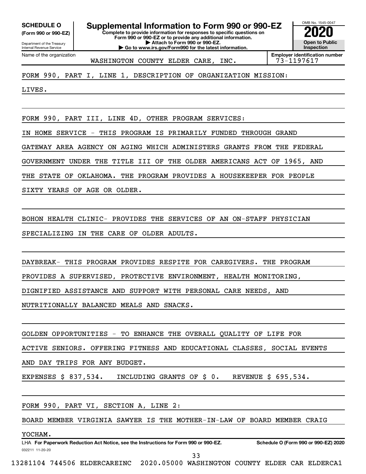**(Form 990 or 990-EZ)**

Department of the Treasury Internal Revenue Service Name of the organization

OMB No. 1545-0047 **Complete to provide information for responses to specific questions on Form 990 or 990-EZ or to provide any additional information. | Attach to Form 990 or 990-EZ. SCHEDULE O Supplemental Information to Form 990 or 990-EZ 2020**<br>(Form 990 or 990-EZ) Complete to provide information for responses to specific questions on

**| Go to www.irs.gov/Form990 for the latest information.**

**Open to Public Inspection Employer identification number** WASHINGTON COUNTY ELDER CARE, INC. | 73-1197617

FORM 990, PART I, LINE 1, DESCRIPTION OF ORGANIZATION MISSION:

LIVES.

FORM 990, PART III, LINE 4D, OTHER PROGRAM SERVICES:

IN HOME SERVICE - THIS PROGRAM IS PRIMARILY FUNDED THROUGH GRAND

GATEWAY AREA AGENCY ON AGING WHICH ADMINISTERS GRANTS FROM THE FEDERAL

GOVERNMENT UNDER THE TITLE III OF THE OLDER AMERICANS ACT OF 1965, AND

THE STATE OF OKLAHOMA. THE PROGRAM PROVIDES A HOUSEKEEPER FOR PEOPLE

SIXTY YEARS OF AGE OR OLDER.

BOHON HEALTH CLINIC- PROVIDES THE SERVICES OF AN ON-STAFF PHYSICIAN SPECIALIZING IN THE CARE OF OLDER ADULTS.

DAYBREAK- THIS PROGRAM PROVIDES RESPITE FOR CAREGIVERS. THE PROGRAM

PROVIDES A SUPERVISED, PROTECTIVE ENVIRONMENT, HEALTH MONITORING,

DIGNIFIED ASSISTANCE AND SUPPORT WITH PERSONAL CARE NEEDS, AND

NUTRITIONALLY BALANCED MEALS AND SNACKS.

GOLDEN OPPORTUNITIES - TO ENHANCE THE OVERALL QUALITY OF LIFE FOR

ACTIVE SENIORS. OFFERING FITNESS AND EDUCATIONAL CLASSES, SOCIAL EVENTS

AND DAY TRIPS FOR ANY BUDGET.

EXPENSES \$ 837,534. INCLUDING GRANTS OF \$ 0. REVENUE \$ 695,534.

FORM 990, PART VI, SECTION A, LINE 2:

BOARD MEMBER VIRGINIA SAWYER IS THE MOTHER-IN-LAW OF BOARD MEMBER CRAIG

YOCHAM.

032211 11-20-20 **For Paperwork Reduction Act Notice, see the Instructions for Form 990 or 990-EZ. Schedule O (Form 990 or 990-EZ) 2020** LHA

33